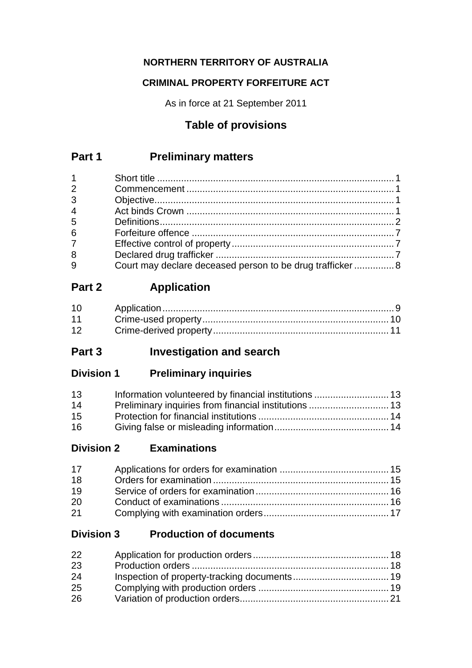## **NORTHERN TERRITORY OF AUSTRALIA**

### **CRIMINAL PROPERTY FORFEITURE ACT**

As in force at 21 September 2011

# **Table of provisions**

# **Part 1 Preliminary matters**

| $1 \quad \Box$  |                                                           |  |
|-----------------|-----------------------------------------------------------|--|
| $\overline{2}$  |                                                           |  |
| $\overline{3}$  |                                                           |  |
| $\overline{4}$  |                                                           |  |
| 5               |                                                           |  |
| $6\overline{6}$ |                                                           |  |
| $7\overline{ }$ |                                                           |  |
| 8               |                                                           |  |
| $\overline{9}$  | Court may declare deceased person to be drug trafficker 8 |  |

# **Part 2 Application**

| 10 |  |
|----|--|
| 11 |  |
| 12 |  |

# **Part 3 Investigation and search**

**Division 1 Preliminary inquiries**

| 13 |  |
|----|--|
| 14 |  |
| 15 |  |
| 16 |  |

## **Division 2 Examinations**

| 17 |  |
|----|--|
| 18 |  |
| 19 |  |
| 20 |  |
| 21 |  |

## **Division 3 Production of documents**

| 22 |  |
|----|--|
| 23 |  |
| 24 |  |
| 25 |  |
| 26 |  |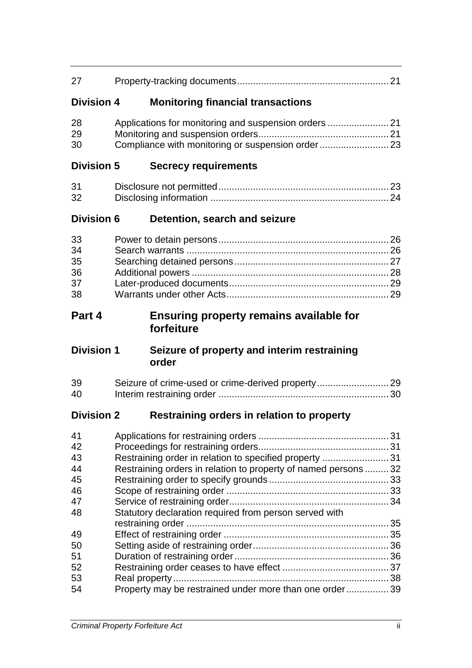| 27                                                       |                                                                                                                                                                                    |  |
|----------------------------------------------------------|------------------------------------------------------------------------------------------------------------------------------------------------------------------------------------|--|
| <b>Division 4</b>                                        | <b>Monitoring financial transactions</b>                                                                                                                                           |  |
| 28<br>29<br>30                                           |                                                                                                                                                                                    |  |
| <b>Division 5</b>                                        | <b>Secrecy requirements</b>                                                                                                                                                        |  |
| 31<br>32                                                 |                                                                                                                                                                                    |  |
| <b>Division 6</b>                                        | Detention, search and seizure                                                                                                                                                      |  |
| 33<br>34<br>35<br>36<br>37<br>38                         |                                                                                                                                                                                    |  |
| Part 4                                                   | <b>Ensuring property remains available for</b>                                                                                                                                     |  |
|                                                          | forfeiture                                                                                                                                                                         |  |
| <b>Division 1</b>                                        | Seizure of property and interim restraining<br>order                                                                                                                               |  |
| 39<br>40                                                 |                                                                                                                                                                                    |  |
| <b>Division 2</b>                                        | Restraining orders in relation to property                                                                                                                                         |  |
| 41<br>42<br>43<br>44<br>45<br>46<br>47<br>48<br>49<br>50 | Restraining order in relation to specified property 31<br>Restraining orders in relation to property of named persons 32<br>Statutory declaration required from person served with |  |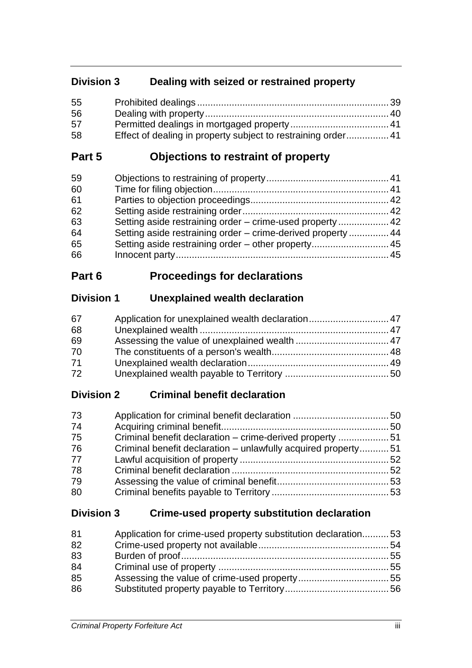## **Division 3 Dealing with seized or restrained property**

| 55 |                                                               |  |
|----|---------------------------------------------------------------|--|
| 56 |                                                               |  |
| 57 |                                                               |  |
| 58 | Effect of dealing in property subject to restraining order 41 |  |

## **Part 5 Objections to restraint of property**

| Setting aside restraining order – crime-used property  42    |  |
|--------------------------------------------------------------|--|
| Setting aside restraining order - crime-derived property  44 |  |
| Setting aside restraining order – other property 45          |  |
|                                                              |  |
|                                                              |  |

# **Part 6 Proceedings for declarations**

## **Division 1 Unexplained wealth declaration**

| 67 | Application for unexplained wealth declaration 47 |  |
|----|---------------------------------------------------|--|
| 68 |                                                   |  |
| 69 |                                                   |  |
| 70 |                                                   |  |
| 71 |                                                   |  |
| 72 |                                                   |  |

# **Division 2 Criminal benefit declaration**

| 73 |                                                               |  |
|----|---------------------------------------------------------------|--|
| 74 |                                                               |  |
| 75 | Criminal benefit declaration – crime-derived property 51      |  |
| 76 | Criminal benefit declaration – unlawfully acquired property51 |  |
| 77 |                                                               |  |
| 78 |                                                               |  |
| 79 |                                                               |  |
| 80 |                                                               |  |

## **Division 3 Crime-used property substitution declaration**

| 81 | Application for crime-used property substitution declaration53 |  |
|----|----------------------------------------------------------------|--|
| 82 |                                                                |  |
| 83 |                                                                |  |
| 84 |                                                                |  |
| 85 |                                                                |  |
| 86 |                                                                |  |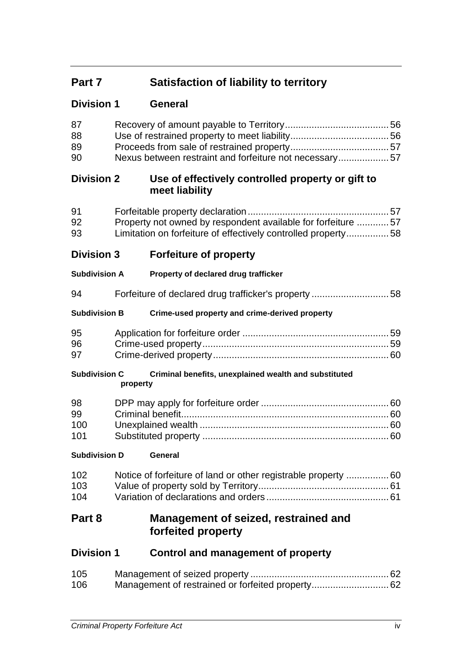# **Part 7 Satisfaction of liability to territory**

| <b>Division 1</b> | <b>General</b> |
|-------------------|----------------|
|                   |                |
|                   |                |

| 87<br>88<br>89<br>90   | Nexus between restraint and forfeiture not necessary57 |                                                                                                                                 |  |
|------------------------|--------------------------------------------------------|---------------------------------------------------------------------------------------------------------------------------------|--|
| <b>Division 2</b>      |                                                        | Use of effectively controlled property or gift to<br>meet liability                                                             |  |
| 91<br>92<br>93         |                                                        | Property not owned by respondent available for forfeiture  57<br>Limitation on forfeiture of effectively controlled property 58 |  |
| <b>Division 3</b>      |                                                        | <b>Forfeiture of property</b>                                                                                                   |  |
| <b>Subdivision A</b>   |                                                        | Property of declared drug trafficker                                                                                            |  |
| 94                     |                                                        | Forfeiture of declared drug trafficker's property 58                                                                            |  |
| <b>Subdivision B</b>   |                                                        | Crime-used property and crime-derived property                                                                                  |  |
| 95<br>96<br>97         |                                                        |                                                                                                                                 |  |
| <b>Subdivision C</b>   | property                                               | Criminal benefits, unexplained wealth and substituted                                                                           |  |
| 98<br>99<br>100<br>101 |                                                        |                                                                                                                                 |  |
| <b>Subdivision D</b>   |                                                        | General                                                                                                                         |  |
| 102<br>103<br>104      |                                                        | Notice of forfeiture of land or other registrable property  60                                                                  |  |
| Part 8                 |                                                        | Management of seized, restrained and<br>forfeited property                                                                      |  |
| <b>Division 1</b>      |                                                        | Control and management of property                                                                                              |  |
| 105<br>106             |                                                        | Management of restrained or forfeited property 62                                                                               |  |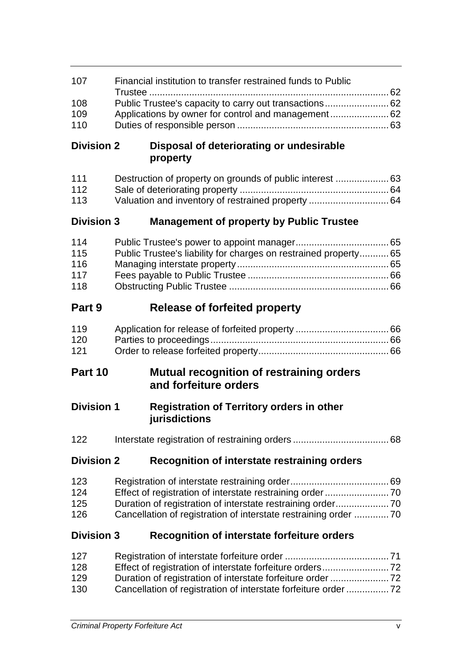| 107               | Financial institution to transfer restrained funds to Public     |                                                                   |  |
|-------------------|------------------------------------------------------------------|-------------------------------------------------------------------|--|
| 108               | Public Trustee's capacity to carry out transactions 62           |                                                                   |  |
| 109               |                                                                  |                                                                   |  |
| 110               |                                                                  |                                                                   |  |
| <b>Division 2</b> |                                                                  | Disposal of deteriorating or undesirable<br>property              |  |
| 111               |                                                                  |                                                                   |  |
| 112<br>113        |                                                                  | Valuation and inventory of restrained property  64                |  |
|                   |                                                                  |                                                                   |  |
| <b>Division 3</b> |                                                                  | <b>Management of property by Public Trustee</b>                   |  |
| 114               |                                                                  |                                                                   |  |
| 115               |                                                                  | Public Trustee's liability for charges on restrained property 65  |  |
| 116               |                                                                  |                                                                   |  |
| 117               |                                                                  |                                                                   |  |
| 118               |                                                                  |                                                                   |  |
| Part 9            |                                                                  | <b>Release of forfeited property</b>                              |  |
| 119               |                                                                  |                                                                   |  |
| 120               |                                                                  |                                                                   |  |
| 121               |                                                                  |                                                                   |  |
| Part 10           |                                                                  | <b>Mutual recognition of restraining orders</b>                   |  |
|                   |                                                                  | and forfeiture orders                                             |  |
| <b>Division 1</b> |                                                                  | <b>Registration of Territory orders in other</b><br>jurisdictions |  |
| 122               |                                                                  |                                                                   |  |
| <b>Division 2</b> |                                                                  | Recognition of interstate restraining orders                      |  |
| 123               |                                                                  |                                                                   |  |
| 124               |                                                                  |                                                                   |  |
| 125               |                                                                  |                                                                   |  |
| 126               | Cancellation of registration of interstate restraining order  70 |                                                                   |  |
| <b>Division 3</b> |                                                                  | <b>Recognition of interstate forfeiture orders</b>                |  |
| 127               |                                                                  |                                                                   |  |
| 128               |                                                                  |                                                                   |  |
| 129               | Duration of registration of interstate forfeiture order  72      |                                                                   |  |
| 130               | Cancellation of registration of interstate forfeiture order  72  |                                                                   |  |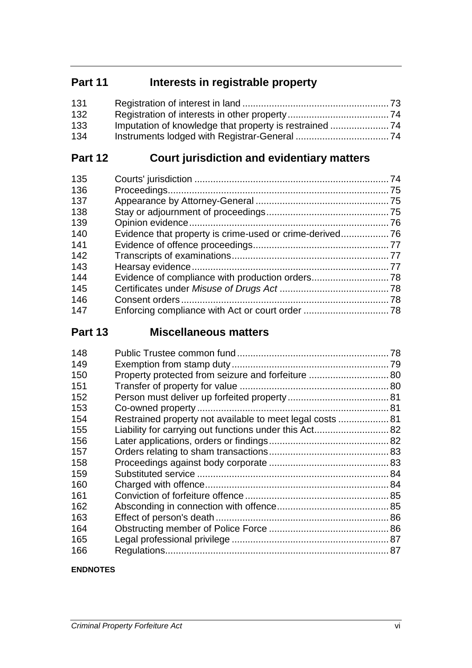# **Part 11 Interests in registrable property**

| 131 |  |
|-----|--|
| 132 |  |
| 133 |  |
| 134 |  |

# **Part 12 Court jurisdiction and evidentiary matters**

| 135 |  |
|-----|--|
| 136 |  |
| 137 |  |
| 138 |  |
| 139 |  |
| 140 |  |
| 141 |  |
| 142 |  |
| 143 |  |
| 144 |  |
| 145 |  |
| 146 |  |
| 147 |  |
|     |  |

# **Part 13 Miscellaneous matters**

| 148                                                              |  |
|------------------------------------------------------------------|--|
| 149                                                              |  |
| Property protected from seizure and forfeiture  80<br>150        |  |
| 151                                                              |  |
| 152                                                              |  |
| 153                                                              |  |
| Restrained property not available to meet legal costs  81<br>154 |  |
| 155                                                              |  |
| 156                                                              |  |
| 157                                                              |  |
| 158                                                              |  |
| 159                                                              |  |
| 160                                                              |  |
| 161                                                              |  |
| 162                                                              |  |
| 163                                                              |  |
| 164                                                              |  |
| 165                                                              |  |
| 166                                                              |  |

#### **ENDNOTES**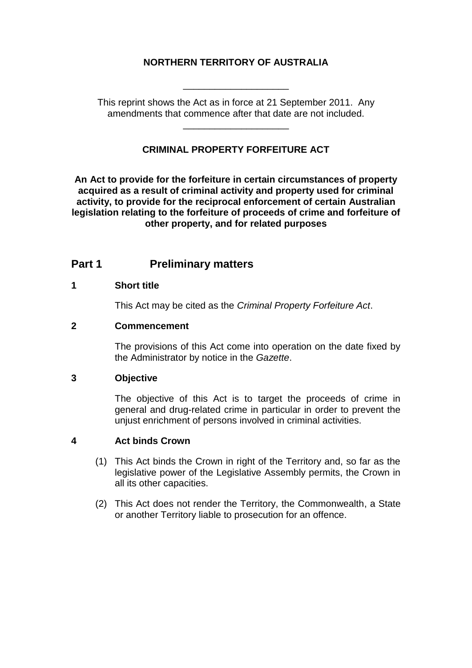#### **NORTHERN TERRITORY OF AUSTRALIA**

\_\_\_\_\_\_\_\_\_\_\_\_\_\_\_\_\_\_\_\_

This reprint shows the Act as in force at 21 September 2011. Any amendments that commence after that date are not included.

\_\_\_\_\_\_\_\_\_\_\_\_\_\_\_\_\_\_\_\_

#### **CRIMINAL PROPERTY FORFEITURE ACT**

**An Act to provide for the forfeiture in certain circumstances of property acquired as a result of criminal activity and property used for criminal activity, to provide for the reciprocal enforcement of certain Australian legislation relating to the forfeiture of proceeds of crime and forfeiture of other property, and for related purposes**

## **Part 1 Preliminary matters**

#### **1 Short title**

This Act may be cited as the *Criminal Property Forfeiture Act*.

#### **2 Commencement**

The provisions of this Act come into operation on the date fixed by the Administrator by notice in the *Gazette*.

#### **3 Objective**

The objective of this Act is to target the proceeds of crime in general and drug-related crime in particular in order to prevent the unjust enrichment of persons involved in criminal activities.

#### **4 Act binds Crown**

- (1) This Act binds the Crown in right of the Territory and, so far as the legislative power of the Legislative Assembly permits, the Crown in all its other capacities.
- (2) This Act does not render the Territory, the Commonwealth, a State or another Territory liable to prosecution for an offence.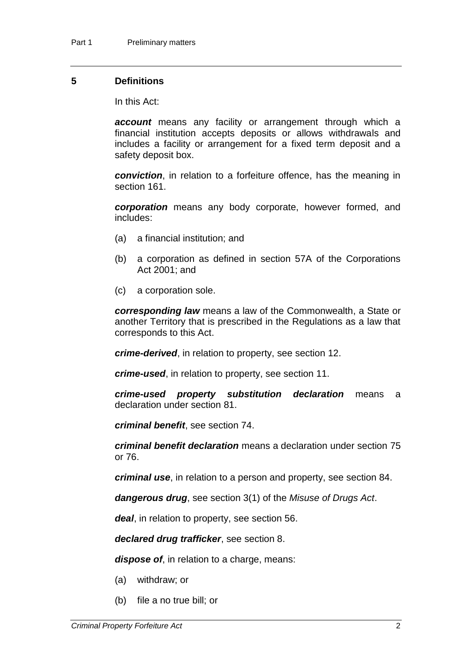#### **5 Definitions**

In this Act:

*account* means any facility or arrangement through which a financial institution accepts deposits or allows withdrawals and includes a facility or arrangement for a fixed term deposit and a safety deposit box.

*conviction*, in relation to a forfeiture offence, has the meaning in section 161.

*corporation* means any body corporate, however formed, and includes:

- (a) a financial institution; and
- (b) a corporation as defined in section 57A of the Corporations Act 2001; and
- (c) a corporation sole.

*corresponding law* means a law of the Commonwealth, a State or another Territory that is prescribed in the Regulations as a law that corresponds to this Act.

*crime-derived*, in relation to property, see section 12.

*crime-used*, in relation to property, see section 11.

*crime-used property substitution declaration* means a declaration under section 81.

*criminal benefit*, see section 74.

*criminal benefit declaration* means a declaration under section 75 or 76.

*criminal use*, in relation to a person and property, see section 84.

*dangerous drug*, see section 3(1) of the *Misuse of Drugs Act*.

*deal*, in relation to property, see section 56.

*declared drug trafficker*, see section 8.

*dispose of*, in relation to a charge, means:

- (a) withdraw; or
- (b) file a no true bill; or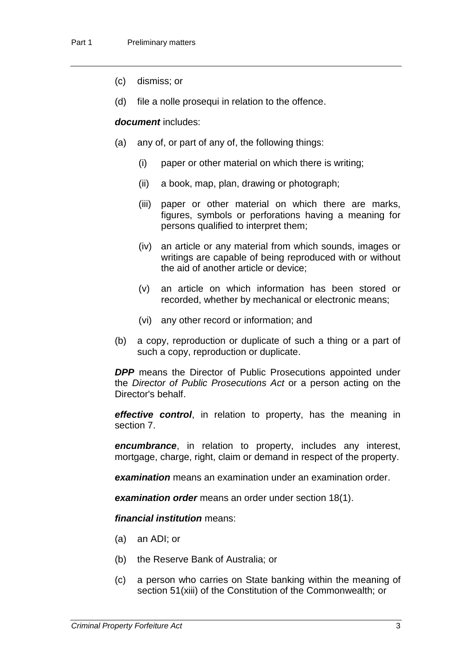- (c) dismiss; or
- (d) file a nolle prosequi in relation to the offence.

#### *document* includes:

- (a) any of, or part of any of, the following things:
	- (i) paper or other material on which there is writing;
	- (ii) a book, map, plan, drawing or photograph;
	- (iii) paper or other material on which there are marks, figures, symbols or perforations having a meaning for persons qualified to interpret them;
	- (iv) an article or any material from which sounds, images or writings are capable of being reproduced with or without the aid of another article or device;
	- (v) an article on which information has been stored or recorded, whether by mechanical or electronic means;
	- (vi) any other record or information; and
- (b) a copy, reproduction or duplicate of such a thing or a part of such a copy, reproduction or duplicate.

**DPP** means the Director of Public Prosecutions appointed under the *Director of Public Prosecutions Act* or a person acting on the Director's behalf.

*effective control*, in relation to property, has the meaning in section 7.

*encumbrance*, in relation to property, includes any interest, mortgage, charge, right, claim or demand in respect of the property.

*examination* means an examination under an examination order.

*examination order* means an order under section 18(1).

*financial institution* means:

- (a) an ADI; or
- (b) the Reserve Bank of Australia; or
- (c) a person who carries on State banking within the meaning of section 51(xiii) of the Constitution of the Commonwealth; or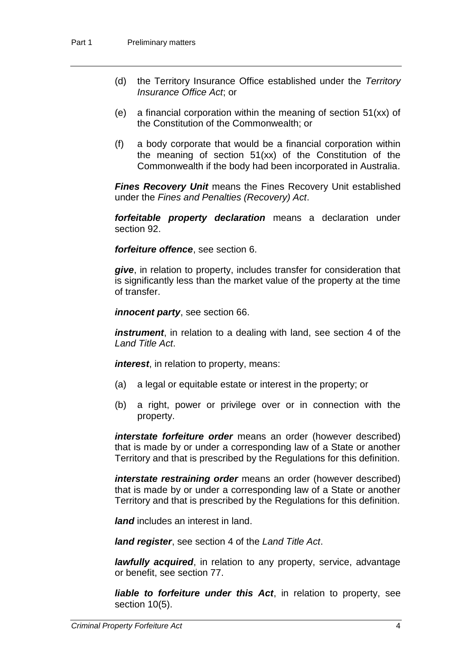- (d) the Territory Insurance Office established under the *Territory Insurance Office Act*; or
- (e) a financial corporation within the meaning of section 51(xx) of the Constitution of the Commonwealth; or
- (f) a body corporate that would be a financial corporation within the meaning of section 51(xx) of the Constitution of the Commonwealth if the body had been incorporated in Australia.

*Fines Recovery Unit* means the Fines Recovery Unit established under the *Fines and Penalties (Recovery) Act*.

*forfeitable property declaration* means a declaration under section 92.

*forfeiture offence*, see section 6.

*give*, in relation to property, includes transfer for consideration that is significantly less than the market value of the property at the time of transfer.

*innocent party*, see section 66.

*instrument*, in relation to a dealing with land, see section 4 of the *Land Title Act*.

*interest*, in relation to property, means:

- (a) a legal or equitable estate or interest in the property; or
- (b) a right, power or privilege over or in connection with the property.

*interstate forfeiture order* means an order (however described) that is made by or under a corresponding law of a State or another Territory and that is prescribed by the Regulations for this definition.

*interstate restraining order* means an order (however described) that is made by or under a corresponding law of a State or another Territory and that is prescribed by the Regulations for this definition.

*land* includes an interest in land.

*land register*, see section 4 of the *Land Title Act*.

*lawfully acquired*, in relation to any property, service, advantage or benefit, see section 77.

*liable to forfeiture under this Act*, in relation to property, see section 10(5).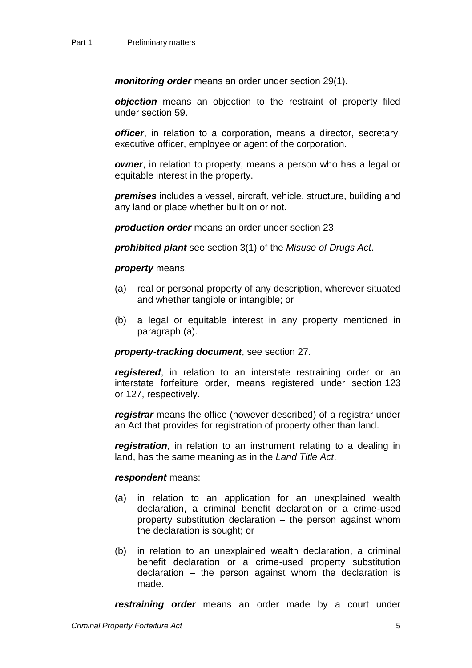*monitoring order* means an order under section 29(1).

*objection* means an objection to the restraint of property filed under section 59.

*officer*, in relation to a corporation, means a director, secretary, executive officer, employee or agent of the corporation.

*owner*, in relation to property, means a person who has a legal or equitable interest in the property.

*premises* includes a vessel, aircraft, vehicle, structure, building and any land or place whether built on or not.

*production order* means an order under section 23.

*prohibited plant* see section 3(1) of the *Misuse of Drugs Act*.

#### *property* means:

- (a) real or personal property of any description, wherever situated and whether tangible or intangible; or
- (b) a legal or equitable interest in any property mentioned in paragraph (a).

#### *property-tracking document*, see section 27.

*registered*, in relation to an interstate restraining order or an interstate forfeiture order, means registered under section 123 or 127, respectively.

*registrar* means the office (however described) of a registrar under an Act that provides for registration of property other than land.

*registration*, in relation to an instrument relating to a dealing in land, has the same meaning as in the *Land Title Act*.

#### *respondent* means:

- (a) in relation to an application for an unexplained wealth declaration, a criminal benefit declaration or a crime-used property substitution declaration – the person against whom the declaration is sought; or
- (b) in relation to an unexplained wealth declaration, a criminal benefit declaration or a crime-used property substitution declaration *–* the person against whom the declaration is made.

*restraining order* means an order made by a court under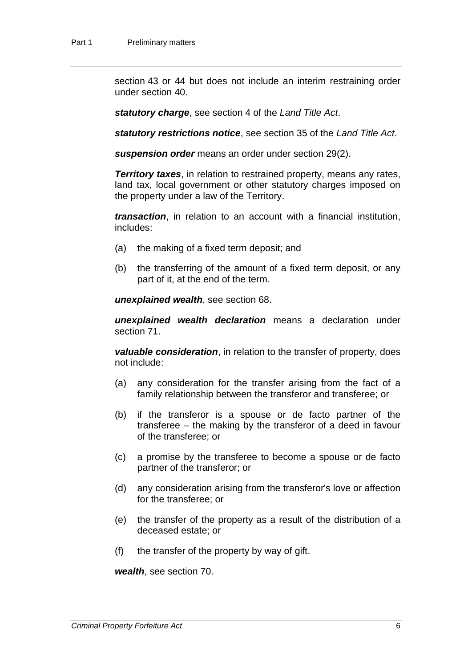section 43 or 44 but does not include an interim restraining order under section 40.

*statutory charge*, see section 4 of the *Land Title Act*.

*statutory restrictions notice*, see section 35 of the *Land Title Act*.

*suspension order* means an order under section 29(2).

*Territory taxes*, in relation to restrained property, means any rates, land tax, local government or other statutory charges imposed on the property under a law of the Territory.

*transaction*, in relation to an account with a financial institution, includes:

- (a) the making of a fixed term deposit; and
- (b) the transferring of the amount of a fixed term deposit, or any part of it, at the end of the term.

*unexplained wealth*, see section 68.

*unexplained wealth declaration* means a declaration under section 71.

*valuable consideration*, in relation to the transfer of property, does not include:

- (a) any consideration for the transfer arising from the fact of a family relationship between the transferor and transferee; or
- (b) if the transferor is a spouse or de facto partner of the transferee – the making by the transferor of a deed in favour of the transferee; or
- (c) a promise by the transferee to become a spouse or de facto partner of the transferor; or
- (d) any consideration arising from the transferor's love or affection for the transferee; or
- (e) the transfer of the property as a result of the distribution of a deceased estate; or
- (f) the transfer of the property by way of gift.

*wealth*, see section 70.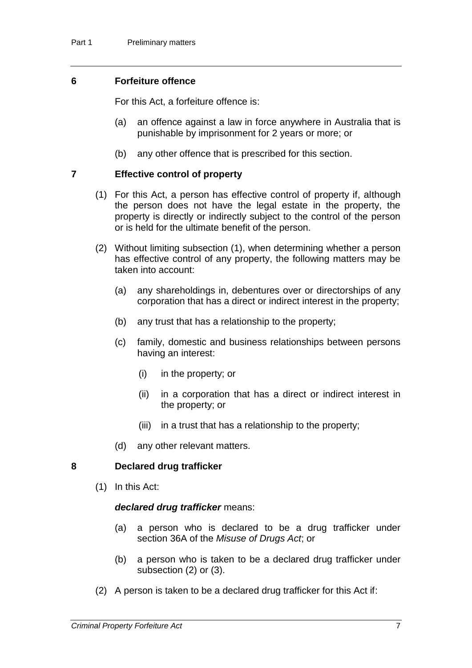#### **6 Forfeiture offence**

For this Act, a forfeiture offence is:

- (a) an offence against a law in force anywhere in Australia that is punishable by imprisonment for 2 years or more; or
- (b) any other offence that is prescribed for this section.

#### **7 Effective control of property**

- (1) For this Act, a person has effective control of property if, although the person does not have the legal estate in the property, the property is directly or indirectly subject to the control of the person or is held for the ultimate benefit of the person.
- (2) Without limiting subsection (1), when determining whether a person has effective control of any property, the following matters may be taken into account:
	- (a) any shareholdings in, debentures over or directorships of any corporation that has a direct or indirect interest in the property;
	- (b) any trust that has a relationship to the property;
	- (c) family, domestic and business relationships between persons having an interest:
		- (i) in the property; or
		- (ii) in a corporation that has a direct or indirect interest in the property; or
		- (iii) in a trust that has a relationship to the property;
	- (d) any other relevant matters.

#### **8 Declared drug trafficker**

(1) In this Act:

#### *declared drug trafficker* means:

- (a) a person who is declared to be a drug trafficker under section 36A of the *Misuse of Drugs Act*; or
- (b) a person who is taken to be a declared drug trafficker under subsection (2) or (3).
- (2) A person is taken to be a declared drug trafficker for this Act if: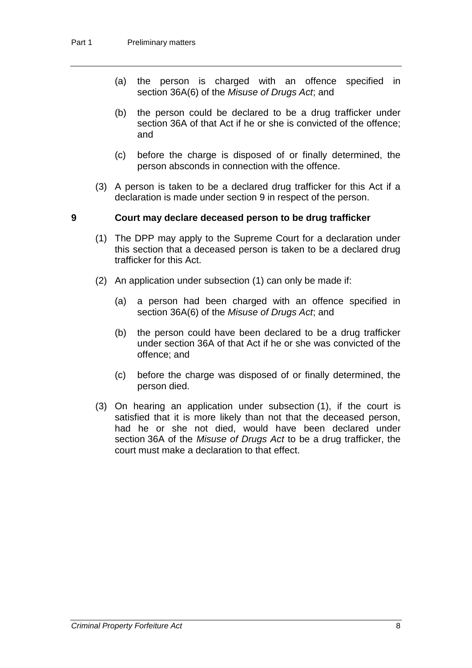- (a) the person is charged with an offence specified in section 36A(6) of the *Misuse of Drugs Act*; and
- (b) the person could be declared to be a drug trafficker under section 36A of that Act if he or she is convicted of the offence; and
- (c) before the charge is disposed of or finally determined, the person absconds in connection with the offence.
- (3) A person is taken to be a declared drug trafficker for this Act if a declaration is made under section 9 in respect of the person.

#### **9 Court may declare deceased person to be drug trafficker**

- (1) The DPP may apply to the Supreme Court for a declaration under this section that a deceased person is taken to be a declared drug trafficker for this Act.
- (2) An application under subsection (1) can only be made if:
	- (a) a person had been charged with an offence specified in section 36A(6) of the *Misuse of Drugs Act*; and
	- (b) the person could have been declared to be a drug trafficker under section 36A of that Act if he or she was convicted of the offence; and
	- (c) before the charge was disposed of or finally determined, the person died.
- (3) On hearing an application under subsection (1), if the court is satisfied that it is more likely than not that the deceased person, had he or she not died, would have been declared under section 36A of the *Misuse of Drugs Act* to be a drug trafficker, the court must make a declaration to that effect.

*Criminal Property Forfeiture Act* 8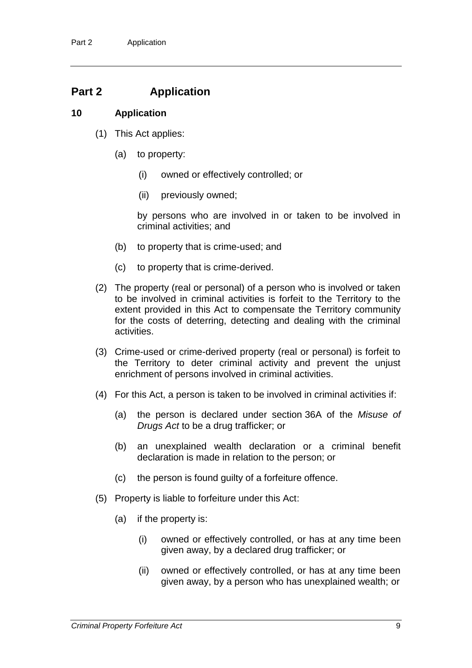## **Part 2 Application**

#### **10 Application**

- (1) This Act applies:
	- (a) to property:
		- (i) owned or effectively controlled; or
		- (ii) previously owned;

by persons who are involved in or taken to be involved in criminal activities; and

- (b) to property that is crime-used; and
- (c) to property that is crime-derived.
- (2) The property (real or personal) of a person who is involved or taken to be involved in criminal activities is forfeit to the Territory to the extent provided in this Act to compensate the Territory community for the costs of deterring, detecting and dealing with the criminal activities.
- (3) Crime-used or crime-derived property (real or personal) is forfeit to the Territory to deter criminal activity and prevent the unjust enrichment of persons involved in criminal activities.
- (4) For this Act, a person is taken to be involved in criminal activities if:
	- (a) the person is declared under section 36A of the *Misuse of Drugs Act* to be a drug trafficker; or
	- (b) an unexplained wealth declaration or a criminal benefit declaration is made in relation to the person; or
	- (c) the person is found guilty of a forfeiture offence.
- (5) Property is liable to forfeiture under this Act:
	- (a) if the property is:
		- (i) owned or effectively controlled, or has at any time been given away, by a declared drug trafficker; or
		- (ii) owned or effectively controlled, or has at any time been given away, by a person who has unexplained wealth; or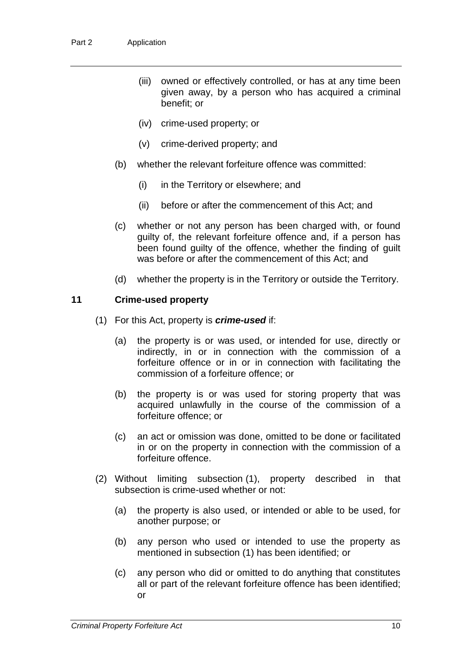- (iii) owned or effectively controlled, or has at any time been given away, by a person who has acquired a criminal benefit; or
- (iv) crime-used property; or
- (v) crime-derived property; and
- (b) whether the relevant forfeiture offence was committed:
	- (i) in the Territory or elsewhere; and
	- (ii) before or after the commencement of this Act; and
- (c) whether or not any person has been charged with, or found guilty of, the relevant forfeiture offence and, if a person has been found guilty of the offence, whether the finding of guilt was before or after the commencement of this Act; and
- (d) whether the property is in the Territory or outside the Territory.

#### **11 Crime-used property**

- (1) For this Act, property is *crime-used* if:
	- (a) the property is or was used, or intended for use, directly or indirectly, in or in connection with the commission of a forfeiture offence or in or in connection with facilitating the commission of a forfeiture offence; or
	- (b) the property is or was used for storing property that was acquired unlawfully in the course of the commission of a forfeiture offence; or
	- (c) an act or omission was done, omitted to be done or facilitated in or on the property in connection with the commission of a forfeiture offence.
- (2) Without limiting subsection (1), property described in that subsection is crime-used whether or not:
	- (a) the property is also used, or intended or able to be used, for another purpose; or
	- (b) any person who used or intended to use the property as mentioned in subsection (1) has been identified; or
	- (c) any person who did or omitted to do anything that constitutes all or part of the relevant forfeiture offence has been identified; or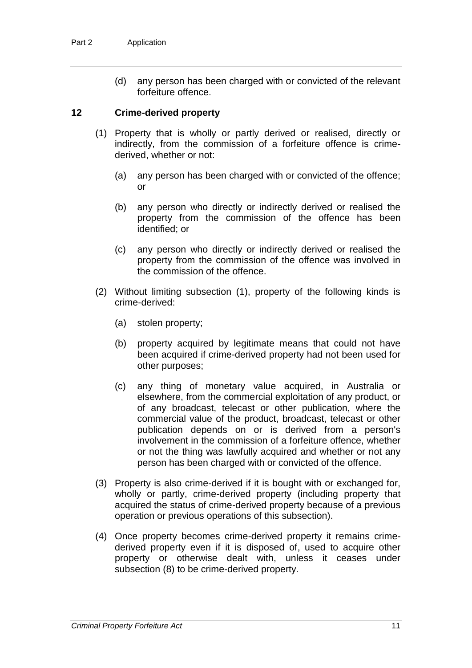(d) any person has been charged with or convicted of the relevant forfeiture offence.

#### **12 Crime-derived property**

- (1) Property that is wholly or partly derived or realised, directly or indirectly, from the commission of a forfeiture offence is crimederived, whether or not:
	- (a) any person has been charged with or convicted of the offence; or
	- (b) any person who directly or indirectly derived or realised the property from the commission of the offence has been identified; or
	- (c) any person who directly or indirectly derived or realised the property from the commission of the offence was involved in the commission of the offence.
- (2) Without limiting subsection (1), property of the following kinds is crime-derived:
	- (a) stolen property;
	- (b) property acquired by legitimate means that could not have been acquired if crime-derived property had not been used for other purposes;
	- (c) any thing of monetary value acquired, in Australia or elsewhere, from the commercial exploitation of any product, or of any broadcast, telecast or other publication, where the commercial value of the product, broadcast, telecast or other publication depends on or is derived from a person's involvement in the commission of a forfeiture offence, whether or not the thing was lawfully acquired and whether or not any person has been charged with or convicted of the offence.
- (3) Property is also crime-derived if it is bought with or exchanged for, wholly or partly, crime-derived property (including property that acquired the status of crime-derived property because of a previous operation or previous operations of this subsection).
- (4) Once property becomes crime-derived property it remains crimederived property even if it is disposed of, used to acquire other property or otherwise dealt with, unless it ceases under subsection (8) to be crime-derived property.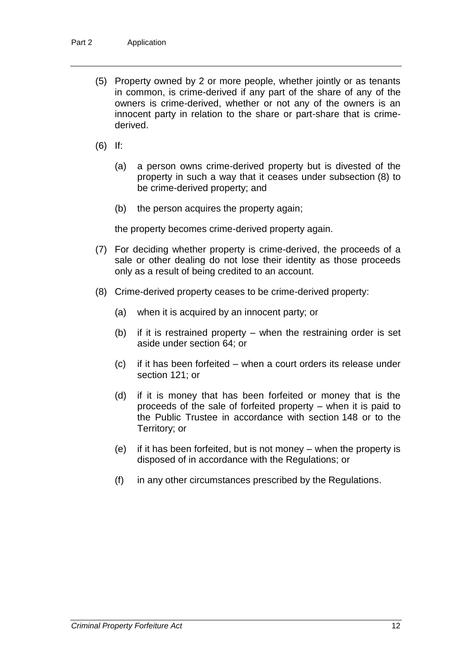- (5) Property owned by 2 or more people, whether jointly or as tenants in common, is crime-derived if any part of the share of any of the owners is crime-derived, whether or not any of the owners is an innocent party in relation to the share or part-share that is crimederived.
- (6) If:
	- (a) a person owns crime-derived property but is divested of the property in such a way that it ceases under subsection (8) to be crime-derived property; and
	- (b) the person acquires the property again;

the property becomes crime-derived property again.

- (7) For deciding whether property is crime-derived, the proceeds of a sale or other dealing do not lose their identity as those proceeds only as a result of being credited to an account.
- (8) Crime-derived property ceases to be crime-derived property:
	- (a) when it is acquired by an innocent party; or
	- (b) if it is restrained property when the restraining order is set aside under section 64; or
	- (c) if it has been forfeited when a court orders its release under section 121; or
	- (d) if it is money that has been forfeited or money that is the proceeds of the sale of forfeited property – when it is paid to the Public Trustee in accordance with section 148 or to the Territory; or
	- (e) if it has been forfeited, but is not money when the property is disposed of in accordance with the Regulations; or
	- (f) in any other circumstances prescribed by the Regulations.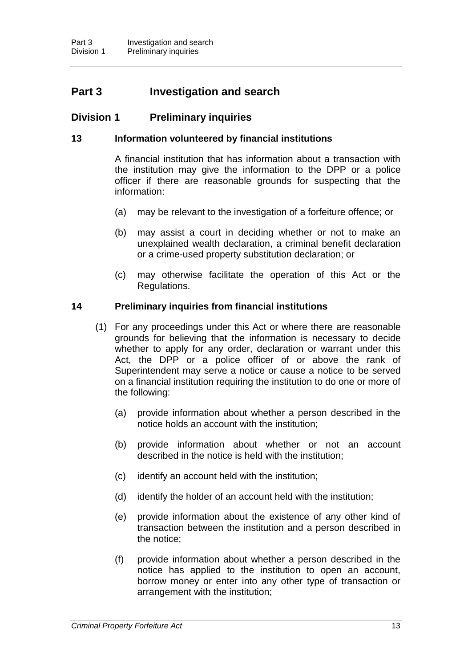## **Part 3 Investigation and search**

#### **Division 1 Preliminary inquiries**

#### **13 Information volunteered by financial institutions**

A financial institution that has information about a transaction with the institution may give the information to the DPP or a police officer if there are reasonable grounds for suspecting that the information:

- (a) may be relevant to the investigation of a forfeiture offence; or
- (b) may assist a court in deciding whether or not to make an unexplained wealth declaration, a criminal benefit declaration or a crime-used property substitution declaration; or
- (c) may otherwise facilitate the operation of this Act or the Regulations.

#### **14 Preliminary inquiries from financial institutions**

- (1) For any proceedings under this Act or where there are reasonable grounds for believing that the information is necessary to decide whether to apply for any order, declaration or warrant under this Act, the DPP or a police officer of or above the rank of Superintendent may serve a notice or cause a notice to be served on a financial institution requiring the institution to do one or more of the following:
	- (a) provide information about whether a person described in the notice holds an account with the institution;
	- (b) provide information about whether or not an account described in the notice is held with the institution;
	- (c) identify an account held with the institution;
	- (d) identify the holder of an account held with the institution;
	- (e) provide information about the existence of any other kind of transaction between the institution and a person described in the notice;
	- (f) provide information about whether a person described in the notice has applied to the institution to open an account, borrow money or enter into any other type of transaction or arrangement with the institution;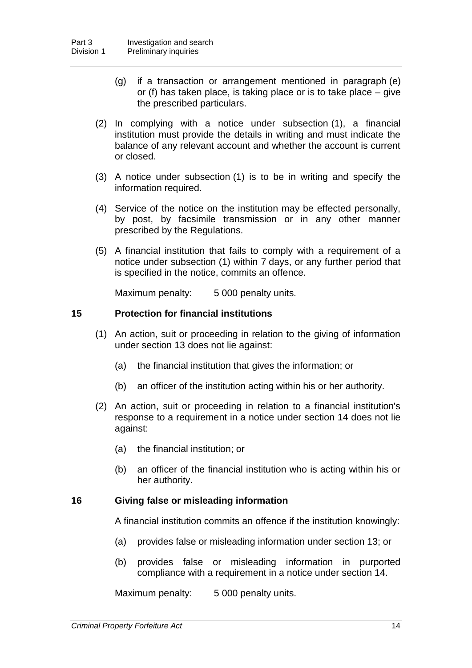- (g) if a transaction or arrangement mentioned in paragraph (e) or (f) has taken place, is taking place or is to take place *–* give the prescribed particulars.
- (2) In complying with a notice under subsection (1), a financial institution must provide the details in writing and must indicate the balance of any relevant account and whether the account is current or closed.
- (3) A notice under subsection (1) is to be in writing and specify the information required.
- (4) Service of the notice on the institution may be effected personally, by post, by facsimile transmission or in any other manner prescribed by the Regulations.
- (5) A financial institution that fails to comply with a requirement of a notice under subsection (1) within 7 days, or any further period that is specified in the notice, commits an offence.

Maximum penalty: 5 000 penalty units.

#### **15 Protection for financial institutions**

- (1) An action, suit or proceeding in relation to the giving of information under section 13 does not lie against:
	- (a) the financial institution that gives the information; or
	- (b) an officer of the institution acting within his or her authority.
- (2) An action, suit or proceeding in relation to a financial institution's response to a requirement in a notice under section 14 does not lie against:
	- (a) the financial institution; or
	- (b) an officer of the financial institution who is acting within his or her authority.

#### **16 Giving false or misleading information**

A financial institution commits an offence if the institution knowingly:

- (a) provides false or misleading information under section 13; or
- (b) provides false or misleading information in purported compliance with a requirement in a notice under section 14.

Maximum penalty: 5 000 penalty units.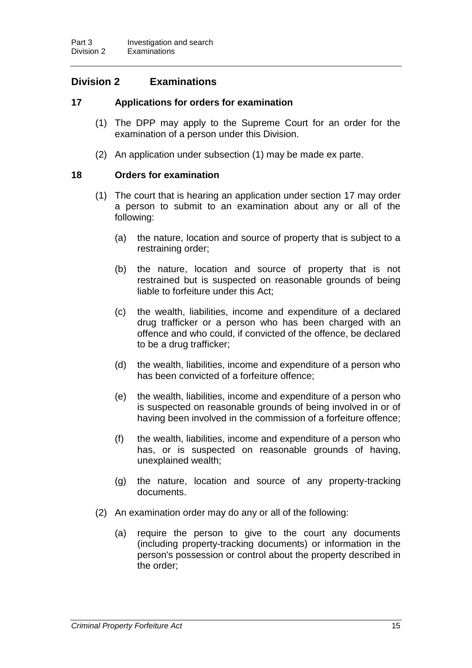### **Division 2 Examinations**

#### **17 Applications for orders for examination**

- (1) The DPP may apply to the Supreme Court for an order for the examination of a person under this Division.
- (2) An application under subsection (1) may be made ex parte.

#### **18 Orders for examination**

- (1) The court that is hearing an application under section 17 may order a person to submit to an examination about any or all of the following:
	- (a) the nature, location and source of property that is subject to a restraining order;
	- (b) the nature, location and source of property that is not restrained but is suspected on reasonable grounds of being liable to forfeiture under this Act;
	- (c) the wealth, liabilities, income and expenditure of a declared drug trafficker or a person who has been charged with an offence and who could, if convicted of the offence, be declared to be a drug trafficker;
	- (d) the wealth, liabilities, income and expenditure of a person who has been convicted of a forfeiture offence;
	- (e) the wealth, liabilities, income and expenditure of a person who is suspected on reasonable grounds of being involved in or of having been involved in the commission of a forfeiture offence;
	- (f) the wealth, liabilities, income and expenditure of a person who has, or is suspected on reasonable grounds of having, unexplained wealth;
	- (g) the nature, location and source of any property-tracking documents.
- (2) An examination order may do any or all of the following:
	- (a) require the person to give to the court any documents (including property-tracking documents) or information in the person's possession or control about the property described in the order;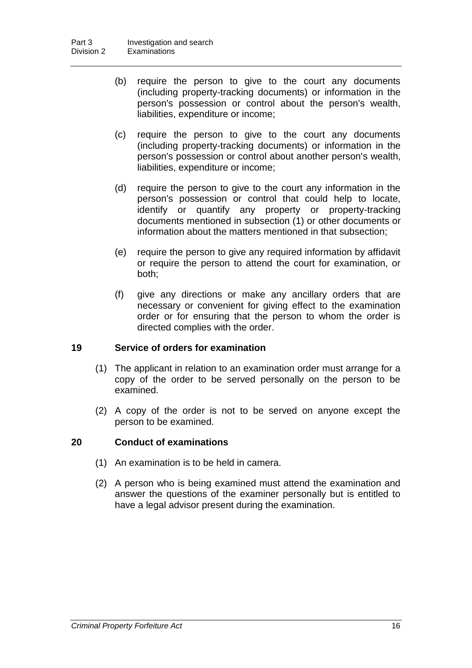- (b) require the person to give to the court any documents (including property-tracking documents) or information in the person's possession or control about the person's wealth, liabilities, expenditure or income;
- (c) require the person to give to the court any documents (including property-tracking documents) or information in the person's possession or control about another person's wealth, liabilities, expenditure or income;
- (d) require the person to give to the court any information in the person's possession or control that could help to locate, identify or quantify any property or property-tracking documents mentioned in subsection (1) or other documents or information about the matters mentioned in that subsection;
- (e) require the person to give any required information by affidavit or require the person to attend the court for examination, or both;
- (f) give any directions or make any ancillary orders that are necessary or convenient for giving effect to the examination order or for ensuring that the person to whom the order is directed complies with the order.

#### **19 Service of orders for examination**

- (1) The applicant in relation to an examination order must arrange for a copy of the order to be served personally on the person to be examined.
- (2) A copy of the order is not to be served on anyone except the person to be examined.

#### **20 Conduct of examinations**

- (1) An examination is to be held in camera.
- (2) A person who is being examined must attend the examination and answer the questions of the examiner personally but is entitled to have a legal advisor present during the examination.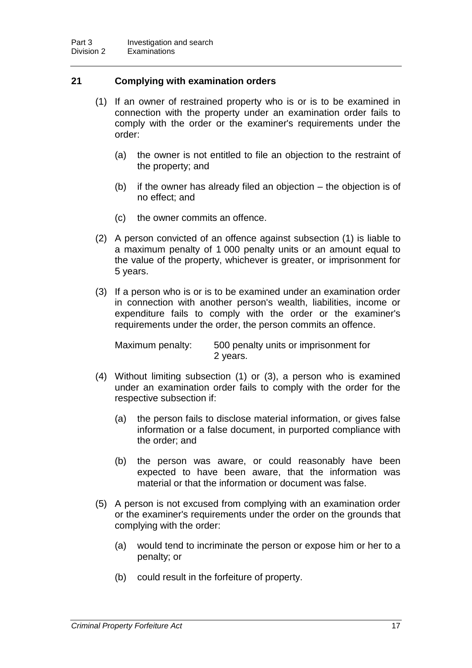#### **21 Complying with examination orders**

- (1) If an owner of restrained property who is or is to be examined in connection with the property under an examination order fails to comply with the order or the examiner's requirements under the order:
	- (a) the owner is not entitled to file an objection to the restraint of the property; and
	- (b) if the owner has already filed an objection the objection is of no effect; and
	- (c) the owner commits an offence.
- (2) A person convicted of an offence against subsection (1) is liable to a maximum penalty of 1 000 penalty units or an amount equal to the value of the property, whichever is greater, or imprisonment for 5 years.
- (3) If a person who is or is to be examined under an examination order in connection with another person's wealth, liabilities, income or expenditure fails to comply with the order or the examiner's requirements under the order, the person commits an offence.

Maximum penalty: 500 penalty units or imprisonment for 2 years.

- (4) Without limiting subsection (1) or (3), a person who is examined under an examination order fails to comply with the order for the respective subsection if:
	- (a) the person fails to disclose material information, or gives false information or a false document, in purported compliance with the order; and
	- (b) the person was aware, or could reasonably have been expected to have been aware, that the information was material or that the information or document was false.
- (5) A person is not excused from complying with an examination order or the examiner's requirements under the order on the grounds that complying with the order:
	- (a) would tend to incriminate the person or expose him or her to a penalty; or
	- (b) could result in the forfeiture of property.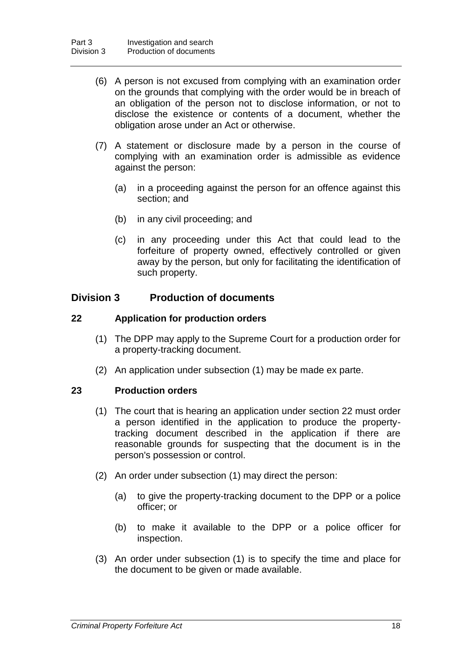- (6) A person is not excused from complying with an examination order on the grounds that complying with the order would be in breach of an obligation of the person not to disclose information, or not to disclose the existence or contents of a document, whether the obligation arose under an Act or otherwise.
- (7) A statement or disclosure made by a person in the course of complying with an examination order is admissible as evidence against the person:
	- (a) in a proceeding against the person for an offence against this section; and
	- (b) in any civil proceeding; and
	- (c) in any proceeding under this Act that could lead to the forfeiture of property owned, effectively controlled or given away by the person, but only for facilitating the identification of such property.

#### **Division 3 Production of documents**

#### **22 Application for production orders**

- (1) The DPP may apply to the Supreme Court for a production order for a property-tracking document.
- (2) An application under subsection (1) may be made ex parte.

#### **23 Production orders**

- (1) The court that is hearing an application under section 22 must order a person identified in the application to produce the propertytracking document described in the application if there are reasonable grounds for suspecting that the document is in the person's possession or control.
- (2) An order under subsection (1) may direct the person:
	- (a) to give the property-tracking document to the DPP or a police officer; or
	- (b) to make it available to the DPP or a police officer for inspection.
- (3) An order under subsection (1) is to specify the time and place for the document to be given or made available.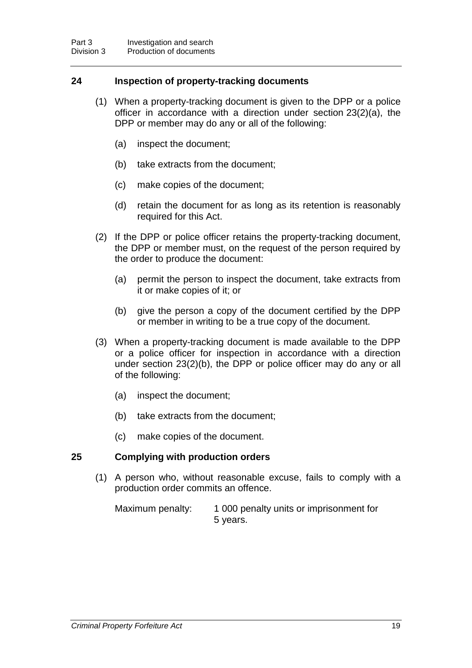#### **24 Inspection of property-tracking documents**

- (1) When a property-tracking document is given to the DPP or a police officer in accordance with a direction under section 23(2)(a), the DPP or member may do any or all of the following:
	- (a) inspect the document;
	- (b) take extracts from the document;
	- (c) make copies of the document;
	- (d) retain the document for as long as its retention is reasonably required for this Act.
- (2) If the DPP or police officer retains the property-tracking document, the DPP or member must, on the request of the person required by the order to produce the document:
	- (a) permit the person to inspect the document, take extracts from it or make copies of it; or
	- (b) give the person a copy of the document certified by the DPP or member in writing to be a true copy of the document.
- (3) When a property-tracking document is made available to the DPP or a police officer for inspection in accordance with a direction under section 23(2)(b), the DPP or police officer may do any or all of the following:
	- (a) inspect the document;
	- (b) take extracts from the document;
	- (c) make copies of the document.

#### **25 Complying with production orders**

(1) A person who, without reasonable excuse, fails to comply with a production order commits an offence.

Maximum penalty: 1 000 penalty units or imprisonment for 5 years.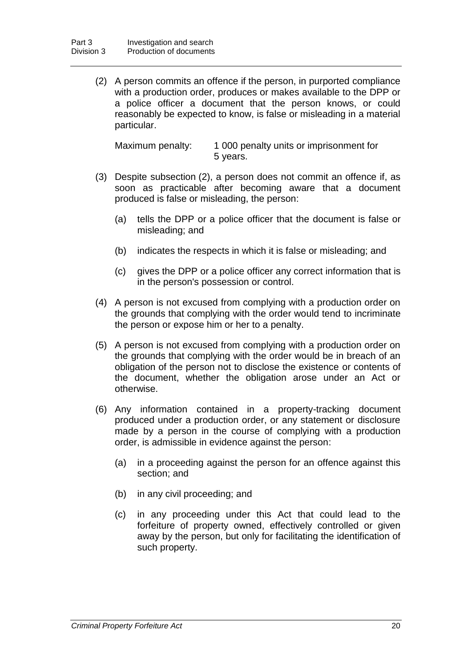(2) A person commits an offence if the person, in purported compliance with a production order, produces or makes available to the DPP or a police officer a document that the person knows, or could reasonably be expected to know, is false or misleading in a material particular.

| Maximum penalty: | 1 000 penalty units or imprisonment for |
|------------------|-----------------------------------------|
|                  | 5 years.                                |

- (3) Despite subsection (2), a person does not commit an offence if, as soon as practicable after becoming aware that a document produced is false or misleading, the person:
	- (a) tells the DPP or a police officer that the document is false or misleading; and
	- (b) indicates the respects in which it is false or misleading; and
	- (c) gives the DPP or a police officer any correct information that is in the person's possession or control.
- (4) A person is not excused from complying with a production order on the grounds that complying with the order would tend to incriminate the person or expose him or her to a penalty.
- (5) A person is not excused from complying with a production order on the grounds that complying with the order would be in breach of an obligation of the person not to disclose the existence or contents of the document, whether the obligation arose under an Act or otherwise.
- (6) Any information contained in a property-tracking document produced under a production order, or any statement or disclosure made by a person in the course of complying with a production order, is admissible in evidence against the person:
	- (a) in a proceeding against the person for an offence against this section; and
	- (b) in any civil proceeding; and
	- (c) in any proceeding under this Act that could lead to the forfeiture of property owned, effectively controlled or given away by the person, but only for facilitating the identification of such property.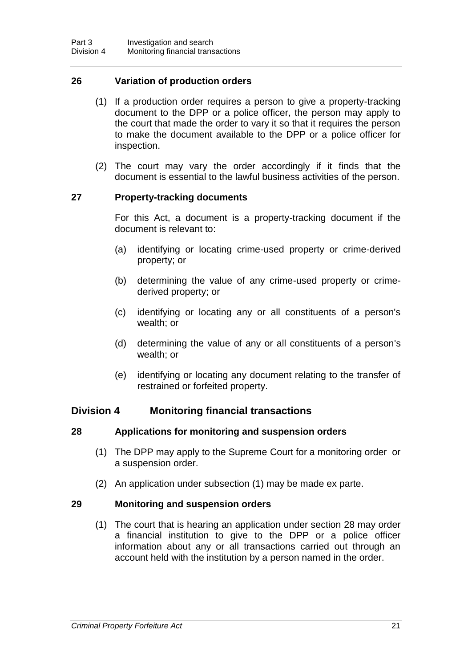#### **26 Variation of production orders**

- (1) If a production order requires a person to give a property-tracking document to the DPP or a police officer, the person may apply to the court that made the order to vary it so that it requires the person to make the document available to the DPP or a police officer for inspection.
- (2) The court may vary the order accordingly if it finds that the document is essential to the lawful business activities of the person.

#### **27 Property-tracking documents**

For this Act, a document is a property-tracking document if the document is relevant to:

- (a) identifying or locating crime-used property or crime-derived property; or
- (b) determining the value of any crime-used property or crimederived property; or
- (c) identifying or locating any or all constituents of a person's wealth; or
- (d) determining the value of any or all constituents of a person's wealth; or
- (e) identifying or locating any document relating to the transfer of restrained or forfeited property.

#### **Division 4 Monitoring financial transactions**

#### **28 Applications for monitoring and suspension orders**

- (1) The DPP may apply to the Supreme Court for a monitoring order or a suspension order.
- (2) An application under subsection (1) may be made ex parte.

#### **29 Monitoring and suspension orders**

(1) The court that is hearing an application under section 28 may order a financial institution to give to the DPP or a police officer information about any or all transactions carried out through an account held with the institution by a person named in the order.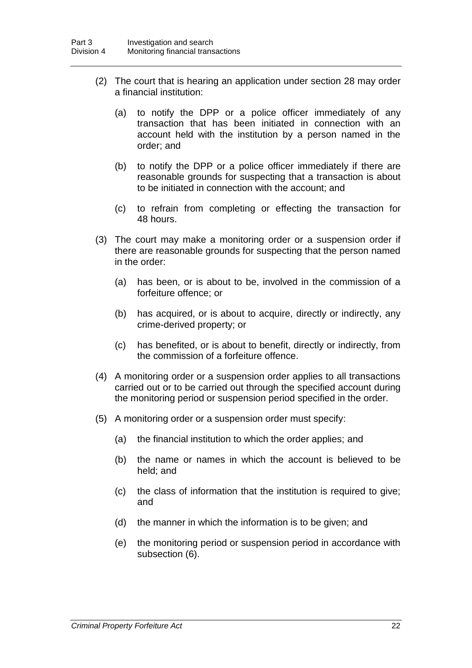- (2) The court that is hearing an application under section 28 may order a financial institution:
	- (a) to notify the DPP or a police officer immediately of any transaction that has been initiated in connection with an account held with the institution by a person named in the order; and
	- (b) to notify the DPP or a police officer immediately if there are reasonable grounds for suspecting that a transaction is about to be initiated in connection with the account; and
	- (c) to refrain from completing or effecting the transaction for 48 hours.
- (3) The court may make a monitoring order or a suspension order if there are reasonable grounds for suspecting that the person named in the order:
	- (a) has been, or is about to be, involved in the commission of a forfeiture offence; or
	- (b) has acquired, or is about to acquire, directly or indirectly, any crime-derived property; or
	- (c) has benefited, or is about to benefit, directly or indirectly, from the commission of a forfeiture offence.
- (4) A monitoring order or a suspension order applies to all transactions carried out or to be carried out through the specified account during the monitoring period or suspension period specified in the order.
- (5) A monitoring order or a suspension order must specify:
	- (a) the financial institution to which the order applies; and
	- (b) the name or names in which the account is believed to be held; and
	- (c) the class of information that the institution is required to give; and
	- (d) the manner in which the information is to be given; and
	- (e) the monitoring period or suspension period in accordance with subsection (6).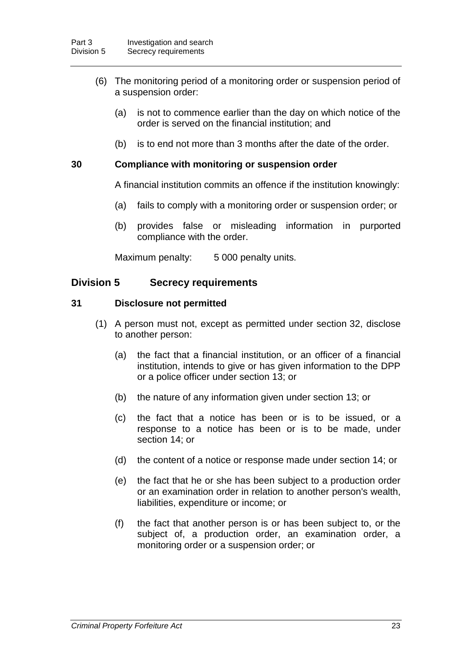- (6) The monitoring period of a monitoring order or suspension period of a suspension order:
	- (a) is not to commence earlier than the day on which notice of the order is served on the financial institution; and
	- (b) is to end not more than 3 months after the date of the order.

#### **30 Compliance with monitoring or suspension order**

A financial institution commits an offence if the institution knowingly:

- (a) fails to comply with a monitoring order or suspension order; or
- (b) provides false or misleading information in purported compliance with the order.

Maximum penalty: 5 000 penalty units.

#### **Division 5 Secrecy requirements**

#### **31 Disclosure not permitted**

- (1) A person must not, except as permitted under section 32, disclose to another person:
	- (a) the fact that a financial institution, or an officer of a financial institution, intends to give or has given information to the DPP or a police officer under section 13; or
	- (b) the nature of any information given under section 13; or
	- (c) the fact that a notice has been or is to be issued, or a response to a notice has been or is to be made, under section 14; or
	- (d) the content of a notice or response made under section 14; or
	- (e) the fact that he or she has been subject to a production order or an examination order in relation to another person's wealth, liabilities, expenditure or income; or
	- (f) the fact that another person is or has been subject to, or the subject of, a production order, an examination order, a monitoring order or a suspension order; or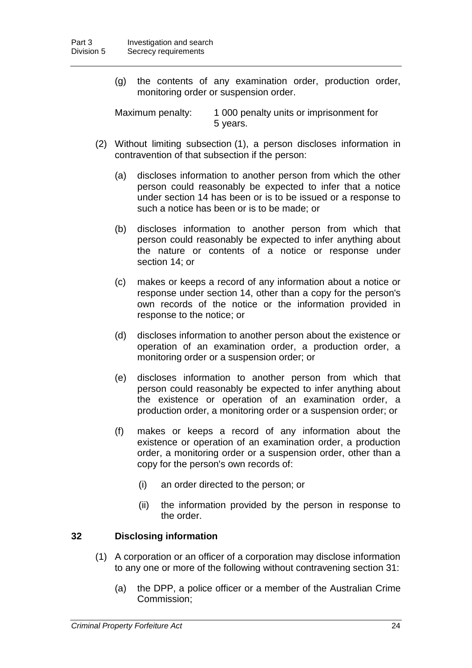(g) the contents of any examination order, production order, monitoring order or suspension order.

Maximum penalty: 1 000 penalty units or imprisonment for 5 years.

- (2) Without limiting subsection (1), a person discloses information in contravention of that subsection if the person:
	- (a) discloses information to another person from which the other person could reasonably be expected to infer that a notice under section 14 has been or is to be issued or a response to such a notice has been or is to be made; or
	- (b) discloses information to another person from which that person could reasonably be expected to infer anything about the nature or contents of a notice or response under section 14; or
	- (c) makes or keeps a record of any information about a notice or response under section 14, other than a copy for the person's own records of the notice or the information provided in response to the notice; or
	- (d) discloses information to another person about the existence or operation of an examination order, a production order, a monitoring order or a suspension order; or
	- (e) discloses information to another person from which that person could reasonably be expected to infer anything about the existence or operation of an examination order, a production order, a monitoring order or a suspension order; or
	- (f) makes or keeps a record of any information about the existence or operation of an examination order, a production order, a monitoring order or a suspension order, other than a copy for the person's own records of:
		- (i) an order directed to the person; or
		- (ii) the information provided by the person in response to the order.

#### **32 Disclosing information**

- (1) A corporation or an officer of a corporation may disclose information to any one or more of the following without contravening section 31:
	- (a) the DPP, a police officer or a member of the Australian Crime Commission;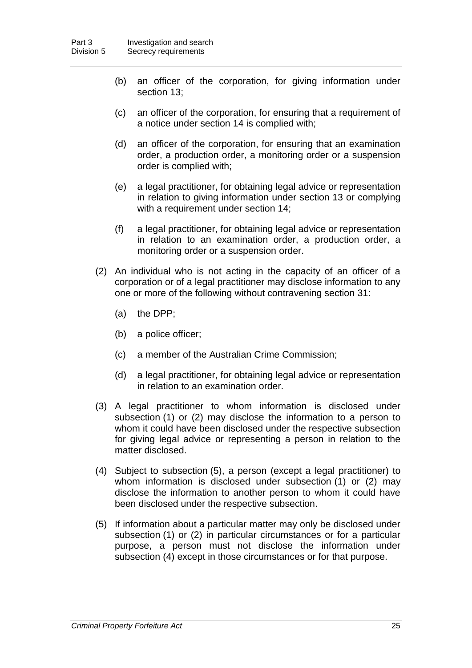- (b) an officer of the corporation, for giving information under section 13;
- (c) an officer of the corporation, for ensuring that a requirement of a notice under section 14 is complied with;
- (d) an officer of the corporation, for ensuring that an examination order, a production order, a monitoring order or a suspension order is complied with;
- (e) a legal practitioner, for obtaining legal advice or representation in relation to giving information under section 13 or complying with a requirement under section 14;
- (f) a legal practitioner, for obtaining legal advice or representation in relation to an examination order, a production order, a monitoring order or a suspension order.
- (2) An individual who is not acting in the capacity of an officer of a corporation or of a legal practitioner may disclose information to any one or more of the following without contravening section 31:
	- (a) the DPP;
	- (b) a police officer;
	- (c) a member of the Australian Crime Commission;
	- (d) a legal practitioner, for obtaining legal advice or representation in relation to an examination order.
- (3) A legal practitioner to whom information is disclosed under subsection (1) or (2) may disclose the information to a person to whom it could have been disclosed under the respective subsection for giving legal advice or representing a person in relation to the matter disclosed.
- (4) Subject to subsection (5), a person (except a legal practitioner) to whom information is disclosed under subsection (1) or (2) may disclose the information to another person to whom it could have been disclosed under the respective subsection.
- (5) If information about a particular matter may only be disclosed under subsection (1) or (2) in particular circumstances or for a particular purpose, a person must not disclose the information under subsection (4) except in those circumstances or for that purpose.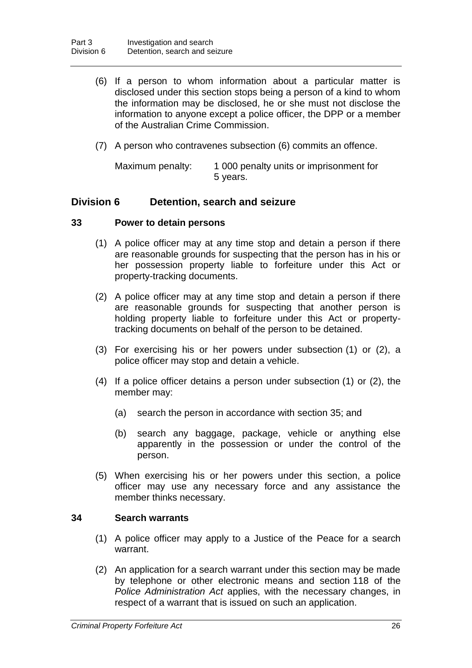- (6) If a person to whom information about a particular matter is disclosed under this section stops being a person of a kind to whom the information may be disclosed, he or she must not disclose the information to anyone except a police officer, the DPP or a member of the Australian Crime Commission.
- (7) A person who contravenes subsection (6) commits an offence.

Maximum penalty: 1 000 penalty units or imprisonment for 5 years.

#### **Division 6 Detention, search and seizure**

#### **33 Power to detain persons**

- (1) A police officer may at any time stop and detain a person if there are reasonable grounds for suspecting that the person has in his or her possession property liable to forfeiture under this Act or property-tracking documents.
- (2) A police officer may at any time stop and detain a person if there are reasonable grounds for suspecting that another person is holding property liable to forfeiture under this Act or propertytracking documents on behalf of the person to be detained.
- (3) For exercising his or her powers under subsection (1) or (2), a police officer may stop and detain a vehicle.
- (4) If a police officer detains a person under subsection (1) or (2), the member may:
	- (a) search the person in accordance with section 35; and
	- (b) search any baggage, package, vehicle or anything else apparently in the possession or under the control of the person.
- (5) When exercising his or her powers under this section, a police officer may use any necessary force and any assistance the member thinks necessary.

#### **34 Search warrants**

- (1) A police officer may apply to a Justice of the Peace for a search warrant.
- (2) An application for a search warrant under this section may be made by telephone or other electronic means and section 118 of the *Police Administration Act* applies, with the necessary changes, in respect of a warrant that is issued on such an application.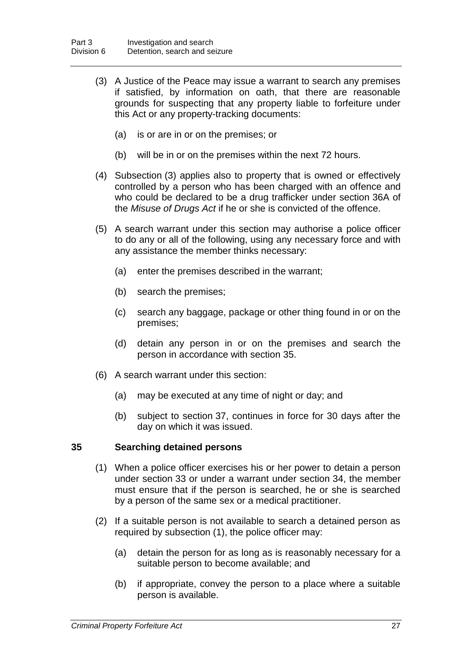- (3) A Justice of the Peace may issue a warrant to search any premises if satisfied, by information on oath, that there are reasonable grounds for suspecting that any property liable to forfeiture under this Act or any property-tracking documents:
	- (a) is or are in or on the premises; or
	- (b) will be in or on the premises within the next 72 hours.
- (4) Subsection (3) applies also to property that is owned or effectively controlled by a person who has been charged with an offence and who could be declared to be a drug trafficker under section 36A of the *Misuse of Drugs Act* if he or she is convicted of the offence.
- (5) A search warrant under this section may authorise a police officer to do any or all of the following, using any necessary force and with any assistance the member thinks necessary:
	- (a) enter the premises described in the warrant;
	- (b) search the premises;
	- (c) search any baggage, package or other thing found in or on the premises;
	- (d) detain any person in or on the premises and search the person in accordance with section 35.
- (6) A search warrant under this section:
	- (a) may be executed at any time of night or day; and
	- (b) subject to section 37, continues in force for 30 days after the day on which it was issued.

#### **35 Searching detained persons**

- (1) When a police officer exercises his or her power to detain a person under section 33 or under a warrant under section 34, the member must ensure that if the person is searched, he or she is searched by a person of the same sex or a medical practitioner.
- (2) If a suitable person is not available to search a detained person as required by subsection (1), the police officer may:
	- (a) detain the person for as long as is reasonably necessary for a suitable person to become available; and
	- (b) if appropriate, convey the person to a place where a suitable person is available.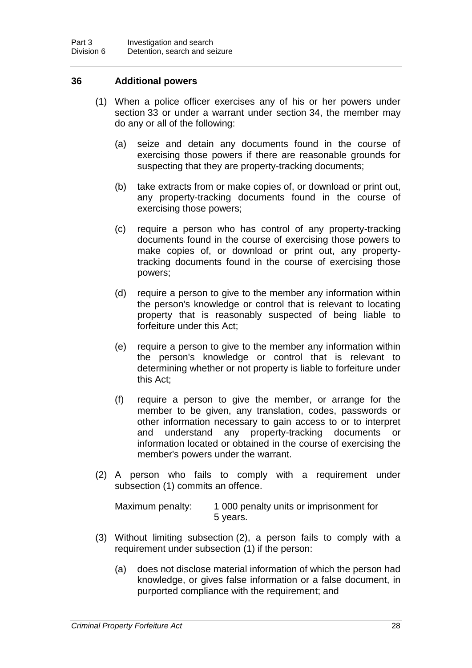#### **36 Additional powers**

- (1) When a police officer exercises any of his or her powers under section 33 or under a warrant under section 34, the member may do any or all of the following:
	- (a) seize and detain any documents found in the course of exercising those powers if there are reasonable grounds for suspecting that they are property-tracking documents;
	- (b) take extracts from or make copies of, or download or print out, any property-tracking documents found in the course of exercising those powers;
	- (c) require a person who has control of any property-tracking documents found in the course of exercising those powers to make copies of, or download or print out, any propertytracking documents found in the course of exercising those powers;
	- (d) require a person to give to the member any information within the person's knowledge or control that is relevant to locating property that is reasonably suspected of being liable to forfeiture under this Act;
	- (e) require a person to give to the member any information within the person's knowledge or control that is relevant to determining whether or not property is liable to forfeiture under this Act;
	- (f) require a person to give the member, or arrange for the member to be given, any translation, codes, passwords or other information necessary to gain access to or to interpret and understand any property-tracking documents or information located or obtained in the course of exercising the member's powers under the warrant.
- (2) A person who fails to comply with a requirement under subsection (1) commits an offence.

| Maximum penalty: | 1 000 penalty units or imprisonment for |
|------------------|-----------------------------------------|
|                  | 5 years.                                |

- (3) Without limiting subsection (2), a person fails to comply with a requirement under subsection (1) if the person:
	- (a) does not disclose material information of which the person had knowledge, or gives false information or a false document, in purported compliance with the requirement; and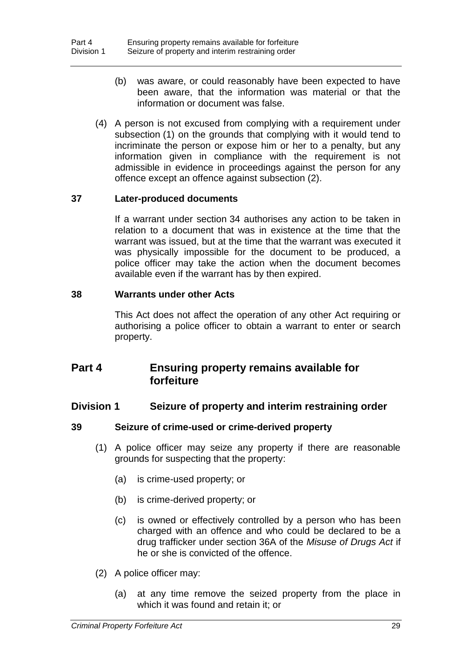- (b) was aware, or could reasonably have been expected to have been aware, that the information was material or that the information or document was false.
- (4) A person is not excused from complying with a requirement under subsection (1) on the grounds that complying with it would tend to incriminate the person or expose him or her to a penalty, but any information given in compliance with the requirement is not admissible in evidence in proceedings against the person for any offence except an offence against subsection (2).

#### **37 Later-produced documents**

If a warrant under section 34 authorises any action to be taken in relation to a document that was in existence at the time that the warrant was issued, but at the time that the warrant was executed it was physically impossible for the document to be produced, a police officer may take the action when the document becomes available even if the warrant has by then expired.

#### **38 Warrants under other Acts**

This Act does not affect the operation of any other Act requiring or authorising a police officer to obtain a warrant to enter or search property.

## **Part 4 Ensuring property remains available for forfeiture**

#### **Division 1 Seizure of property and interim restraining order**

#### **39 Seizure of crime-used or crime-derived property**

- (1) A police officer may seize any property if there are reasonable grounds for suspecting that the property:
	- (a) is crime-used property; or
	- (b) is crime-derived property; or
	- (c) is owned or effectively controlled by a person who has been charged with an offence and who could be declared to be a drug trafficker under section 36A of the *Misuse of Drugs Act* if he or she is convicted of the offence.
- (2) A police officer may:
	- (a) at any time remove the seized property from the place in which it was found and retain it; or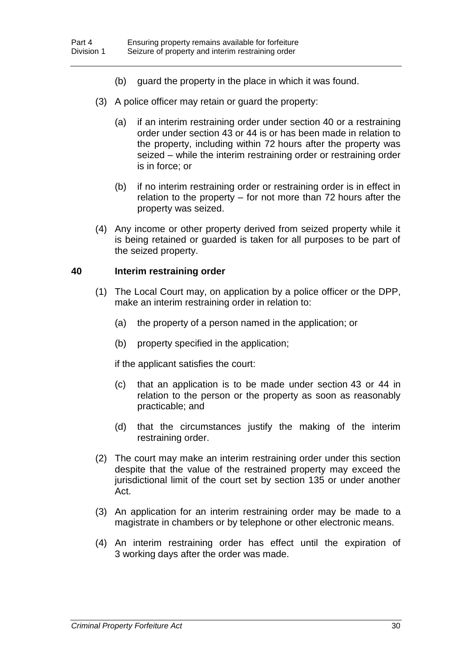- (b) guard the property in the place in which it was found.
- (3) A police officer may retain or guard the property:
	- (a) if an interim restraining order under section 40 or a restraining order under section 43 or 44 is or has been made in relation to the property, including within 72 hours after the property was seized *–* while the interim restraining order or restraining order is in force; or
	- (b) if no interim restraining order or restraining order is in effect in relation to the property *–* for not more than 72 hours after the property was seized.
- (4) Any income or other property derived from seized property while it is being retained or guarded is taken for all purposes to be part of the seized property.

#### **40 Interim restraining order**

- (1) The Local Court may, on application by a police officer or the DPP, make an interim restraining order in relation to:
	- (a) the property of a person named in the application; or
	- (b) property specified in the application;

if the applicant satisfies the court:

- (c) that an application is to be made under section 43 or 44 in relation to the person or the property as soon as reasonably practicable; and
- (d) that the circumstances justify the making of the interim restraining order.
- (2) The court may make an interim restraining order under this section despite that the value of the restrained property may exceed the jurisdictional limit of the court set by section 135 or under another Act.
- (3) An application for an interim restraining order may be made to a magistrate in chambers or by telephone or other electronic means.
- (4) An interim restraining order has effect until the expiration of 3 working days after the order was made.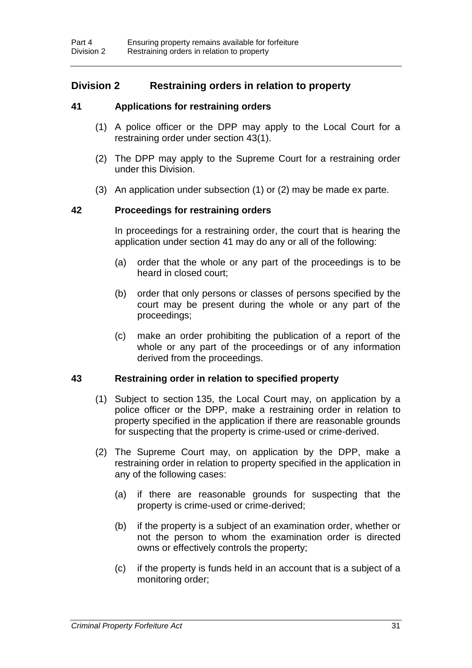# **Division 2 Restraining orders in relation to property**

# **41 Applications for restraining orders**

- (1) A police officer or the DPP may apply to the Local Court for a restraining order under section 43(1).
- (2) The DPP may apply to the Supreme Court for a restraining order under this Division.
- (3) An application under subsection (1) or (2) may be made ex parte.

# **42 Proceedings for restraining orders**

In proceedings for a restraining order, the court that is hearing the application under section 41 may do any or all of the following:

- (a) order that the whole or any part of the proceedings is to be heard in closed court;
- (b) order that only persons or classes of persons specified by the court may be present during the whole or any part of the proceedings;
- (c) make an order prohibiting the publication of a report of the whole or any part of the proceedings or of any information derived from the proceedings.

# **43 Restraining order in relation to specified property**

- (1) Subject to section 135, the Local Court may, on application by a police officer or the DPP, make a restraining order in relation to property specified in the application if there are reasonable grounds for suspecting that the property is crime-used or crime-derived.
- (2) The Supreme Court may, on application by the DPP, make a restraining order in relation to property specified in the application in any of the following cases:
	- (a) if there are reasonable grounds for suspecting that the property is crime-used or crime-derived;
	- (b) if the property is a subject of an examination order, whether or not the person to whom the examination order is directed owns or effectively controls the property;
	- (c) if the property is funds held in an account that is a subject of a monitoring order;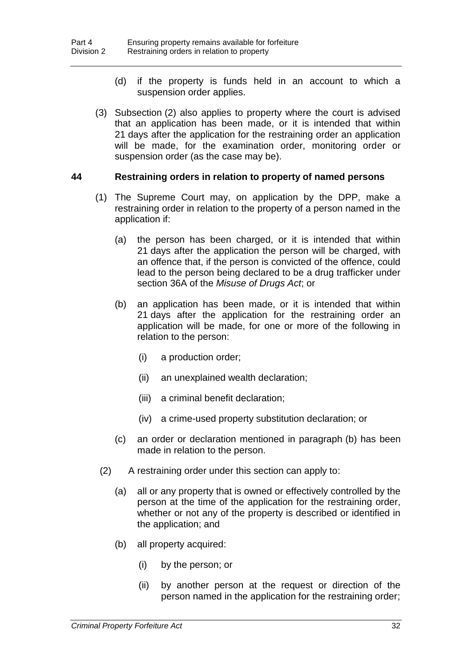- (d) if the property is funds held in an account to which a suspension order applies.
- (3) Subsection (2) also applies to property where the court is advised that an application has been made, or it is intended that within 21 days after the application for the restraining order an application will be made, for the examination order, monitoring order or suspension order (as the case may be).

#### **44 Restraining orders in relation to property of named persons**

- (1) The Supreme Court may, on application by the DPP, make a restraining order in relation to the property of a person named in the application if:
	- (a) the person has been charged, or it is intended that within 21 days after the application the person will be charged, with an offence that, if the person is convicted of the offence, could lead to the person being declared to be a drug trafficker under section 36A of the *Misuse of Drugs Act*; or
	- (b) an application has been made, or it is intended that within 21 days after the application for the restraining order an application will be made, for one or more of the following in relation to the person:
		- (i) a production order;
		- (ii) an unexplained wealth declaration;
		- (iii) a criminal benefit declaration;
		- (iv) a crime-used property substitution declaration; or
	- (c) an order or declaration mentioned in paragraph (b) has been made in relation to the person.
	- (2) A restraining order under this section can apply to:
		- (a) all or any property that is owned or effectively controlled by the person at the time of the application for the restraining order, whether or not any of the property is described or identified in the application; and
		- (b) all property acquired:
			- (i) by the person; or
			- (ii) by another person at the request or direction of the person named in the application for the restraining order;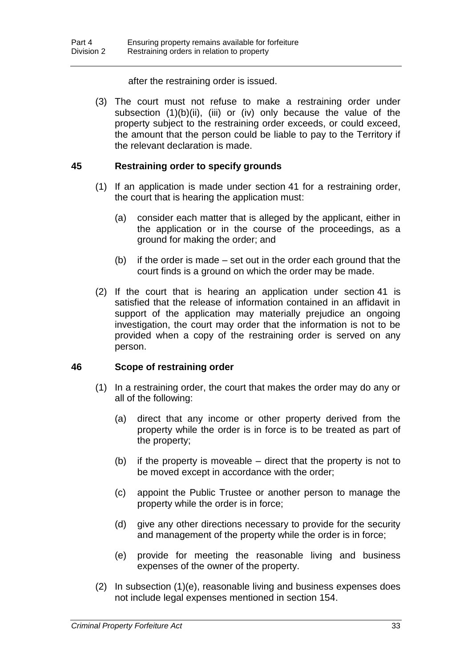#### after the restraining order is issued.

(3) The court must not refuse to make a restraining order under subsection (1)(b)(ii), (iii) or (iv) only because the value of the property subject to the restraining order exceeds, or could exceed, the amount that the person could be liable to pay to the Territory if the relevant declaration is made.

# **45 Restraining order to specify grounds**

- (1) If an application is made under section 41 for a restraining order, the court that is hearing the application must:
	- (a) consider each matter that is alleged by the applicant, either in the application or in the course of the proceedings, as a ground for making the order; and
	- (b) if the order is made set out in the order each ground that the court finds is a ground on which the order may be made.
- (2) If the court that is hearing an application under section 41 is satisfied that the release of information contained in an affidavit in support of the application may materially prejudice an ongoing investigation, the court may order that the information is not to be provided when a copy of the restraining order is served on any person.

# **46 Scope of restraining order**

- (1) In a restraining order, the court that makes the order may do any or all of the following:
	- (a) direct that any income or other property derived from the property while the order is in force is to be treated as part of the property;
	- (b) if the property is moveable direct that the property is not to be moved except in accordance with the order;
	- (c) appoint the Public Trustee or another person to manage the property while the order is in force;
	- (d) give any other directions necessary to provide for the security and management of the property while the order is in force;
	- (e) provide for meeting the reasonable living and business expenses of the owner of the property.
- (2) In subsection (1)(e), reasonable living and business expenses does not include legal expenses mentioned in section 154.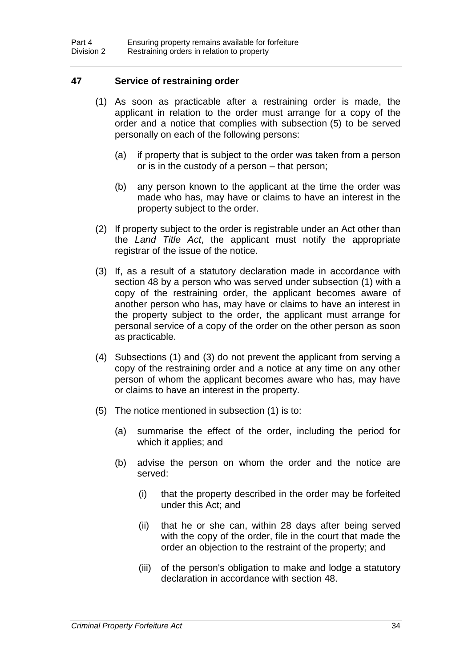# **47 Service of restraining order**

- (1) As soon as practicable after a restraining order is made, the applicant in relation to the order must arrange for a copy of the order and a notice that complies with subsection (5) to be served personally on each of the following persons:
	- (a) if property that is subject to the order was taken from a person or is in the custody of a person – that person;
	- (b) any person known to the applicant at the time the order was made who has, may have or claims to have an interest in the property subject to the order.
- (2) If property subject to the order is registrable under an Act other than the *Land Title Act*, the applicant must notify the appropriate registrar of the issue of the notice.
- (3) If, as a result of a statutory declaration made in accordance with section 48 by a person who was served under subsection (1) with a copy of the restraining order, the applicant becomes aware of another person who has, may have or claims to have an interest in the property subject to the order, the applicant must arrange for personal service of a copy of the order on the other person as soon as practicable.
- (4) Subsections (1) and (3) do not prevent the applicant from serving a copy of the restraining order and a notice at any time on any other person of whom the applicant becomes aware who has, may have or claims to have an interest in the property.
- (5) The notice mentioned in subsection (1) is to:
	- (a) summarise the effect of the order, including the period for which it applies; and
	- (b) advise the person on whom the order and the notice are served:
		- (i) that the property described in the order may be forfeited under this Act; and
		- (ii) that he or she can, within 28 days after being served with the copy of the order, file in the court that made the order an objection to the restraint of the property; and
		- (iii) of the person's obligation to make and lodge a statutory declaration in accordance with section 48.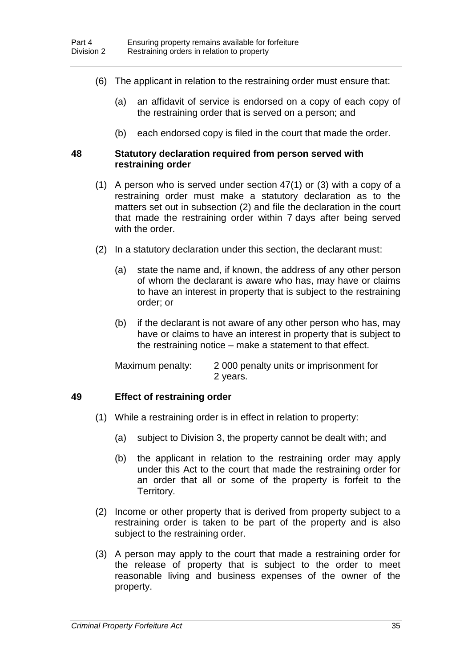- (6) The applicant in relation to the restraining order must ensure that:
	- (a) an affidavit of service is endorsed on a copy of each copy of the restraining order that is served on a person; and
	- (b) each endorsed copy is filed in the court that made the order.

#### **48 Statutory declaration required from person served with restraining order**

- (1) A person who is served under section 47(1) or (3) with a copy of a restraining order must make a statutory declaration as to the matters set out in subsection (2) and file the declaration in the court that made the restraining order within 7 days after being served with the order.
- (2) In a statutory declaration under this section, the declarant must:
	- (a) state the name and, if known, the address of any other person of whom the declarant is aware who has, may have or claims to have an interest in property that is subject to the restraining order; or
	- (b) if the declarant is not aware of any other person who has, may have or claims to have an interest in property that is subject to the restraining notice – make a statement to that effect.

| Maximum penalty: | 2000 penalty units or imprisonment for |
|------------------|----------------------------------------|
|                  | 2 years.                               |

# **49 Effect of restraining order**

- (1) While a restraining order is in effect in relation to property:
	- (a) subject to Division 3, the property cannot be dealt with; and
	- (b) the applicant in relation to the restraining order may apply under this Act to the court that made the restraining order for an order that all or some of the property is forfeit to the Territory.
- (2) Income or other property that is derived from property subject to a restraining order is taken to be part of the property and is also subject to the restraining order.
- (3) A person may apply to the court that made a restraining order for the release of property that is subject to the order to meet reasonable living and business expenses of the owner of the property.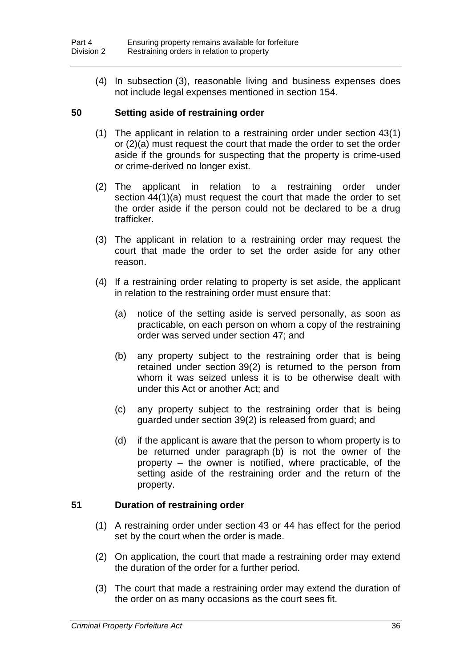(4) In subsection (3), reasonable living and business expenses does not include legal expenses mentioned in section 154.

# **50 Setting aside of restraining order**

- (1) The applicant in relation to a restraining order under section 43(1) or (2)(a) must request the court that made the order to set the order aside if the grounds for suspecting that the property is crime-used or crime-derived no longer exist.
- (2) The applicant in relation to a restraining order under section  $44(1)(a)$  must request the court that made the order to set the order aside if the person could not be declared to be a drug trafficker.
- (3) The applicant in relation to a restraining order may request the court that made the order to set the order aside for any other reason.
- (4) If a restraining order relating to property is set aside, the applicant in relation to the restraining order must ensure that:
	- (a) notice of the setting aside is served personally, as soon as practicable, on each person on whom a copy of the restraining order was served under section 47; and
	- (b) any property subject to the restraining order that is being retained under section 39(2) is returned to the person from whom it was seized unless it is to be otherwise dealt with under this Act or another Act; and
	- (c) any property subject to the restraining order that is being guarded under section 39(2) is released from guard; and
	- (d) if the applicant is aware that the person to whom property is to be returned under paragraph (b) is not the owner of the property – the owner is notified, where practicable, of the setting aside of the restraining order and the return of the property.

#### **51 Duration of restraining order**

- (1) A restraining order under section 43 or 44 has effect for the period set by the court when the order is made.
- (2) On application, the court that made a restraining order may extend the duration of the order for a further period.
- (3) The court that made a restraining order may extend the duration of the order on as many occasions as the court sees fit.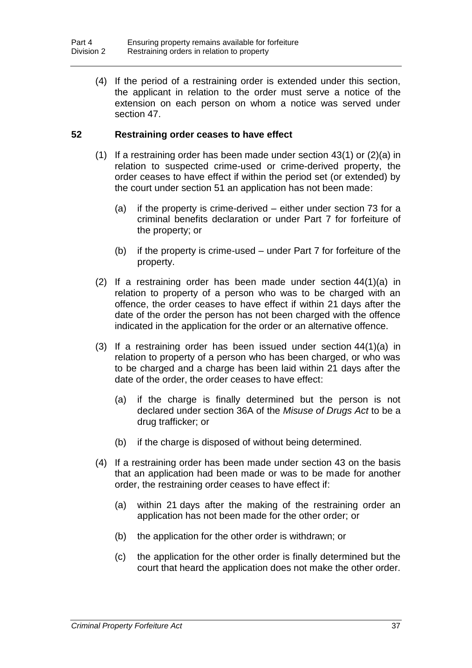(4) If the period of a restraining order is extended under this section, the applicant in relation to the order must serve a notice of the extension on each person on whom a notice was served under section 47.

# **52 Restraining order ceases to have effect**

- (1) If a restraining order has been made under section  $43(1)$  or  $(2)(a)$  in relation to suspected crime-used or crime-derived property, the order ceases to have effect if within the period set (or extended) by the court under section 51 an application has not been made:
	- (a) if the property is crime-derived either under section 73 for a criminal benefits declaration or under Part 7 for forfeiture of the property; or
	- (b) if the property is crime-used under Part 7 for forfeiture of the property.
- (2) If a restraining order has been made under section 44(1)(a) in relation to property of a person who was to be charged with an offence, the order ceases to have effect if within 21 days after the date of the order the person has not been charged with the offence indicated in the application for the order or an alternative offence.
- (3) If a restraining order has been issued under section 44(1)(a) in relation to property of a person who has been charged, or who was to be charged and a charge has been laid within 21 days after the date of the order, the order ceases to have effect:
	- (a) if the charge is finally determined but the person is not declared under section 36A of the *Misuse of Drugs Act* to be a drug trafficker; or
	- (b) if the charge is disposed of without being determined.
- (4) If a restraining order has been made under section 43 on the basis that an application had been made or was to be made for another order, the restraining order ceases to have effect if:
	- (a) within 21 days after the making of the restraining order an application has not been made for the other order; or
	- (b) the application for the other order is withdrawn; or
	- (c) the application for the other order is finally determined but the court that heard the application does not make the other order.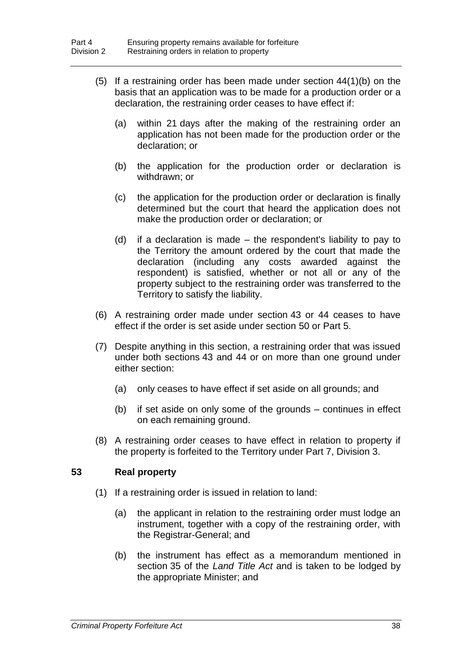- (5) If a restraining order has been made under section 44(1)(b) on the basis that an application was to be made for a production order or a declaration, the restraining order ceases to have effect if:
	- (a) within 21 days after the making of the restraining order an application has not been made for the production order or the declaration; or
	- (b) the application for the production order or declaration is withdrawn; or
	- (c) the application for the production order or declaration is finally determined but the court that heard the application does not make the production order or declaration; or
	- (d) if a declaration is made the respondent's liability to pay to the Territory the amount ordered by the court that made the declaration (including any costs awarded against the respondent) is satisfied, whether or not all or any of the property subject to the restraining order was transferred to the Territory to satisfy the liability.
- (6) A restraining order made under section 43 or 44 ceases to have effect if the order is set aside under section 50 or Part 5.
- (7) Despite anything in this section, a restraining order that was issued under both sections 43 and 44 or on more than one ground under either section:
	- (a) only ceases to have effect if set aside on all grounds; and
	- (b) if set aside on only some of the grounds continues in effect on each remaining ground.
- (8) A restraining order ceases to have effect in relation to property if the property is forfeited to the Territory under Part 7, Division 3.

# **53 Real property**

- (1) If a restraining order is issued in relation to land:
	- (a) the applicant in relation to the restraining order must lodge an instrument, together with a copy of the restraining order, with the Registrar-General; and
	- (b) the instrument has effect as a memorandum mentioned in section 35 of the *Land Title Act* and is taken to be lodged by the appropriate Minister; and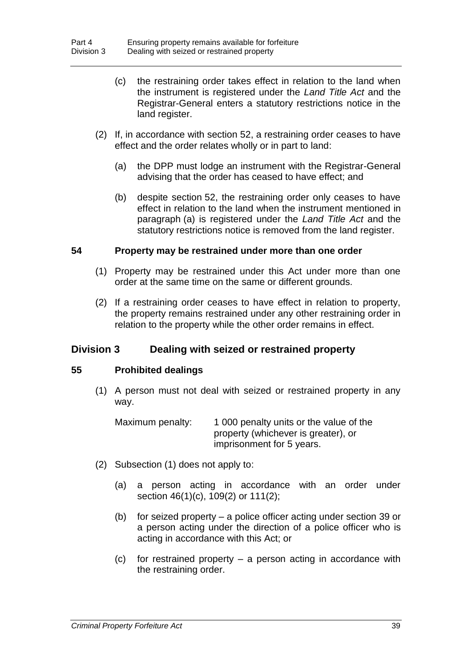- (c) the restraining order takes effect in relation to the land when the instrument is registered under the *Land Title Act* and the Registrar-General enters a statutory restrictions notice in the land register.
- (2) If, in accordance with section 52, a restraining order ceases to have effect and the order relates wholly or in part to land:
	- (a) the DPP must lodge an instrument with the Registrar-General advising that the order has ceased to have effect; and
	- (b) despite section 52, the restraining order only ceases to have effect in relation to the land when the instrument mentioned in paragraph (a) is registered under the *Land Title Act* and the statutory restrictions notice is removed from the land register.

# **54 Property may be restrained under more than one order**

- (1) Property may be restrained under this Act under more than one order at the same time on the same or different grounds.
- (2) If a restraining order ceases to have effect in relation to property, the property remains restrained under any other restraining order in relation to the property while the other order remains in effect.

# **Division 3 Dealing with seized or restrained property**

# **55 Prohibited dealings**

(1) A person must not deal with seized or restrained property in any way.

| Maximum penalty: | 1 000 penalty units or the value of the |
|------------------|-----------------------------------------|
|                  | property (whichever is greater), or     |
|                  | imprisonment for 5 years.               |

- (2) Subsection (1) does not apply to:
	- (a) a person acting in accordance with an order under section 46(1)(c), 109(2) or 111(2);
	- (b) for seized property a police officer acting under section 39 or a person acting under the direction of a police officer who is acting in accordance with this Act; or
	- (c) for restrained property a person acting in accordance with the restraining order.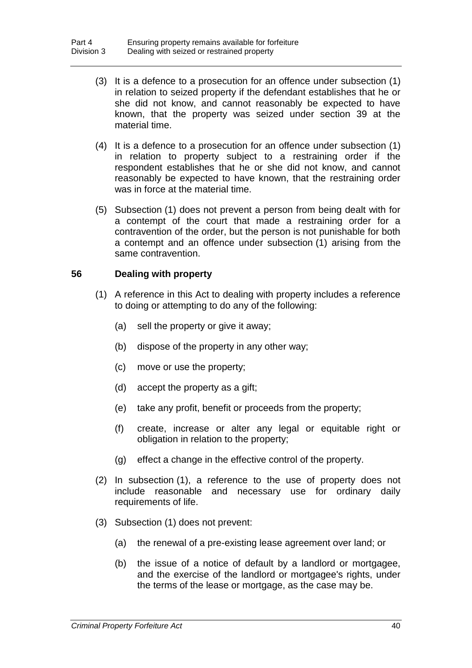- (3) It is a defence to a prosecution for an offence under subsection (1) in relation to seized property if the defendant establishes that he or she did not know, and cannot reasonably be expected to have known, that the property was seized under section 39 at the material time.
- (4) It is a defence to a prosecution for an offence under subsection (1) in relation to property subject to a restraining order if the respondent establishes that he or she did not know, and cannot reasonably be expected to have known, that the restraining order was in force at the material time.
- (5) Subsection (1) does not prevent a person from being dealt with for a contempt of the court that made a restraining order for a contravention of the order, but the person is not punishable for both a contempt and an offence under subsection (1) arising from the same contravention.

# **56 Dealing with property**

- (1) A reference in this Act to dealing with property includes a reference to doing or attempting to do any of the following:
	- (a) sell the property or give it away;
	- (b) dispose of the property in any other way;
	- (c) move or use the property;
	- (d) accept the property as a gift;
	- (e) take any profit, benefit or proceeds from the property;
	- (f) create, increase or alter any legal or equitable right or obligation in relation to the property;
	- (g) effect a change in the effective control of the property.
- (2) In subsection (1), a reference to the use of property does not include reasonable and necessary use for ordinary daily requirements of life.
- (3) Subsection (1) does not prevent:
	- (a) the renewal of a pre-existing lease agreement over land; or
	- (b) the issue of a notice of default by a landlord or mortgagee, and the exercise of the landlord or mortgagee's rights, under the terms of the lease or mortgage, as the case may be.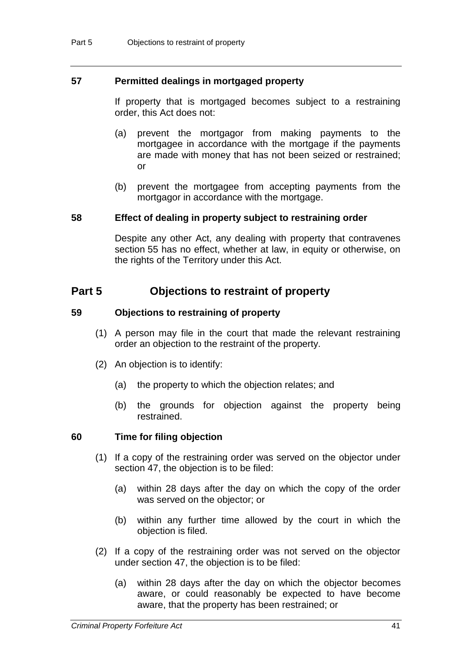### **57 Permitted dealings in mortgaged property**

If property that is mortgaged becomes subject to a restraining order, this Act does not:

- (a) prevent the mortgagor from making payments to the mortgagee in accordance with the mortgage if the payments are made with money that has not been seized or restrained; or
- (b) prevent the mortgagee from accepting payments from the mortgagor in accordance with the mortgage.

#### **58 Effect of dealing in property subject to restraining order**

Despite any other Act, any dealing with property that contravenes section 55 has no effect, whether at law, in equity or otherwise, on the rights of the Territory under this Act.

# **Part 5 Objections to restraint of property**

#### **59 Objections to restraining of property**

- (1) A person may file in the court that made the relevant restraining order an objection to the restraint of the property.
- (2) An objection is to identify:
	- (a) the property to which the objection relates; and
	- (b) the grounds for objection against the property being restrained.

#### **60 Time for filing objection**

- (1) If a copy of the restraining order was served on the objector under section 47, the objection is to be filed:
	- (a) within 28 days after the day on which the copy of the order was served on the objector; or
	- (b) within any further time allowed by the court in which the objection is filed.
- (2) If a copy of the restraining order was not served on the objector under section 47, the objection is to be filed:
	- (a) within 28 days after the day on which the objector becomes aware, or could reasonably be expected to have become aware, that the property has been restrained; or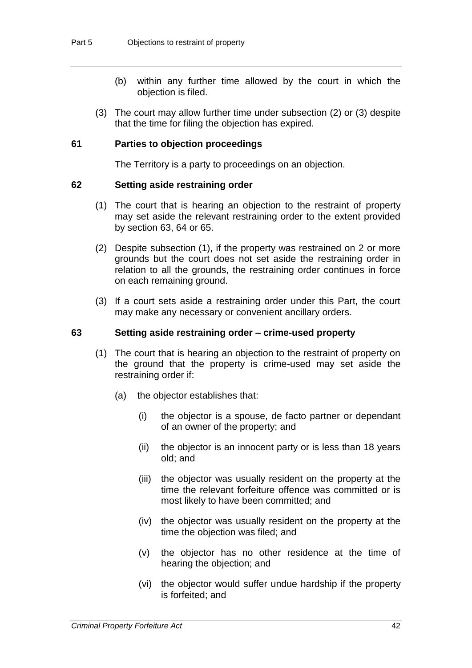- (b) within any further time allowed by the court in which the objection is filed.
- (3) The court may allow further time under subsection (2) or (3) despite that the time for filing the objection has expired.

### **61 Parties to objection proceedings**

The Territory is a party to proceedings on an objection.

#### **62 Setting aside restraining order**

- (1) The court that is hearing an objection to the restraint of property may set aside the relevant restraining order to the extent provided by section 63, 64 or 65.
- (2) Despite subsection (1), if the property was restrained on 2 or more grounds but the court does not set aside the restraining order in relation to all the grounds, the restraining order continues in force on each remaining ground.
- (3) If a court sets aside a restraining order under this Part, the court may make any necessary or convenient ancillary orders.

#### **63 Setting aside restraining order – crime-used property**

- (1) The court that is hearing an objection to the restraint of property on the ground that the property is crime-used may set aside the restraining order if:
	- (a) the objector establishes that:
		- (i) the objector is a spouse, de facto partner or dependant of an owner of the property; and
		- (ii) the objector is an innocent party or is less than 18 years old; and
		- (iii) the objector was usually resident on the property at the time the relevant forfeiture offence was committed or is most likely to have been committed; and
		- (iv) the objector was usually resident on the property at the time the objection was filed; and
		- (v) the objector has no other residence at the time of hearing the objection; and
		- (vi) the objector would suffer undue hardship if the property is forfeited; and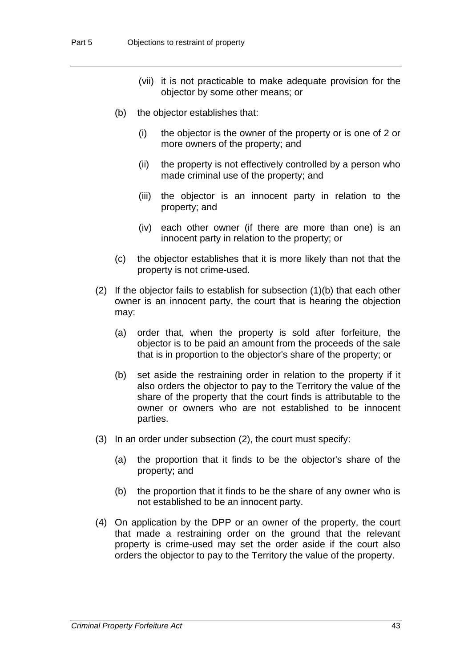- (vii) it is not practicable to make adequate provision for the objector by some other means; or
- (b) the objector establishes that:
	- (i) the objector is the owner of the property or is one of 2 or more owners of the property; and
	- (ii) the property is not effectively controlled by a person who made criminal use of the property; and
	- (iii) the objector is an innocent party in relation to the property; and
	- (iv) each other owner (if there are more than one) is an innocent party in relation to the property; or
- (c) the objector establishes that it is more likely than not that the property is not crime-used.
- (2) If the objector fails to establish for subsection (1)(b) that each other owner is an innocent party, the court that is hearing the objection may:
	- (a) order that, when the property is sold after forfeiture, the objector is to be paid an amount from the proceeds of the sale that is in proportion to the objector's share of the property; or
	- (b) set aside the restraining order in relation to the property if it also orders the objector to pay to the Territory the value of the share of the property that the court finds is attributable to the owner or owners who are not established to be innocent parties.
- (3) In an order under subsection (2), the court must specify:
	- (a) the proportion that it finds to be the objector's share of the property; and
	- (b) the proportion that it finds to be the share of any owner who is not established to be an innocent party.
- (4) On application by the DPP or an owner of the property, the court that made a restraining order on the ground that the relevant property is crime-used may set the order aside if the court also orders the objector to pay to the Territory the value of the property.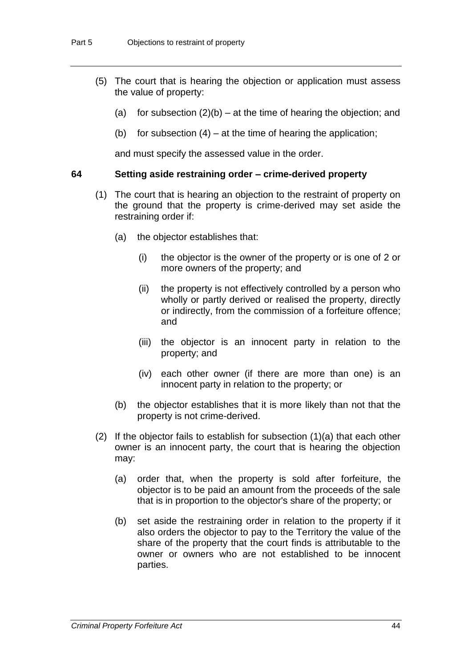- (5) The court that is hearing the objection or application must assess the value of property:
	- (a) for subsection  $(2)(b)$  at the time of hearing the objection; and
	- (b) for subsection  $(4)$  at the time of hearing the application;

and must specify the assessed value in the order.

# **64 Setting aside restraining order – crime-derived property**

- (1) The court that is hearing an objection to the restraint of property on the ground that the property is crime-derived may set aside the restraining order if:
	- (a) the objector establishes that:
		- (i) the objector is the owner of the property or is one of 2 or more owners of the property; and
		- (ii) the property is not effectively controlled by a person who wholly or partly derived or realised the property, directly or indirectly, from the commission of a forfeiture offence; and
		- (iii) the objector is an innocent party in relation to the property; and
		- (iv) each other owner (if there are more than one) is an innocent party in relation to the property; or
	- (b) the objector establishes that it is more likely than not that the property is not crime-derived.
- (2) If the objector fails to establish for subsection (1)(a) that each other owner is an innocent party, the court that is hearing the objection may:
	- (a) order that, when the property is sold after forfeiture, the objector is to be paid an amount from the proceeds of the sale that is in proportion to the objector's share of the property; or
	- (b) set aside the restraining order in relation to the property if it also orders the objector to pay to the Territory the value of the share of the property that the court finds is attributable to the owner or owners who are not established to be innocent parties.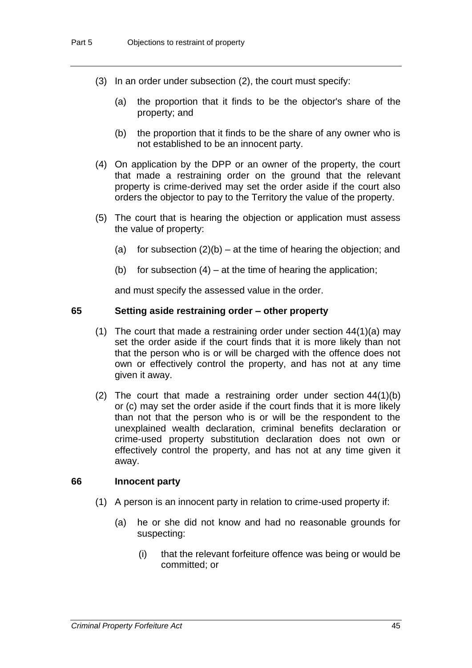- (3) In an order under subsection (2), the court must specify:
	- (a) the proportion that it finds to be the objector's share of the property; and
	- (b) the proportion that it finds to be the share of any owner who is not established to be an innocent party.
- (4) On application by the DPP or an owner of the property, the court that made a restraining order on the ground that the relevant property is crime-derived may set the order aside if the court also orders the objector to pay to the Territory the value of the property.
- (5) The court that is hearing the objection or application must assess the value of property:
	- (a) for subsection  $(2)(b)$  at the time of hearing the objection; and
	- (b) for subsection  $(4)$  at the time of hearing the application;

and must specify the assessed value in the order.

#### **65 Setting aside restraining order – other property**

- (1) The court that made a restraining order under section  $44(1)(a)$  may set the order aside if the court finds that it is more likely than not that the person who is or will be charged with the offence does not own or effectively control the property, and has not at any time given it away.
- (2) The court that made a restraining order under section 44(1)(b) or (c) may set the order aside if the court finds that it is more likely than not that the person who is or will be the respondent to the unexplained wealth declaration, criminal benefits declaration or crime-used property substitution declaration does not own or effectively control the property, and has not at any time given it away.

#### **66 Innocent party**

- (1) A person is an innocent party in relation to crime-used property if:
	- (a) he or she did not know and had no reasonable grounds for suspecting:
		- (i) that the relevant forfeiture offence was being or would be committed; or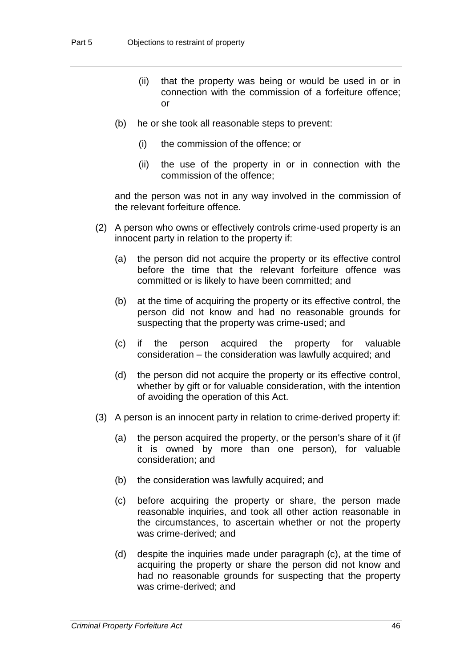- (ii) that the property was being or would be used in or in connection with the commission of a forfeiture offence; or
- (b) he or she took all reasonable steps to prevent:
	- (i) the commission of the offence; or
	- (ii) the use of the property in or in connection with the commission of the offence;

and the person was not in any way involved in the commission of the relevant forfeiture offence.

- (2) A person who owns or effectively controls crime-used property is an innocent party in relation to the property if:
	- (a) the person did not acquire the property or its effective control before the time that the relevant forfeiture offence was committed or is likely to have been committed; and
	- (b) at the time of acquiring the property or its effective control, the person did not know and had no reasonable grounds for suspecting that the property was crime-used; and
	- (c) if the person acquired the property for valuable consideration – the consideration was lawfully acquired; and
	- (d) the person did not acquire the property or its effective control, whether by gift or for valuable consideration, with the intention of avoiding the operation of this Act.
- (3) A person is an innocent party in relation to crime-derived property if:
	- (a) the person acquired the property, or the person's share of it (if it is owned by more than one person), for valuable consideration; and
	- (b) the consideration was lawfully acquired; and
	- (c) before acquiring the property or share, the person made reasonable inquiries, and took all other action reasonable in the circumstances, to ascertain whether or not the property was crime-derived; and
	- (d) despite the inquiries made under paragraph (c), at the time of acquiring the property or share the person did not know and had no reasonable grounds for suspecting that the property was crime-derived; and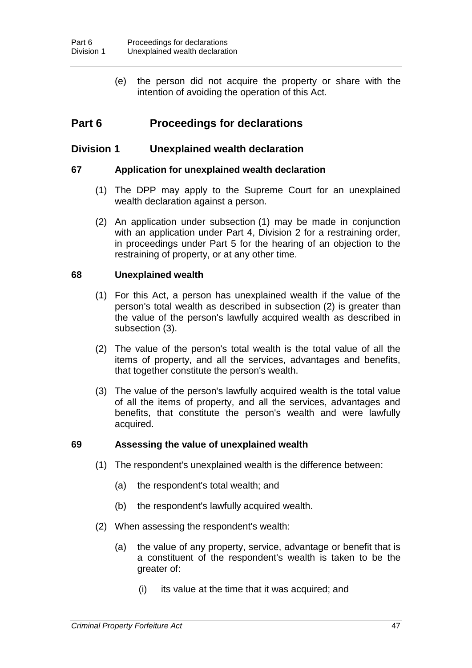(e) the person did not acquire the property or share with the intention of avoiding the operation of this Act.

# **Part 6 Proceedings for declarations**

# **Division 1 Unexplained wealth declaration**

# **67 Application for unexplained wealth declaration**

- (1) The DPP may apply to the Supreme Court for an unexplained wealth declaration against a person.
- (2) An application under subsection (1) may be made in conjunction with an application under Part 4, Division 2 for a restraining order, in proceedings under Part 5 for the hearing of an objection to the restraining of property, or at any other time.

#### **68 Unexplained wealth**

- (1) For this Act, a person has unexplained wealth if the value of the person's total wealth as described in subsection (2) is greater than the value of the person's lawfully acquired wealth as described in subsection (3).
- (2) The value of the person's total wealth is the total value of all the items of property, and all the services, advantages and benefits, that together constitute the person's wealth.
- (3) The value of the person's lawfully acquired wealth is the total value of all the items of property, and all the services, advantages and benefits, that constitute the person's wealth and were lawfully acquired.

# **69 Assessing the value of unexplained wealth**

- (1) The respondent's unexplained wealth is the difference between:
	- (a) the respondent's total wealth; and
	- (b) the respondent's lawfully acquired wealth.
- (2) When assessing the respondent's wealth:
	- (a) the value of any property, service, advantage or benefit that is a constituent of the respondent's wealth is taken to be the greater of:
		- (i) its value at the time that it was acquired; and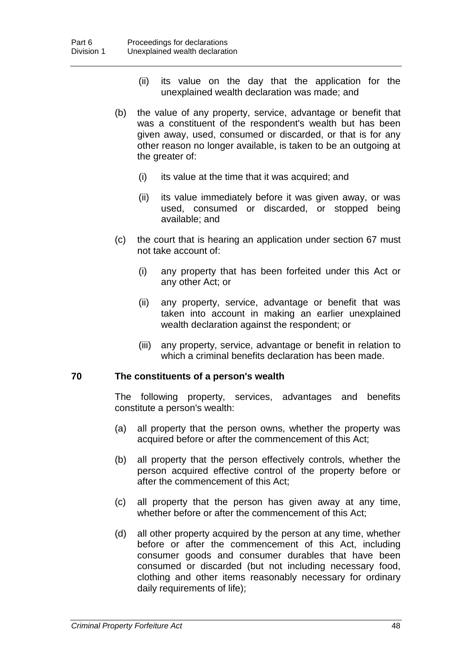- (ii) its value on the day that the application for the unexplained wealth declaration was made; and
- (b) the value of any property, service, advantage or benefit that was a constituent of the respondent's wealth but has been given away, used, consumed or discarded, or that is for any other reason no longer available, is taken to be an outgoing at the greater of:
	- (i) its value at the time that it was acquired; and
	- (ii) its value immediately before it was given away, or was used, consumed or discarded, or stopped being available; and
- (c) the court that is hearing an application under section 67 must not take account of:
	- (i) any property that has been forfeited under this Act or any other Act; or
	- (ii) any property, service, advantage or benefit that was taken into account in making an earlier unexplained wealth declaration against the respondent; or
	- (iii) any property, service, advantage or benefit in relation to which a criminal benefits declaration has been made.

# **70 The constituents of a person's wealth**

The following property, services, advantages and benefits constitute a person's wealth:

- (a) all property that the person owns, whether the property was acquired before or after the commencement of this Act;
- (b) all property that the person effectively controls, whether the person acquired effective control of the property before or after the commencement of this Act;
- (c) all property that the person has given away at any time, whether before or after the commencement of this Act;
- (d) all other property acquired by the person at any time, whether before or after the commencement of this Act, including consumer goods and consumer durables that have been consumed or discarded (but not including necessary food, clothing and other items reasonably necessary for ordinary daily requirements of life);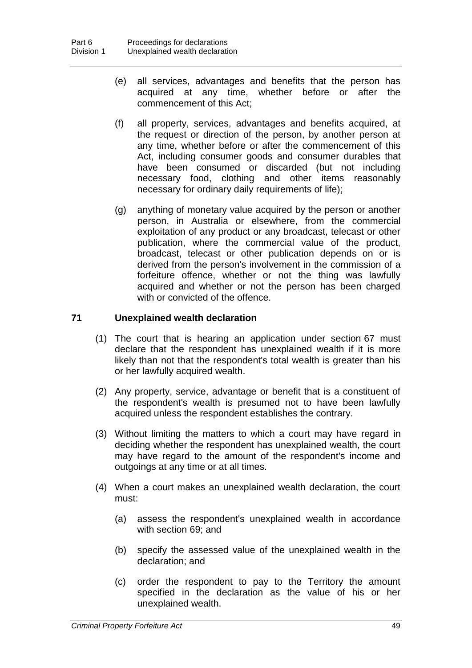- (e) all services, advantages and benefits that the person has acquired at any time, whether before or after the commencement of this Act;
- (f) all property, services, advantages and benefits acquired, at the request or direction of the person, by another person at any time, whether before or after the commencement of this Act, including consumer goods and consumer durables that have been consumed or discarded (but not including necessary food, clothing and other items reasonably necessary for ordinary daily requirements of life);
- (g) anything of monetary value acquired by the person or another person, in Australia or elsewhere, from the commercial exploitation of any product or any broadcast, telecast or other publication, where the commercial value of the product, broadcast, telecast or other publication depends on or is derived from the person's involvement in the commission of a forfeiture offence, whether or not the thing was lawfully acquired and whether or not the person has been charged with or convicted of the offence.

# **71 Unexplained wealth declaration**

- (1) The court that is hearing an application under section 67 must declare that the respondent has unexplained wealth if it is more likely than not that the respondent's total wealth is greater than his or her lawfully acquired wealth.
- (2) Any property, service, advantage or benefit that is a constituent of the respondent's wealth is presumed not to have been lawfully acquired unless the respondent establishes the contrary.
- (3) Without limiting the matters to which a court may have regard in deciding whether the respondent has unexplained wealth, the court may have regard to the amount of the respondent's income and outgoings at any time or at all times.
- (4) When a court makes an unexplained wealth declaration, the court must:
	- (a) assess the respondent's unexplained wealth in accordance with section 69; and
	- (b) specify the assessed value of the unexplained wealth in the declaration; and
	- (c) order the respondent to pay to the Territory the amount specified in the declaration as the value of his or her unexplained wealth.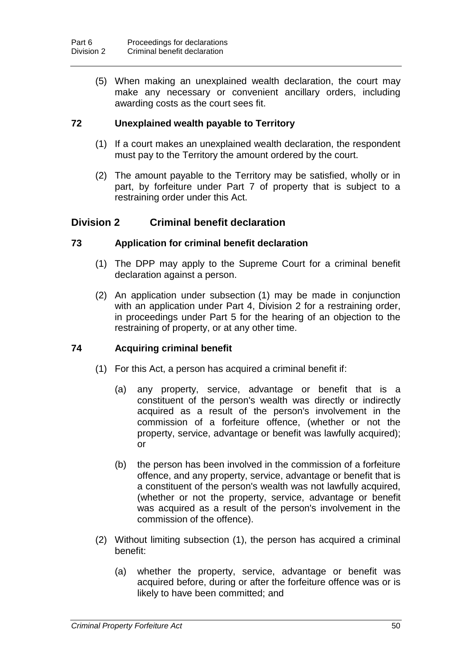(5) When making an unexplained wealth declaration, the court may make any necessary or convenient ancillary orders, including awarding costs as the court sees fit.

# **72 Unexplained wealth payable to Territory**

- (1) If a court makes an unexplained wealth declaration, the respondent must pay to the Territory the amount ordered by the court.
- (2) The amount payable to the Territory may be satisfied, wholly or in part, by forfeiture under Part 7 of property that is subject to a restraining order under this Act.

# **Division 2 Criminal benefit declaration**

# **73 Application for criminal benefit declaration**

- (1) The DPP may apply to the Supreme Court for a criminal benefit declaration against a person.
- (2) An application under subsection (1) may be made in conjunction with an application under Part 4, Division 2 for a restraining order, in proceedings under Part 5 for the hearing of an objection to the restraining of property, or at any other time.

# **74 Acquiring criminal benefit**

- (1) For this Act, a person has acquired a criminal benefit if:
	- (a) any property, service, advantage or benefit that is a constituent of the person's wealth was directly or indirectly acquired as a result of the person's involvement in the commission of a forfeiture offence, (whether or not the property, service, advantage or benefit was lawfully acquired); or
	- (b) the person has been involved in the commission of a forfeiture offence, and any property, service, advantage or benefit that is a constituent of the person's wealth was not lawfully acquired, (whether or not the property, service, advantage or benefit was acquired as a result of the person's involvement in the commission of the offence).
- (2) Without limiting subsection (1), the person has acquired a criminal benefit:
	- (a) whether the property, service, advantage or benefit was acquired before, during or after the forfeiture offence was or is likely to have been committed; and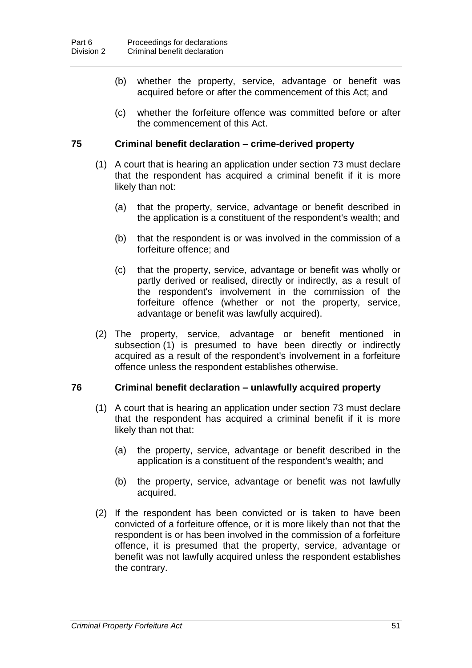- (b) whether the property, service, advantage or benefit was acquired before or after the commencement of this Act; and
- (c) whether the forfeiture offence was committed before or after the commencement of this Act.

# **75 Criminal benefit declaration** *–* **crime-derived property**

- (1) A court that is hearing an application under section 73 must declare that the respondent has acquired a criminal benefit if it is more likely than not:
	- (a) that the property, service, advantage or benefit described in the application is a constituent of the respondent's wealth; and
	- (b) that the respondent is or was involved in the commission of a forfeiture offence; and
	- (c) that the property, service, advantage or benefit was wholly or partly derived or realised, directly or indirectly, as a result of the respondent's involvement in the commission of the forfeiture offence (whether or not the property, service, advantage or benefit was lawfully acquired).
- (2) The property, service, advantage or benefit mentioned in subsection (1) is presumed to have been directly or indirectly acquired as a result of the respondent's involvement in a forfeiture offence unless the respondent establishes otherwise.

# **76 Criminal benefit declaration** *–* **unlawfully acquired property**

- (1) A court that is hearing an application under section 73 must declare that the respondent has acquired a criminal benefit if it is more likely than not that:
	- (a) the property, service, advantage or benefit described in the application is a constituent of the respondent's wealth; and
	- (b) the property, service, advantage or benefit was not lawfully acquired.
- (2) If the respondent has been convicted or is taken to have been convicted of a forfeiture offence, or it is more likely than not that the respondent is or has been involved in the commission of a forfeiture offence, it is presumed that the property, service, advantage or benefit was not lawfully acquired unless the respondent establishes the contrary.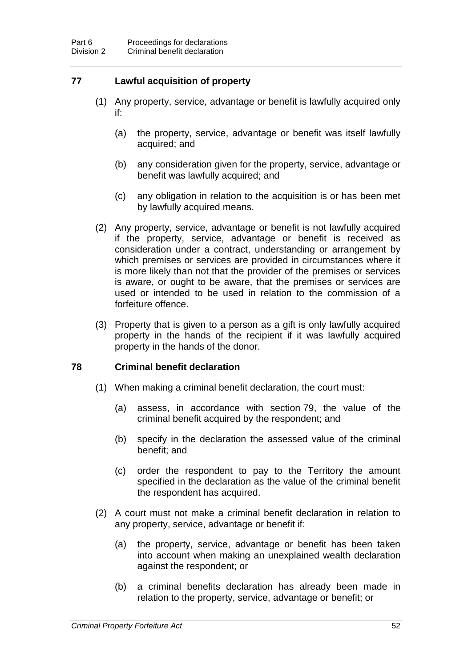# **77 Lawful acquisition of property**

- (1) Any property, service, advantage or benefit is lawfully acquired only if:
	- (a) the property, service, advantage or benefit was itself lawfully acquired; and
	- (b) any consideration given for the property, service, advantage or benefit was lawfully acquired; and
	- (c) any obligation in relation to the acquisition is or has been met by lawfully acquired means.
- (2) Any property, service, advantage or benefit is not lawfully acquired if the property, service, advantage or benefit is received as consideration under a contract, understanding or arrangement by which premises or services are provided in circumstances where it is more likely than not that the provider of the premises or services is aware, or ought to be aware, that the premises or services are used or intended to be used in relation to the commission of a forfeiture offence.
- (3) Property that is given to a person as a gift is only lawfully acquired property in the hands of the recipient if it was lawfully acquired property in the hands of the donor.

# **78 Criminal benefit declaration**

- (1) When making a criminal benefit declaration, the court must:
	- (a) assess, in accordance with section 79, the value of the criminal benefit acquired by the respondent; and
	- (b) specify in the declaration the assessed value of the criminal benefit; and
	- (c) order the respondent to pay to the Territory the amount specified in the declaration as the value of the criminal benefit the respondent has acquired.
- (2) A court must not make a criminal benefit declaration in relation to any property, service, advantage or benefit if:
	- (a) the property, service, advantage or benefit has been taken into account when making an unexplained wealth declaration against the respondent; or
	- (b) a criminal benefits declaration has already been made in relation to the property, service, advantage or benefit; or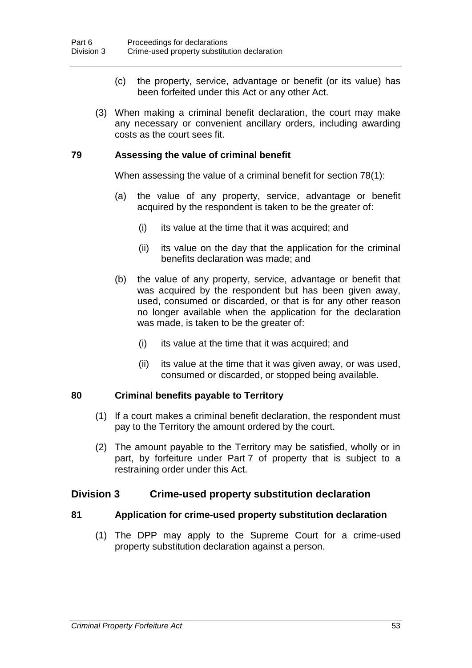- (c) the property, service, advantage or benefit (or its value) has been forfeited under this Act or any other Act.
- (3) When making a criminal benefit declaration, the court may make any necessary or convenient ancillary orders, including awarding costs as the court sees fit.

# **79 Assessing the value of criminal benefit**

When assessing the value of a criminal benefit for section 78(1):

- (a) the value of any property, service, advantage or benefit acquired by the respondent is taken to be the greater of:
	- (i) its value at the time that it was acquired; and
	- (ii) its value on the day that the application for the criminal benefits declaration was made; and
- (b) the value of any property, service, advantage or benefit that was acquired by the respondent but has been given away, used, consumed or discarded, or that is for any other reason no longer available when the application for the declaration was made, is taken to be the greater of:
	- (i) its value at the time that it was acquired; and
	- (ii) its value at the time that it was given away, or was used, consumed or discarded, or stopped being available.

# **80 Criminal benefits payable to Territory**

- (1) If a court makes a criminal benefit declaration, the respondent must pay to the Territory the amount ordered by the court.
- (2) The amount payable to the Territory may be satisfied, wholly or in part, by forfeiture under Part 7 of property that is subject to a restraining order under this Act.

# **Division 3 Crime-used property substitution declaration**

# **81 Application for crime-used property substitution declaration**

(1) The DPP may apply to the Supreme Court for a crime-used property substitution declaration against a person.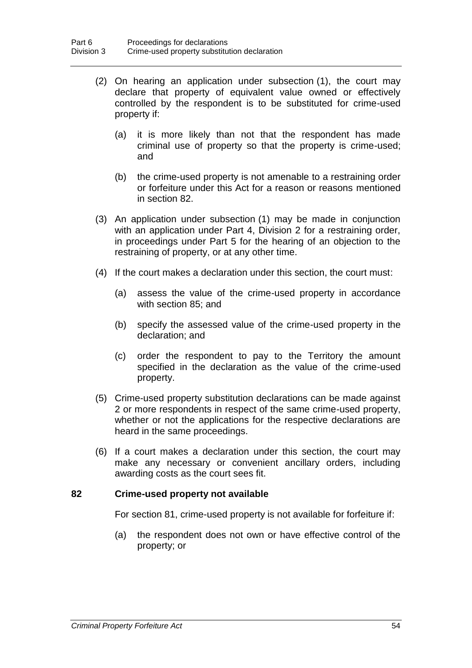- (2) On hearing an application under subsection (1), the court may declare that property of equivalent value owned or effectively controlled by the respondent is to be substituted for crime-used property if:
	- (a) it is more likely than not that the respondent has made criminal use of property so that the property is crime-used; and
	- (b) the crime-used property is not amenable to a restraining order or forfeiture under this Act for a reason or reasons mentioned in section 82.
- (3) An application under subsection (1) may be made in conjunction with an application under Part 4, Division 2 for a restraining order, in proceedings under Part 5 for the hearing of an objection to the restraining of property, or at any other time.
- (4) If the court makes a declaration under this section, the court must:
	- (a) assess the value of the crime-used property in accordance with section 85; and
	- (b) specify the assessed value of the crime-used property in the declaration; and
	- (c) order the respondent to pay to the Territory the amount specified in the declaration as the value of the crime-used property.
- (5) Crime-used property substitution declarations can be made against 2 or more respondents in respect of the same crime-used property, whether or not the applications for the respective declarations are heard in the same proceedings.
- (6) If a court makes a declaration under this section, the court may make any necessary or convenient ancillary orders, including awarding costs as the court sees fit.

# **82 Crime-used property not available**

For section 81, crime-used property is not available for forfeiture if:

(a) the respondent does not own or have effective control of the property; or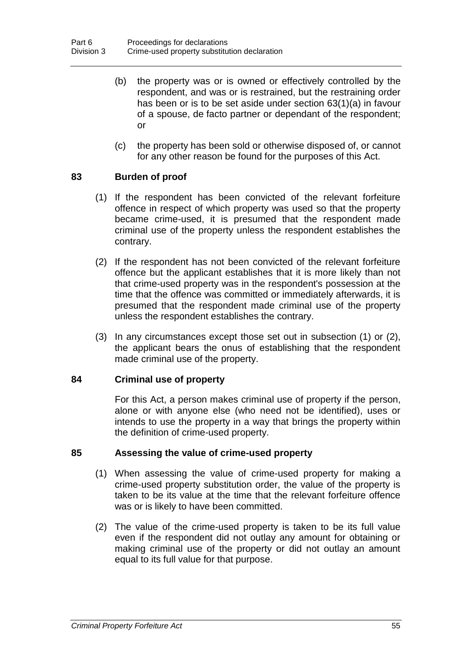- (b) the property was or is owned or effectively controlled by the respondent, and was or is restrained, but the restraining order has been or is to be set aside under section 63(1)(a) in favour of a spouse, de facto partner or dependant of the respondent; or
- (c) the property has been sold or otherwise disposed of, or cannot for any other reason be found for the purposes of this Act.

# **83 Burden of proof**

- (1) If the respondent has been convicted of the relevant forfeiture offence in respect of which property was used so that the property became crime-used, it is presumed that the respondent made criminal use of the property unless the respondent establishes the contrary.
- (2) If the respondent has not been convicted of the relevant forfeiture offence but the applicant establishes that it is more likely than not that crime-used property was in the respondent's possession at the time that the offence was committed or immediately afterwards, it is presumed that the respondent made criminal use of the property unless the respondent establishes the contrary.
- (3) In any circumstances except those set out in subsection (1) or (2), the applicant bears the onus of establishing that the respondent made criminal use of the property.

# **84 Criminal use of property**

For this Act, a person makes criminal use of property if the person, alone or with anyone else (who need not be identified), uses or intends to use the property in a way that brings the property within the definition of crime-used property.

# **85 Assessing the value of crime-used property**

- (1) When assessing the value of crime-used property for making a crime-used property substitution order, the value of the property is taken to be its value at the time that the relevant forfeiture offence was or is likely to have been committed.
- (2) The value of the crime-used property is taken to be its full value even if the respondent did not outlay any amount for obtaining or making criminal use of the property or did not outlay an amount equal to its full value for that purpose.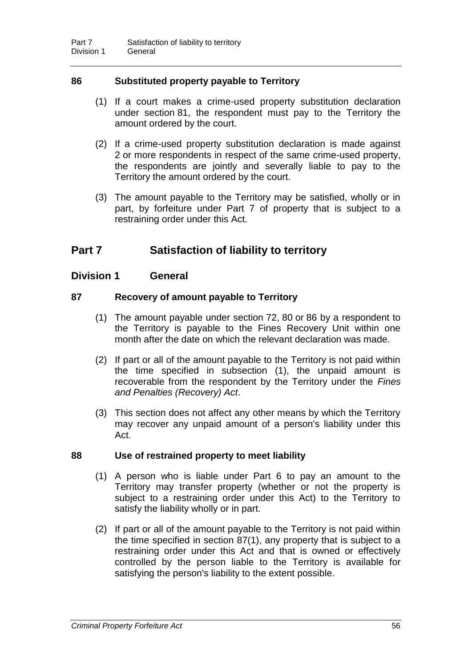# **86 Substituted property payable to Territory**

- (1) If a court makes a crime-used property substitution declaration under section 81, the respondent must pay to the Territory the amount ordered by the court.
- (2) If a crime-used property substitution declaration is made against 2 or more respondents in respect of the same crime-used property, the respondents are jointly and severally liable to pay to the Territory the amount ordered by the court.
- (3) The amount payable to the Territory may be satisfied, wholly or in part, by forfeiture under Part 7 of property that is subject to a restraining order under this Act.

# **Part 7 Satisfaction of liability to territory**

# **Division 1 General**

# **87 Recovery of amount payable to Territory**

- (1) The amount payable under section 72, 80 or 86 by a respondent to the Territory is payable to the Fines Recovery Unit within one month after the date on which the relevant declaration was made.
- (2) If part or all of the amount payable to the Territory is not paid within the time specified in subsection (1), the unpaid amount is recoverable from the respondent by the Territory under the *Fines and Penalties (Recovery) Act*.
- (3) This section does not affect any other means by which the Territory may recover any unpaid amount of a person's liability under this Act.

# **88 Use of restrained property to meet liability**

- (1) A person who is liable under Part 6 to pay an amount to the Territory may transfer property (whether or not the property is subject to a restraining order under this Act) to the Territory to satisfy the liability wholly or in part.
- (2) If part or all of the amount payable to the Territory is not paid within the time specified in section 87(1), any property that is subject to a restraining order under this Act and that is owned or effectively controlled by the person liable to the Territory is available for satisfying the person's liability to the extent possible.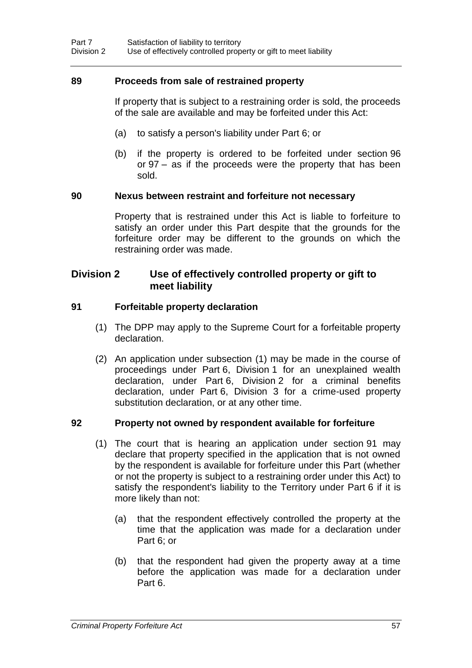# **89 Proceeds from sale of restrained property**

If property that is subject to a restraining order is sold, the proceeds of the sale are available and may be forfeited under this Act:

- (a) to satisfy a person's liability under Part 6; or
- (b) if the property is ordered to be forfeited under section 96 or 97 – as if the proceeds were the property that has been sold.

#### **90 Nexus between restraint and forfeiture not necessary**

Property that is restrained under this Act is liable to forfeiture to satisfy an order under this Part despite that the grounds for the forfeiture order may be different to the grounds on which the restraining order was made.

# **Division 2 Use of effectively controlled property or gift to meet liability**

#### **91 Forfeitable property declaration**

- (1) The DPP may apply to the Supreme Court for a forfeitable property declaration.
- (2) An application under subsection (1) may be made in the course of proceedings under Part 6, Division 1 for an unexplained wealth declaration, under Part 6, Division 2 for a criminal benefits declaration, under Part 6, Division 3 for a crime-used property substitution declaration, or at any other time.

# **92 Property not owned by respondent available for forfeiture**

- (1) The court that is hearing an application under section 91 may declare that property specified in the application that is not owned by the respondent is available for forfeiture under this Part (whether or not the property is subject to a restraining order under this Act) to satisfy the respondent's liability to the Territory under Part 6 if it is more likely than not:
	- (a) that the respondent effectively controlled the property at the time that the application was made for a declaration under Part 6; or
	- (b) that the respondent had given the property away at a time before the application was made for a declaration under Part 6.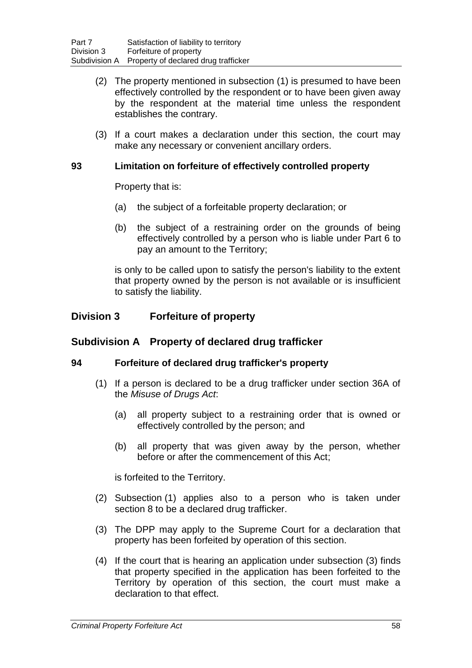- (2) The property mentioned in subsection (1) is presumed to have been effectively controlled by the respondent or to have been given away by the respondent at the material time unless the respondent establishes the contrary.
- (3) If a court makes a declaration under this section, the court may make any necessary or convenient ancillary orders.

# **93 Limitation on forfeiture of effectively controlled property**

Property that is:

- (a) the subject of a forfeitable property declaration; or
- (b) the subject of a restraining order on the grounds of being effectively controlled by a person who is liable under Part 6 to pay an amount to the Territory;

is only to be called upon to satisfy the person's liability to the extent that property owned by the person is not available or is insufficient to satisfy the liability.

# **Division 3 Forfeiture of property**

# **Subdivision A Property of declared drug trafficker**

# **94 Forfeiture of declared drug trafficker's property**

- (1) If a person is declared to be a drug trafficker under section 36A of the *Misuse of Drugs Act*:
	- (a) all property subject to a restraining order that is owned or effectively controlled by the person; and
	- (b) all property that was given away by the person, whether before or after the commencement of this Act;

is forfeited to the Territory.

- (2) Subsection (1) applies also to a person who is taken under section 8 to be a declared drug trafficker.
- (3) The DPP may apply to the Supreme Court for a declaration that property has been forfeited by operation of this section.
- (4) If the court that is hearing an application under subsection (3) finds that property specified in the application has been forfeited to the Territory by operation of this section, the court must make a declaration to that effect.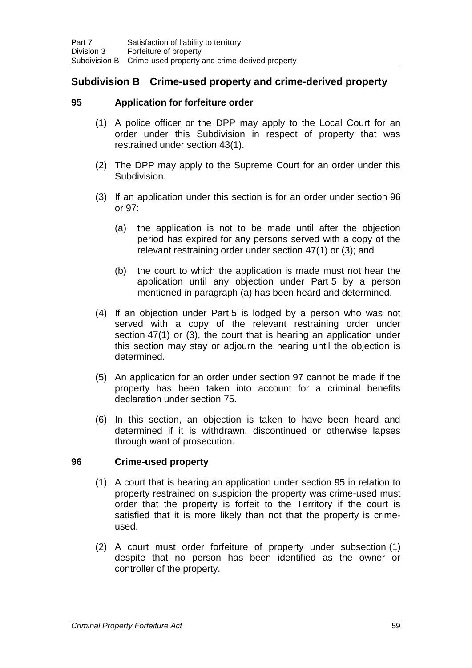# **Subdivision B Crime-used property and crime-derived property**

# **95 Application for forfeiture order**

- (1) A police officer or the DPP may apply to the Local Court for an order under this Subdivision in respect of property that was restrained under section 43(1).
- (2) The DPP may apply to the Supreme Court for an order under this Subdivision.
- (3) If an application under this section is for an order under section 96 or 97:
	- (a) the application is not to be made until after the objection period has expired for any persons served with a copy of the relevant restraining order under section 47(1) or (3); and
	- (b) the court to which the application is made must not hear the application until any objection under Part 5 by a person mentioned in paragraph (a) has been heard and determined.
- (4) If an objection under Part 5 is lodged by a person who was not served with a copy of the relevant restraining order under section 47(1) or (3), the court that is hearing an application under this section may stay or adjourn the hearing until the objection is determined.
- (5) An application for an order under section 97 cannot be made if the property has been taken into account for a criminal benefits declaration under section 75.
- (6) In this section, an objection is taken to have been heard and determined if it is withdrawn, discontinued or otherwise lapses through want of prosecution.

# **96 Crime-used property**

- (1) A court that is hearing an application under section 95 in relation to property restrained on suspicion the property was crime-used must order that the property is forfeit to the Territory if the court is satisfied that it is more likely than not that the property is crimeused.
- (2) A court must order forfeiture of property under subsection (1) despite that no person has been identified as the owner or controller of the property.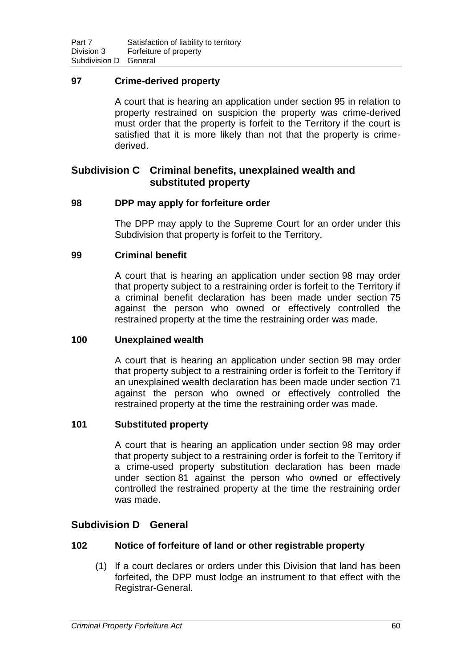# **97 Crime-derived property**

A court that is hearing an application under section 95 in relation to property restrained on suspicion the property was crime-derived must order that the property is forfeit to the Territory if the court is satisfied that it is more likely than not that the property is crimederived.

# **Subdivision C Criminal benefits, unexplained wealth and substituted property**

# **98 DPP may apply for forfeiture order**

The DPP may apply to the Supreme Court for an order under this Subdivision that property is forfeit to the Territory.

# **99 Criminal benefit**

A court that is hearing an application under section 98 may order that property subject to a restraining order is forfeit to the Territory if a criminal benefit declaration has been made under section 75 against the person who owned or effectively controlled the restrained property at the time the restraining order was made.

# **100 Unexplained wealth**

A court that is hearing an application under section 98 may order that property subject to a restraining order is forfeit to the Territory if an unexplained wealth declaration has been made under section 71 against the person who owned or effectively controlled the restrained property at the time the restraining order was made.

# **101 Substituted property**

A court that is hearing an application under section 98 may order that property subject to a restraining order is forfeit to the Territory if a crime-used property substitution declaration has been made under section 81 against the person who owned or effectively controlled the restrained property at the time the restraining order was made.

# **Subdivision D General**

# **102 Notice of forfeiture of land or other registrable property**

(1) If a court declares or orders under this Division that land has been forfeited, the DPP must lodge an instrument to that effect with the Registrar-General.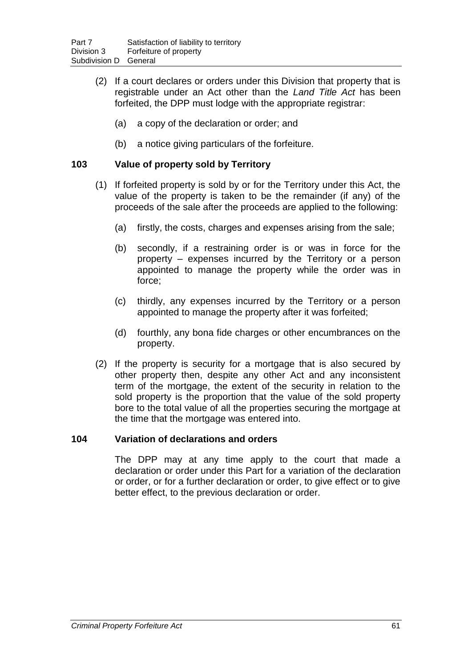- (2) If a court declares or orders under this Division that property that is registrable under an Act other than the *Land Title Act* has been forfeited, the DPP must lodge with the appropriate registrar:
	- (a) a copy of the declaration or order; and
	- (b) a notice giving particulars of the forfeiture.

# **103 Value of property sold by Territory**

- (1) If forfeited property is sold by or for the Territory under this Act, the value of the property is taken to be the remainder (if any) of the proceeds of the sale after the proceeds are applied to the following:
	- (a) firstly, the costs, charges and expenses arising from the sale;
	- (b) secondly, if a restraining order is or was in force for the property – expenses incurred by the Territory or a person appointed to manage the property while the order was in force;
	- (c) thirdly, any expenses incurred by the Territory or a person appointed to manage the property after it was forfeited;
	- (d) fourthly, any bona fide charges or other encumbrances on the property.
- (2) If the property is security for a mortgage that is also secured by other property then, despite any other Act and any inconsistent term of the mortgage, the extent of the security in relation to the sold property is the proportion that the value of the sold property bore to the total value of all the properties securing the mortgage at the time that the mortgage was entered into.

# **104 Variation of declarations and orders**

The DPP may at any time apply to the court that made a declaration or order under this Part for a variation of the declaration or order, or for a further declaration or order, to give effect or to give better effect, to the previous declaration or order.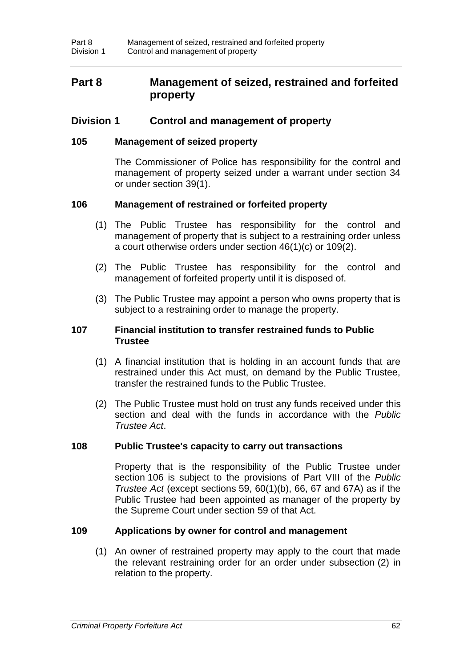# **Part 8 Management of seized, restrained and forfeited property**

# **Division 1 Control and management of property**

### **105 Management of seized property**

The Commissioner of Police has responsibility for the control and management of property seized under a warrant under section 34 or under section 39(1).

# **106 Management of restrained or forfeited property**

- (1) The Public Trustee has responsibility for the control and management of property that is subject to a restraining order unless a court otherwise orders under section 46(1)(c) or 109(2).
- (2) The Public Trustee has responsibility for the control and management of forfeited property until it is disposed of.
- (3) The Public Trustee may appoint a person who owns property that is subject to a restraining order to manage the property.

#### **107 Financial institution to transfer restrained funds to Public Trustee**

- (1) A financial institution that is holding in an account funds that are restrained under this Act must, on demand by the Public Trustee, transfer the restrained funds to the Public Trustee.
- (2) The Public Trustee must hold on trust any funds received under this section and deal with the funds in accordance with the *Public Trustee Act*.

#### **108 Public Trustee's capacity to carry out transactions**

Property that is the responsibility of the Public Trustee under section 106 is subject to the provisions of Part VIII of the *Public Trustee Act* (except sections 59, 60(1)(b), 66, 67 and 67A) as if the Public Trustee had been appointed as manager of the property by the Supreme Court under section 59 of that Act.

#### **109 Applications by owner for control and management**

(1) An owner of restrained property may apply to the court that made the relevant restraining order for an order under subsection (2) in relation to the property.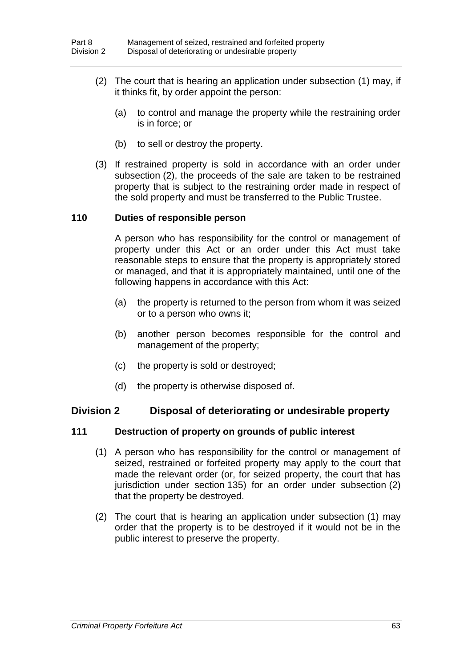- (2) The court that is hearing an application under subsection (1) may, if it thinks fit, by order appoint the person:
	- (a) to control and manage the property while the restraining order is in force; or
	- (b) to sell or destroy the property.
- (3) If restrained property is sold in accordance with an order under subsection (2), the proceeds of the sale are taken to be restrained property that is subject to the restraining order made in respect of the sold property and must be transferred to the Public Trustee.

### **110 Duties of responsible person**

A person who has responsibility for the control or management of property under this Act or an order under this Act must take reasonable steps to ensure that the property is appropriately stored or managed, and that it is appropriately maintained, until one of the following happens in accordance with this Act:

- (a) the property is returned to the person from whom it was seized or to a person who owns it;
- (b) another person becomes responsible for the control and management of the property;
- (c) the property is sold or destroyed;
- (d) the property is otherwise disposed of.

# **Division 2 Disposal of deteriorating or undesirable property**

# **111 Destruction of property on grounds of public interest**

- (1) A person who has responsibility for the control or management of seized, restrained or forfeited property may apply to the court that made the relevant order (or, for seized property, the court that has jurisdiction under section 135) for an order under subsection (2) that the property be destroyed.
- (2) The court that is hearing an application under subsection (1) may order that the property is to be destroyed if it would not be in the public interest to preserve the property.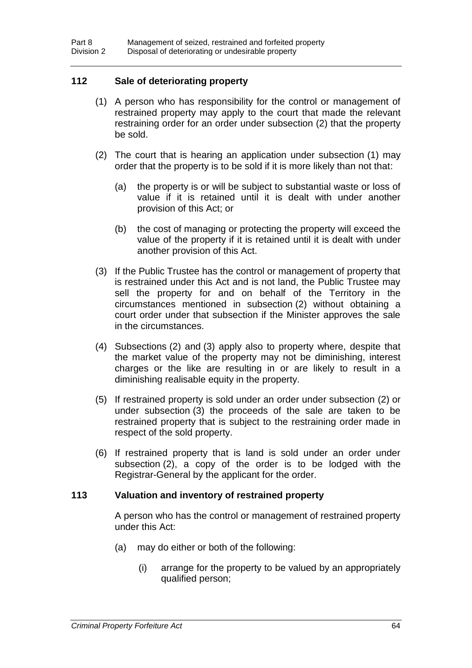# **112 Sale of deteriorating property**

- (1) A person who has responsibility for the control or management of restrained property may apply to the court that made the relevant restraining order for an order under subsection (2) that the property be sold.
- (2) The court that is hearing an application under subsection (1) may order that the property is to be sold if it is more likely than not that:
	- (a) the property is or will be subject to substantial waste or loss of value if it is retained until it is dealt with under another provision of this Act; or
	- (b) the cost of managing or protecting the property will exceed the value of the property if it is retained until it is dealt with under another provision of this Act.
- (3) If the Public Trustee has the control or management of property that is restrained under this Act and is not land, the Public Trustee may sell the property for and on behalf of the Territory in the circumstances mentioned in subsection (2) without obtaining a court order under that subsection if the Minister approves the sale in the circumstances.
- (4) Subsections (2) and (3) apply also to property where, despite that the market value of the property may not be diminishing, interest charges or the like are resulting in or are likely to result in a diminishing realisable equity in the property.
- (5) If restrained property is sold under an order under subsection (2) or under subsection (3) the proceeds of the sale are taken to be restrained property that is subject to the restraining order made in respect of the sold property.
- (6) If restrained property that is land is sold under an order under subsection (2), a copy of the order is to be lodged with the Registrar-General by the applicant for the order.

#### **113 Valuation and inventory of restrained property**

A person who has the control or management of restrained property under this Act:

- (a) may do either or both of the following:
	- (i) arrange for the property to be valued by an appropriately qualified person;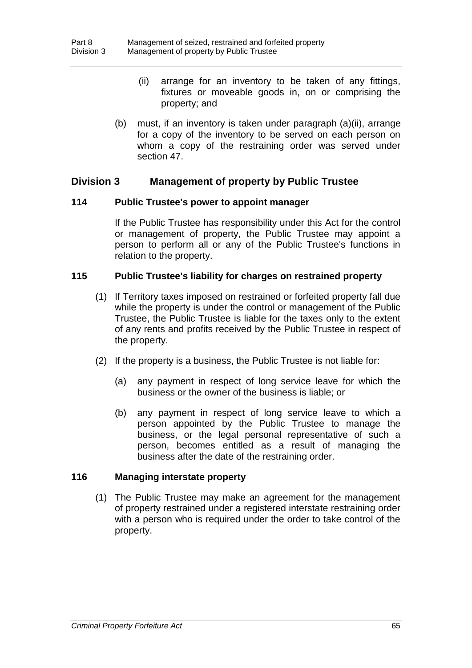- (ii) arrange for an inventory to be taken of any fittings, fixtures or moveable goods in, on or comprising the property; and
- (b) must, if an inventory is taken under paragraph (a)(ii), arrange for a copy of the inventory to be served on each person on whom a copy of the restraining order was served under section 47.

# **Division 3 Management of property by Public Trustee**

#### **114 Public Trustee's power to appoint manager**

If the Public Trustee has responsibility under this Act for the control or management of property, the Public Trustee may appoint a person to perform all or any of the Public Trustee's functions in relation to the property.

# **115 Public Trustee's liability for charges on restrained property**

- (1) If Territory taxes imposed on restrained or forfeited property fall due while the property is under the control or management of the Public Trustee, the Public Trustee is liable for the taxes only to the extent of any rents and profits received by the Public Trustee in respect of the property.
- (2) If the property is a business, the Public Trustee is not liable for:
	- (a) any payment in respect of long service leave for which the business or the owner of the business is liable; or
	- (b) any payment in respect of long service leave to which a person appointed by the Public Trustee to manage the business, or the legal personal representative of such a person, becomes entitled as a result of managing the business after the date of the restraining order.

# **116 Managing interstate property**

(1) The Public Trustee may make an agreement for the management of property restrained under a registered interstate restraining order with a person who is required under the order to take control of the property.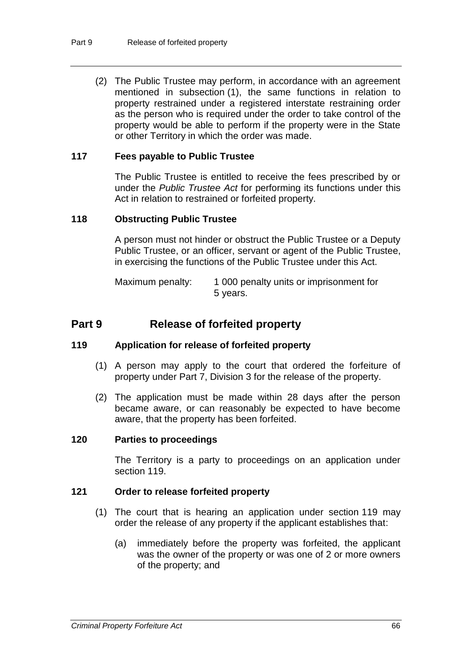(2) The Public Trustee may perform, in accordance with an agreement mentioned in subsection (1), the same functions in relation to property restrained under a registered interstate restraining order as the person who is required under the order to take control of the property would be able to perform if the property were in the State or other Territory in which the order was made.

#### **117 Fees payable to Public Trustee**

The Public Trustee is entitled to receive the fees prescribed by or under the *Public Trustee Act* for performing its functions under this Act in relation to restrained or forfeited property.

#### **118 Obstructing Public Trustee**

A person must not hinder or obstruct the Public Trustee or a Deputy Public Trustee, or an officer, servant or agent of the Public Trustee, in exercising the functions of the Public Trustee under this Act.

Maximum penalty: 1 000 penalty units or imprisonment for 5 years.

# **Part 9 Release of forfeited property**

#### **119 Application for release of forfeited property**

- (1) A person may apply to the court that ordered the forfeiture of property under Part 7, Division 3 for the release of the property.
- (2) The application must be made within 28 days after the person became aware, or can reasonably be expected to have become aware, that the property has been forfeited.

# **120 Parties to proceedings**

The Territory is a party to proceedings on an application under section 119.

# **121 Order to release forfeited property**

- (1) The court that is hearing an application under section 119 may order the release of any property if the applicant establishes that:
	- (a) immediately before the property was forfeited, the applicant was the owner of the property or was one of 2 or more owners of the property; and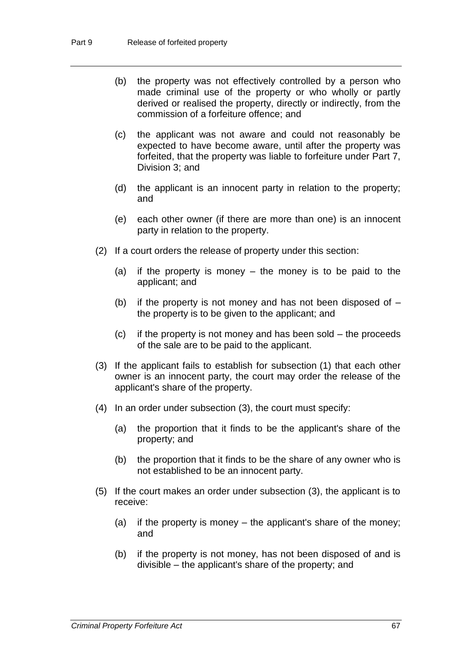- (b) the property was not effectively controlled by a person who made criminal use of the property or who wholly or partly derived or realised the property, directly or indirectly, from the commission of a forfeiture offence; and
- (c) the applicant was not aware and could not reasonably be expected to have become aware, until after the property was forfeited, that the property was liable to forfeiture under Part 7, Division 3; and
- (d) the applicant is an innocent party in relation to the property; and
- (e) each other owner (if there are more than one) is an innocent party in relation to the property.
- (2) If a court orders the release of property under this section:
	- (a) if the property is money the money is to be paid to the applicant; and
	- (b) if the property is not money and has not been disposed of  $$ the property is to be given to the applicant; and
	- (c) if the property is not money and has been sold the proceeds of the sale are to be paid to the applicant.
- (3) If the applicant fails to establish for subsection (1) that each other owner is an innocent party, the court may order the release of the applicant's share of the property.
- (4) In an order under subsection (3), the court must specify:
	- (a) the proportion that it finds to be the applicant's share of the property; and
	- (b) the proportion that it finds to be the share of any owner who is not established to be an innocent party.
- (5) If the court makes an order under subsection (3), the applicant is to receive:
	- (a) if the property is money the applicant's share of the money; and
	- (b) if the property is not money, has not been disposed of and is divisible – the applicant's share of the property; and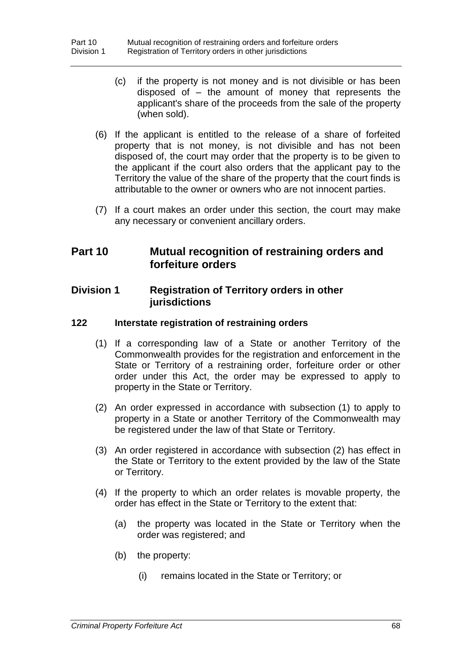- (c) if the property is not money and is not divisible or has been disposed of – the amount of money that represents the applicant's share of the proceeds from the sale of the property (when sold).
- (6) If the applicant is entitled to the release of a share of forfeited property that is not money, is not divisible and has not been disposed of, the court may order that the property is to be given to the applicant if the court also orders that the applicant pay to the Territory the value of the share of the property that the court finds is attributable to the owner or owners who are not innocent parties.
- (7) If a court makes an order under this section, the court may make any necessary or convenient ancillary orders.

# **Part 10 Mutual recognition of restraining orders and forfeiture orders**

## **Division 1 Registration of Territory orders in other jurisdictions**

## **122 Interstate registration of restraining orders**

- (1) If a corresponding law of a State or another Territory of the Commonwealth provides for the registration and enforcement in the State or Territory of a restraining order, forfeiture order or other order under this Act, the order may be expressed to apply to property in the State or Territory.
- (2) An order expressed in accordance with subsection (1) to apply to property in a State or another Territory of the Commonwealth may be registered under the law of that State or Territory.
- (3) An order registered in accordance with subsection (2) has effect in the State or Territory to the extent provided by the law of the State or Territory.
- (4) If the property to which an order relates is movable property, the order has effect in the State or Territory to the extent that:
	- (a) the property was located in the State or Territory when the order was registered; and
	- (b) the property:
		- (i) remains located in the State or Territory; or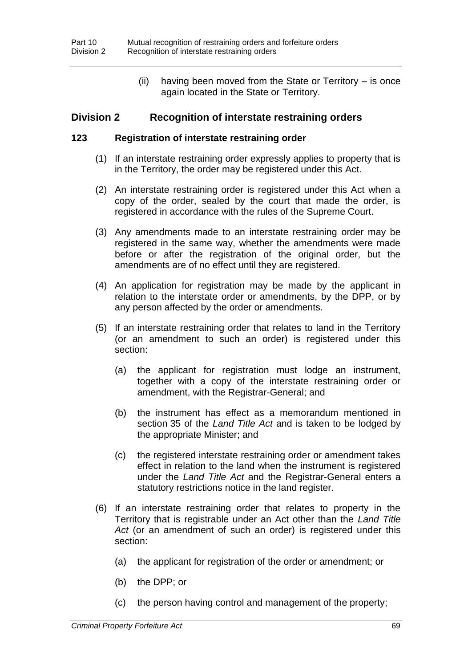(ii) having been moved from the State or Territory – is once again located in the State or Territory.

## **Division 2 Recognition of interstate restraining orders**

### **123 Registration of interstate restraining order**

- (1) If an interstate restraining order expressly applies to property that is in the Territory, the order may be registered under this Act.
- (2) An interstate restraining order is registered under this Act when a copy of the order, sealed by the court that made the order, is registered in accordance with the rules of the Supreme Court.
- (3) Any amendments made to an interstate restraining order may be registered in the same way, whether the amendments were made before or after the registration of the original order, but the amendments are of no effect until they are registered.
- (4) An application for registration may be made by the applicant in relation to the interstate order or amendments, by the DPP, or by any person affected by the order or amendments.
- (5) If an interstate restraining order that relates to land in the Territory (or an amendment to such an order) is registered under this section:
	- (a) the applicant for registration must lodge an instrument, together with a copy of the interstate restraining order or amendment, with the Registrar-General; and
	- (b) the instrument has effect as a memorandum mentioned in section 35 of the *Land Title Act* and is taken to be lodged by the appropriate Minister; and
	- (c) the registered interstate restraining order or amendment takes effect in relation to the land when the instrument is registered under the *Land Title Act* and the Registrar-General enters a statutory restrictions notice in the land register.
- (6) If an interstate restraining order that relates to property in the Territory that is registrable under an Act other than the *Land Title Act* (or an amendment of such an order) is registered under this section:
	- (a) the applicant for registration of the order or amendment; or
	- (b) the DPP; or
	- (c) the person having control and management of the property;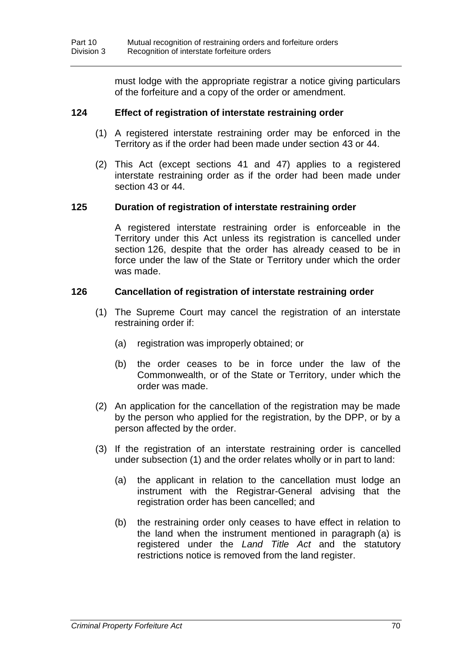must lodge with the appropriate registrar a notice giving particulars of the forfeiture and a copy of the order or amendment.

## **124 Effect of registration of interstate restraining order**

- (1) A registered interstate restraining order may be enforced in the Territory as if the order had been made under section 43 or 44.
- (2) This Act (except sections 41 and 47) applies to a registered interstate restraining order as if the order had been made under section 43 or 44.

## **125 Duration of registration of interstate restraining order**

A registered interstate restraining order is enforceable in the Territory under this Act unless its registration is cancelled under section 126, despite that the order has already ceased to be in force under the law of the State or Territory under which the order was made.

## **126 Cancellation of registration of interstate restraining order**

- (1) The Supreme Court may cancel the registration of an interstate restraining order if:
	- (a) registration was improperly obtained; or
	- (b) the order ceases to be in force under the law of the Commonwealth, or of the State or Territory, under which the order was made.
- (2) An application for the cancellation of the registration may be made by the person who applied for the registration, by the DPP, or by a person affected by the order.
- (3) If the registration of an interstate restraining order is cancelled under subsection (1) and the order relates wholly or in part to land:
	- (a) the applicant in relation to the cancellation must lodge an instrument with the Registrar-General advising that the registration order has been cancelled; and
	- (b) the restraining order only ceases to have effect in relation to the land when the instrument mentioned in paragraph (a) is registered under the *Land Title Act* and the statutory restrictions notice is removed from the land register.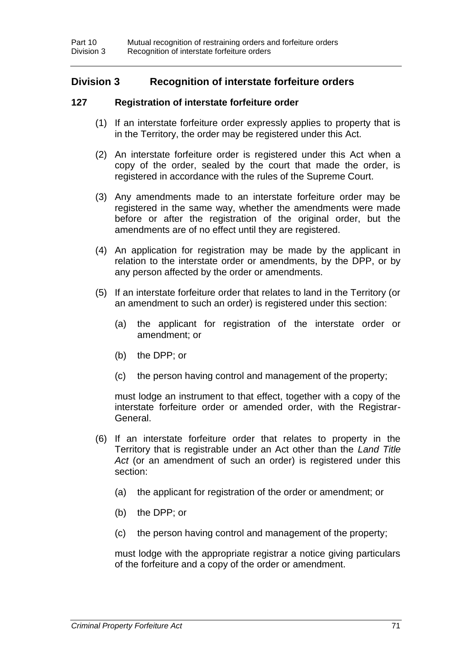# **Division 3 Recognition of interstate forfeiture orders**

## **127 Registration of interstate forfeiture order**

- (1) If an interstate forfeiture order expressly applies to property that is in the Territory, the order may be registered under this Act.
- (2) An interstate forfeiture order is registered under this Act when a copy of the order, sealed by the court that made the order, is registered in accordance with the rules of the Supreme Court.
- (3) Any amendments made to an interstate forfeiture order may be registered in the same way, whether the amendments were made before or after the registration of the original order, but the amendments are of no effect until they are registered.
- (4) An application for registration may be made by the applicant in relation to the interstate order or amendments, by the DPP, or by any person affected by the order or amendments.
- (5) If an interstate forfeiture order that relates to land in the Territory (or an amendment to such an order) is registered under this section:
	- (a) the applicant for registration of the interstate order or amendment; or
	- (b) the DPP; or
	- (c) the person having control and management of the property;

must lodge an instrument to that effect, together with a copy of the interstate forfeiture order or amended order, with the Registrar-General.

- (6) If an interstate forfeiture order that relates to property in the Territory that is registrable under an Act other than the *Land Title Act* (or an amendment of such an order) is registered under this section:
	- (a) the applicant for registration of the order or amendment; or
	- (b) the DPP; or
	- (c) the person having control and management of the property;

must lodge with the appropriate registrar a notice giving particulars of the forfeiture and a copy of the order or amendment.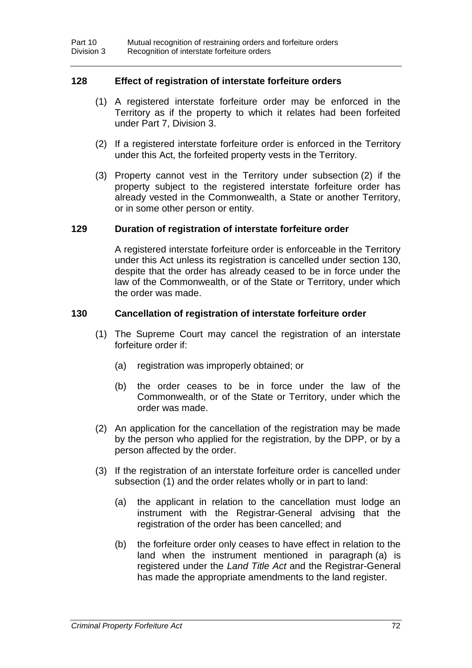## **128 Effect of registration of interstate forfeiture orders**

- (1) A registered interstate forfeiture order may be enforced in the Territory as if the property to which it relates had been forfeited under Part 7, Division 3.
- (2) If a registered interstate forfeiture order is enforced in the Territory under this Act, the forfeited property vests in the Territory.
- (3) Property cannot vest in the Territory under subsection (2) if the property subject to the registered interstate forfeiture order has already vested in the Commonwealth, a State or another Territory, or in some other person or entity.

### **129 Duration of registration of interstate forfeiture order**

A registered interstate forfeiture order is enforceable in the Territory under this Act unless its registration is cancelled under section 130, despite that the order has already ceased to be in force under the law of the Commonwealth, or of the State or Territory, under which the order was made.

### **130 Cancellation of registration of interstate forfeiture order**

- (1) The Supreme Court may cancel the registration of an interstate forfeiture order if:
	- (a) registration was improperly obtained; or
	- (b) the order ceases to be in force under the law of the Commonwealth, or of the State or Territory, under which the order was made.
- (2) An application for the cancellation of the registration may be made by the person who applied for the registration, by the DPP, or by a person affected by the order.
- (3) If the registration of an interstate forfeiture order is cancelled under subsection (1) and the order relates wholly or in part to land:
	- (a) the applicant in relation to the cancellation must lodge an instrument with the Registrar-General advising that the registration of the order has been cancelled; and
	- (b) the forfeiture order only ceases to have effect in relation to the land when the instrument mentioned in paragraph (a) is registered under the *Land Title Act* and the Registrar-General has made the appropriate amendments to the land register.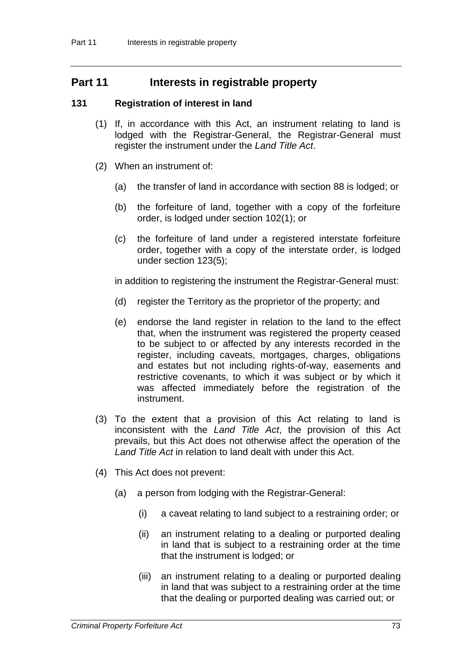# **Part 11 Interests in registrable property**

## **131 Registration of interest in land**

- (1) If, in accordance with this Act, an instrument relating to land is lodged with the Registrar-General, the Registrar-General must register the instrument under the *Land Title Act*.
- (2) When an instrument of:
	- (a) the transfer of land in accordance with section 88 is lodged; or
	- (b) the forfeiture of land, together with a copy of the forfeiture order, is lodged under section 102(1); or
	- (c) the forfeiture of land under a registered interstate forfeiture order, together with a copy of the interstate order, is lodged under section 123(5);

in addition to registering the instrument the Registrar-General must:

- (d) register the Territory as the proprietor of the property; and
- (e) endorse the land register in relation to the land to the effect that, when the instrument was registered the property ceased to be subject to or affected by any interests recorded in the register, including caveats, mortgages, charges, obligations and estates but not including rights-of-way, easements and restrictive covenants, to which it was subject or by which it was affected immediately before the registration of the instrument.
- (3) To the extent that a provision of this Act relating to land is inconsistent with the *Land Title Act*, the provision of this Act prevails, but this Act does not otherwise affect the operation of the *Land Title Act* in relation to land dealt with under this Act.
- (4) This Act does not prevent:
	- (a) a person from lodging with the Registrar-General:
		- (i) a caveat relating to land subject to a restraining order; or
		- (ii) an instrument relating to a dealing or purported dealing in land that is subject to a restraining order at the time that the instrument is lodged; or
		- (iii) an instrument relating to a dealing or purported dealing in land that was subject to a restraining order at the time that the dealing or purported dealing was carried out; or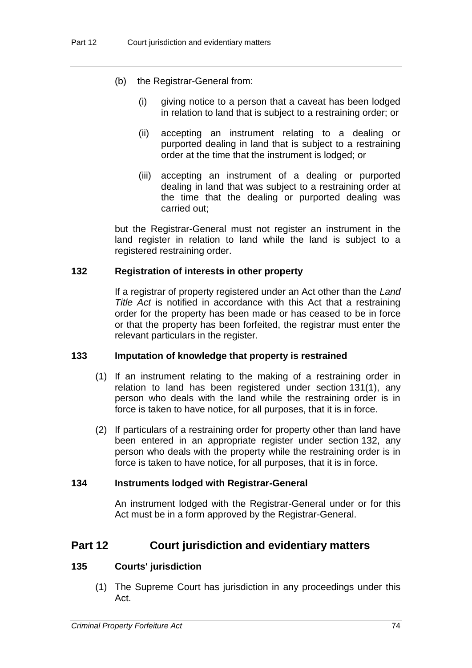- (b) the Registrar-General from:
	- (i) giving notice to a person that a caveat has been lodged in relation to land that is subject to a restraining order; or
	- (ii) accepting an instrument relating to a dealing or purported dealing in land that is subject to a restraining order at the time that the instrument is lodged; or
	- (iii) accepting an instrument of a dealing or purported dealing in land that was subject to a restraining order at the time that the dealing or purported dealing was carried out;

but the Registrar-General must not register an instrument in the land register in relation to land while the land is subject to a registered restraining order.

### **132 Registration of interests in other property**

If a registrar of property registered under an Act other than the *Land Title Act* is notified in accordance with this Act that a restraining order for the property has been made or has ceased to be in force or that the property has been forfeited, the registrar must enter the relevant particulars in the register.

### **133 Imputation of knowledge that property is restrained**

- (1) If an instrument relating to the making of a restraining order in relation to land has been registered under section 131(1), any person who deals with the land while the restraining order is in force is taken to have notice, for all purposes, that it is in force.
- (2) If particulars of a restraining order for property other than land have been entered in an appropriate register under section 132, any person who deals with the property while the restraining order is in force is taken to have notice, for all purposes, that it is in force.

### **134 Instruments lodged with Registrar-General**

An instrument lodged with the Registrar-General under or for this Act must be in a form approved by the Registrar-General.

## **Part 12 Court jurisdiction and evidentiary matters**

## **135 Courts' jurisdiction**

(1) The Supreme Court has jurisdiction in any proceedings under this Act.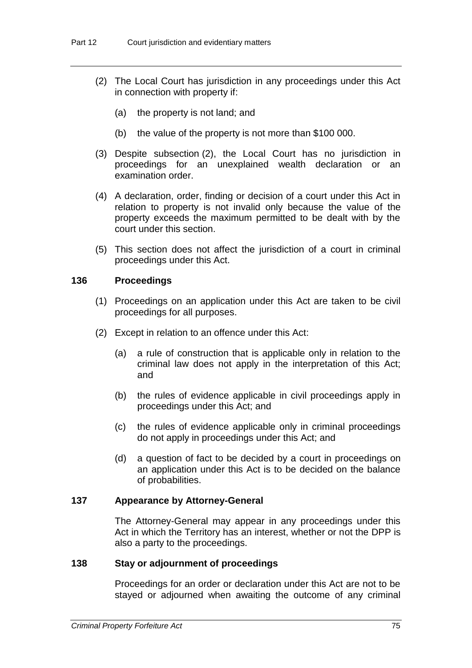- (2) The Local Court has jurisdiction in any proceedings under this Act in connection with property if:
	- (a) the property is not land; and
	- (b) the value of the property is not more than \$100 000.
- (3) Despite subsection (2), the Local Court has no jurisdiction in proceedings for an unexplained wealth declaration or an examination order.
- (4) A declaration, order, finding or decision of a court under this Act in relation to property is not invalid only because the value of the property exceeds the maximum permitted to be dealt with by the court under this section.
- (5) This section does not affect the jurisdiction of a court in criminal proceedings under this Act.

## **136 Proceedings**

- (1) Proceedings on an application under this Act are taken to be civil proceedings for all purposes.
- (2) Except in relation to an offence under this Act:
	- (a) a rule of construction that is applicable only in relation to the criminal law does not apply in the interpretation of this Act; and
	- (b) the rules of evidence applicable in civil proceedings apply in proceedings under this Act; and
	- (c) the rules of evidence applicable only in criminal proceedings do not apply in proceedings under this Act; and
	- (d) a question of fact to be decided by a court in proceedings on an application under this Act is to be decided on the balance of probabilities.

## **137 Appearance by Attorney-General**

The Attorney-General may appear in any proceedings under this Act in which the Territory has an interest, whether or not the DPP is also a party to the proceedings.

## **138 Stay or adjournment of proceedings**

Proceedings for an order or declaration under this Act are not to be stayed or adjourned when awaiting the outcome of any criminal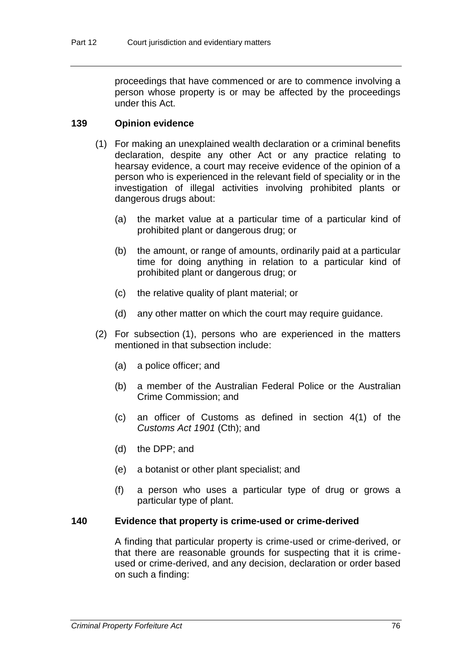proceedings that have commenced or are to commence involving a person whose property is or may be affected by the proceedings under this Act.

## **139 Opinion evidence**

- (1) For making an unexplained wealth declaration or a criminal benefits declaration, despite any other Act or any practice relating to hearsay evidence, a court may receive evidence of the opinion of a person who is experienced in the relevant field of speciality or in the investigation of illegal activities involving prohibited plants or dangerous drugs about:
	- (a) the market value at a particular time of a particular kind of prohibited plant or dangerous drug; or
	- (b) the amount, or range of amounts, ordinarily paid at a particular time for doing anything in relation to a particular kind of prohibited plant or dangerous drug; or
	- (c) the relative quality of plant material; or
	- (d) any other matter on which the court may require guidance.
- (2) For subsection (1), persons who are experienced in the matters mentioned in that subsection include:
	- (a) a police officer; and
	- (b) a member of the Australian Federal Police or the Australian Crime Commission; and
	- (c) an officer of Customs as defined in section 4(1) of the *Customs Act 1901* (Cth); and
	- (d) the DPP; and
	- (e) a botanist or other plant specialist; and
	- (f) a person who uses a particular type of drug or grows a particular type of plant.

### **140 Evidence that property is crime-used or crime-derived**

A finding that particular property is crime-used or crime-derived, or that there are reasonable grounds for suspecting that it is crimeused or crime-derived, and any decision, declaration or order based on such a finding: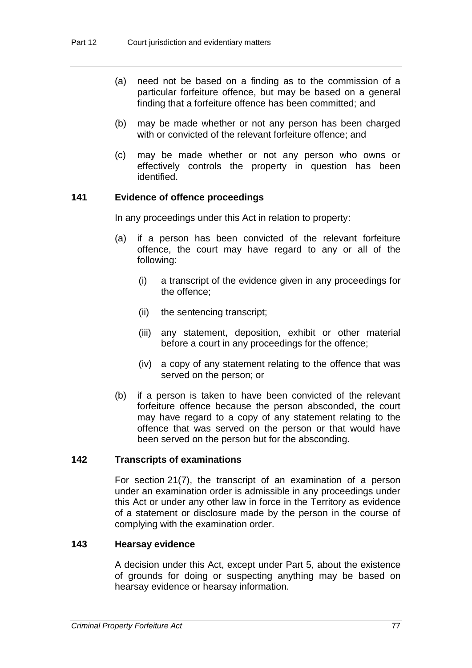- (a) need not be based on a finding as to the commission of a particular forfeiture offence, but may be based on a general finding that a forfeiture offence has been committed; and
- (b) may be made whether or not any person has been charged with or convicted of the relevant forfeiture offence; and
- (c) may be made whether or not any person who owns or effectively controls the property in question has been identified.

## **141 Evidence of offence proceedings**

In any proceedings under this Act in relation to property:

- (a) if a person has been convicted of the relevant forfeiture offence, the court may have regard to any or all of the following:
	- (i) a transcript of the evidence given in any proceedings for the offence;
	- (ii) the sentencing transcript;
	- (iii) any statement, deposition, exhibit or other material before a court in any proceedings for the offence;
	- (iv) a copy of any statement relating to the offence that was served on the person; or
- (b) if a person is taken to have been convicted of the relevant forfeiture offence because the person absconded, the court may have regard to a copy of any statement relating to the offence that was served on the person or that would have been served on the person but for the absconding.

## **142 Transcripts of examinations**

For section 21(7), the transcript of an examination of a person under an examination order is admissible in any proceedings under this Act or under any other law in force in the Territory as evidence of a statement or disclosure made by the person in the course of complying with the examination order.

## **143 Hearsay evidence**

A decision under this Act, except under Part 5, about the existence of grounds for doing or suspecting anything may be based on hearsay evidence or hearsay information.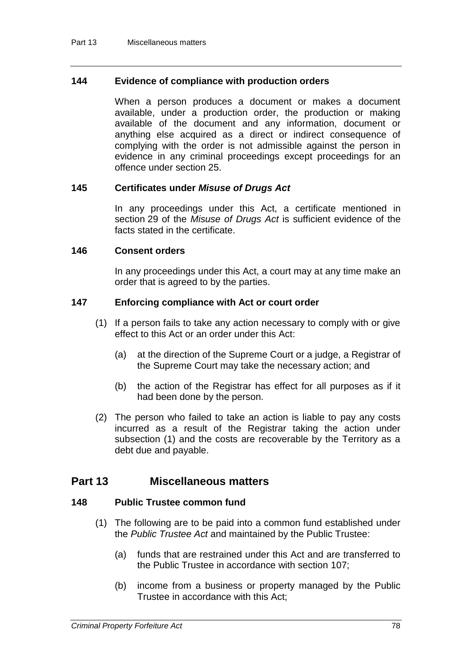### **144 Evidence of compliance with production orders**

When a person produces a document or makes a document available, under a production order, the production or making available of the document and any information, document or anything else acquired as a direct or indirect consequence of complying with the order is not admissible against the person in evidence in any criminal proceedings except proceedings for an offence under section 25.

### **145 Certificates under** *Misuse of Drugs Act*

In any proceedings under this Act, a certificate mentioned in section 29 of the *Misuse of Drugs Act* is sufficient evidence of the facts stated in the certificate.

### **146 Consent orders**

In any proceedings under this Act, a court may at any time make an order that is agreed to by the parties.

## **147 Enforcing compliance with Act or court order**

- (1) If a person fails to take any action necessary to comply with or give effect to this Act or an order under this Act:
	- (a) at the direction of the Supreme Court or a judge, a Registrar of the Supreme Court may take the necessary action; and
	- (b) the action of the Registrar has effect for all purposes as if it had been done by the person.
- (2) The person who failed to take an action is liable to pay any costs incurred as a result of the Registrar taking the action under subsection (1) and the costs are recoverable by the Territory as a debt due and payable.

## **Part 13 Miscellaneous matters**

### **148 Public Trustee common fund**

- (1) The following are to be paid into a common fund established under the *Public Trustee Act* and maintained by the Public Trustee:
	- (a) funds that are restrained under this Act and are transferred to the Public Trustee in accordance with section 107;
	- (b) income from a business or property managed by the Public Trustee in accordance with this Act;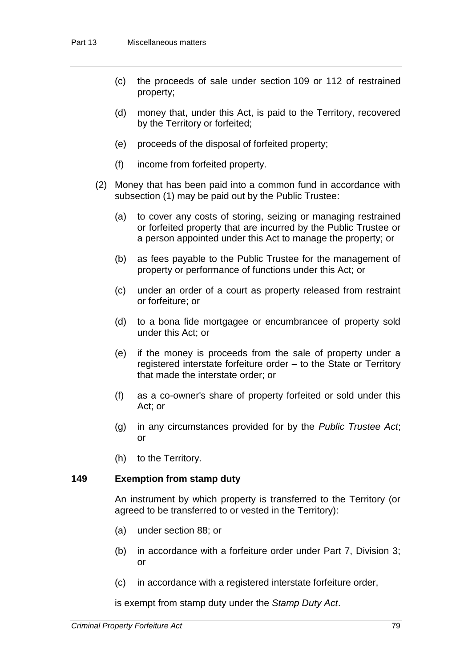- (c) the proceeds of sale under section 109 or 112 of restrained property;
- (d) money that, under this Act, is paid to the Territory, recovered by the Territory or forfeited;
- (e) proceeds of the disposal of forfeited property;
- (f) income from forfeited property.
- (2) Money that has been paid into a common fund in accordance with subsection (1) may be paid out by the Public Trustee:
	- (a) to cover any costs of storing, seizing or managing restrained or forfeited property that are incurred by the Public Trustee or a person appointed under this Act to manage the property; or
	- (b) as fees payable to the Public Trustee for the management of property or performance of functions under this Act; or
	- (c) under an order of a court as property released from restraint or forfeiture; or
	- (d) to a bona fide mortgagee or encumbrancee of property sold under this Act; or
	- (e) if the money is proceeds from the sale of property under a registered interstate forfeiture order – to the State or Territory that made the interstate order; or
	- (f) as a co-owner's share of property forfeited or sold under this Act; or
	- (g) in any circumstances provided for by the *Public Trustee Act*; or
	- (h) to the Territory.

## **149 Exemption from stamp duty**

An instrument by which property is transferred to the Territory (or agreed to be transferred to or vested in the Territory):

- (a) under section 88; or
- (b) in accordance with a forfeiture order under Part 7, Division 3;  $\alpha$ r
- (c) in accordance with a registered interstate forfeiture order,

is exempt from stamp duty under the *Stamp Duty Act*.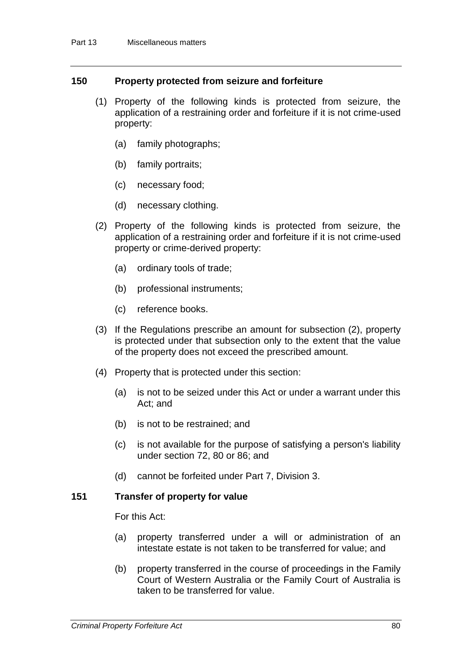## **150 Property protected from seizure and forfeiture**

- (1) Property of the following kinds is protected from seizure, the application of a restraining order and forfeiture if it is not crime-used property:
	- (a) family photographs;
	- (b) family portraits;
	- (c) necessary food;
	- (d) necessary clothing.
- (2) Property of the following kinds is protected from seizure, the application of a restraining order and forfeiture if it is not crime-used property or crime-derived property:
	- (a) ordinary tools of trade;
	- (b) professional instruments;
	- (c) reference books.
- (3) If the Regulations prescribe an amount for subsection (2), property is protected under that subsection only to the extent that the value of the property does not exceed the prescribed amount.
- (4) Property that is protected under this section:
	- (a) is not to be seized under this Act or under a warrant under this Act; and
	- (b) is not to be restrained; and
	- (c) is not available for the purpose of satisfying a person's liability under section 72, 80 or 86; and
	- (d) cannot be forfeited under Part 7, Division 3.

### **151 Transfer of property for value**

For this Act:

- (a) property transferred under a will or administration of an intestate estate is not taken to be transferred for value; and
- (b) property transferred in the course of proceedings in the Family Court of Western Australia or the Family Court of Australia is taken to be transferred for value.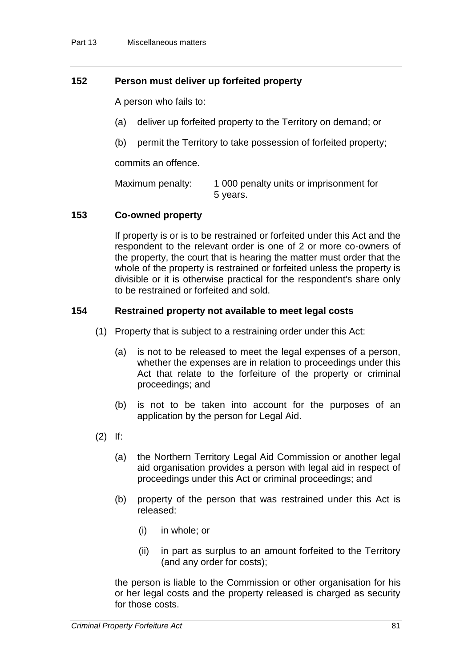## **152 Person must deliver up forfeited property**

A person who fails to:

- (a) deliver up forfeited property to the Territory on demand; or
- (b) permit the Territory to take possession of forfeited property;

commits an offence.

Maximum penalty: 1 000 penalty units or imprisonment for 5 years.

## **153 Co-owned property**

If property is or is to be restrained or forfeited under this Act and the respondent to the relevant order is one of 2 or more co-owners of the property, the court that is hearing the matter must order that the whole of the property is restrained or forfeited unless the property is divisible or it is otherwise practical for the respondent's share only to be restrained or forfeited and sold.

## **154 Restrained property not available to meet legal costs**

- (1) Property that is subject to a restraining order under this Act:
	- (a) is not to be released to meet the legal expenses of a person, whether the expenses are in relation to proceedings under this Act that relate to the forfeiture of the property or criminal proceedings; and
	- (b) is not to be taken into account for the purposes of an application by the person for Legal Aid.
- (2) If:
	- (a) the Northern Territory Legal Aid Commission or another legal aid organisation provides a person with legal aid in respect of proceedings under this Act or criminal proceedings; and
	- (b) property of the person that was restrained under this Act is released:
		- (i) in whole; or
		- (ii) in part as surplus to an amount forfeited to the Territory (and any order for costs);

the person is liable to the Commission or other organisation for his or her legal costs and the property released is charged as security for those costs.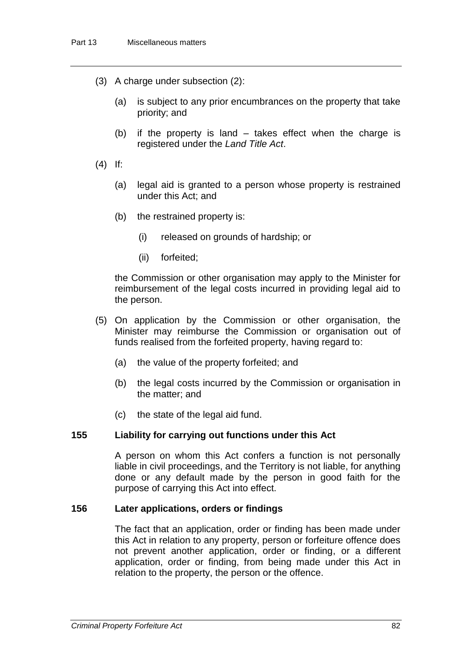- (3) A charge under subsection (2):
	- (a) is subject to any prior encumbrances on the property that take priority; and
	- (b) if the property is land takes effect when the charge is registered under the *Land Title Act*.
- (4) If:
	- (a) legal aid is granted to a person whose property is restrained under this Act; and
	- (b) the restrained property is:
		- (i) released on grounds of hardship; or
		- (ii) forfeited;

the Commission or other organisation may apply to the Minister for reimbursement of the legal costs incurred in providing legal aid to the person.

- (5) On application by the Commission or other organisation, the Minister may reimburse the Commission or organisation out of funds realised from the forfeited property, having regard to:
	- (a) the value of the property forfeited; and
	- (b) the legal costs incurred by the Commission or organisation in the matter; and
	- (c) the state of the legal aid fund.

### **155 Liability for carrying out functions under this Act**

A person on whom this Act confers a function is not personally liable in civil proceedings, and the Territory is not liable, for anything done or any default made by the person in good faith for the purpose of carrying this Act into effect.

### **156 Later applications, orders or findings**

The fact that an application, order or finding has been made under this Act in relation to any property, person or forfeiture offence does not prevent another application, order or finding, or a different application, order or finding, from being made under this Act in relation to the property, the person or the offence.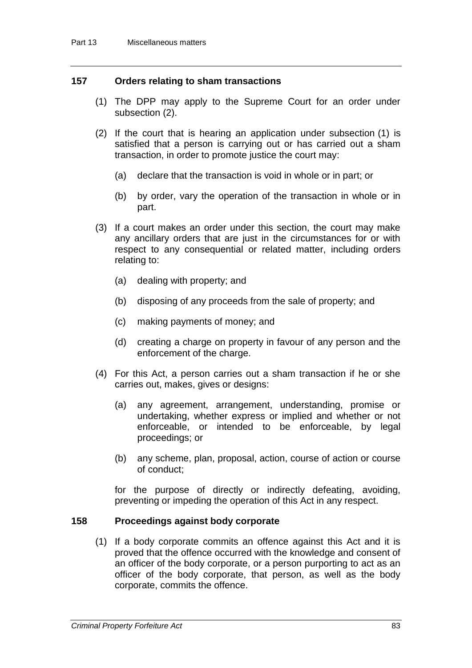## **157 Orders relating to sham transactions**

- (1) The DPP may apply to the Supreme Court for an order under subsection (2).
- (2) If the court that is hearing an application under subsection (1) is satisfied that a person is carrying out or has carried out a sham transaction, in order to promote justice the court may:
	- (a) declare that the transaction is void in whole or in part; or
	- (b) by order, vary the operation of the transaction in whole or in part.
- (3) If a court makes an order under this section, the court may make any ancillary orders that are just in the circumstances for or with respect to any consequential or related matter, including orders relating to:
	- (a) dealing with property; and
	- (b) disposing of any proceeds from the sale of property; and
	- (c) making payments of money; and
	- (d) creating a charge on property in favour of any person and the enforcement of the charge.
- (4) For this Act, a person carries out a sham transaction if he or she carries out, makes, gives or designs:
	- (a) any agreement, arrangement, understanding, promise or undertaking, whether express or implied and whether or not enforceable, or intended to be enforceable, by legal proceedings; or
	- (b) any scheme, plan, proposal, action, course of action or course of conduct;

for the purpose of directly or indirectly defeating, avoiding, preventing or impeding the operation of this Act in any respect.

### **158 Proceedings against body corporate**

(1) If a body corporate commits an offence against this Act and it is proved that the offence occurred with the knowledge and consent of an officer of the body corporate, or a person purporting to act as an officer of the body corporate, that person, as well as the body corporate, commits the offence.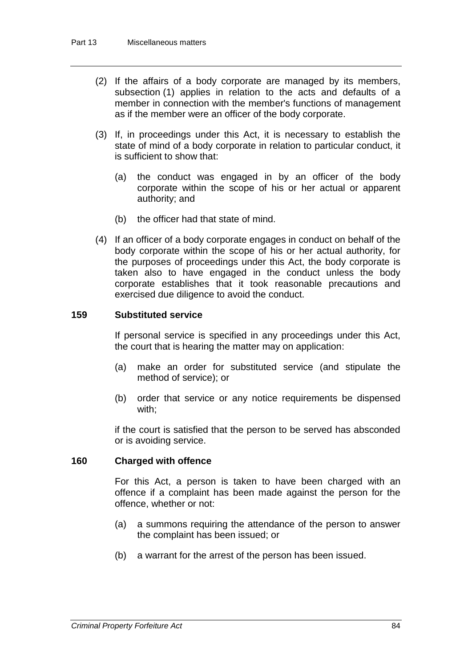- (2) If the affairs of a body corporate are managed by its members, subsection (1) applies in relation to the acts and defaults of a member in connection with the member's functions of management as if the member were an officer of the body corporate.
- (3) If, in proceedings under this Act, it is necessary to establish the state of mind of a body corporate in relation to particular conduct, it is sufficient to show that:
	- (a) the conduct was engaged in by an officer of the body corporate within the scope of his or her actual or apparent authority; and
	- (b) the officer had that state of mind.
- (4) If an officer of a body corporate engages in conduct on behalf of the body corporate within the scope of his or her actual authority, for the purposes of proceedings under this Act, the body corporate is taken also to have engaged in the conduct unless the body corporate establishes that it took reasonable precautions and exercised due diligence to avoid the conduct.

## **159 Substituted service**

If personal service is specified in any proceedings under this Act, the court that is hearing the matter may on application:

- (a) make an order for substituted service (and stipulate the method of service); or
- (b) order that service or any notice requirements be dispensed with;

if the court is satisfied that the person to be served has absconded or is avoiding service.

### **160 Charged with offence**

For this Act, a person is taken to have been charged with an offence if a complaint has been made against the person for the offence, whether or not:

- (a) a summons requiring the attendance of the person to answer the complaint has been issued; or
- (b) a warrant for the arrest of the person has been issued.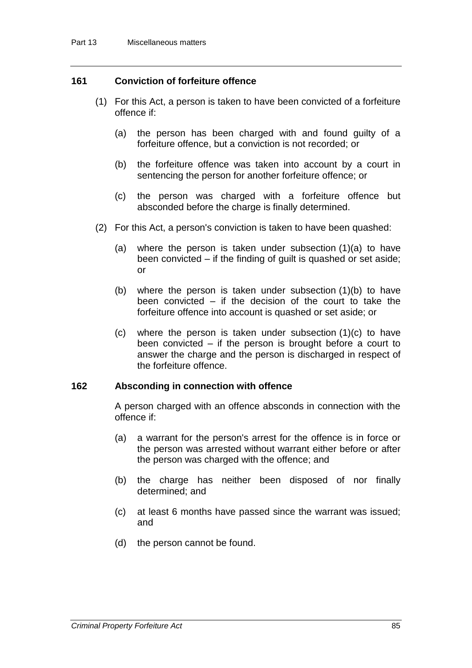## **161 Conviction of forfeiture offence**

- (1) For this Act, a person is taken to have been convicted of a forfeiture offence if:
	- (a) the person has been charged with and found guilty of a forfeiture offence, but a conviction is not recorded; or
	- (b) the forfeiture offence was taken into account by a court in sentencing the person for another forfeiture offence; or
	- (c) the person was charged with a forfeiture offence but absconded before the charge is finally determined.
- (2) For this Act, a person's conviction is taken to have been quashed:
	- (a) where the person is taken under subsection (1)(a) to have been convicted *–* if the finding of guilt is quashed or set aside; or
	- (b) where the person is taken under subsection (1)(b) to have been convicted – if the decision of the court to take the forfeiture offence into account is quashed or set aside; or
	- (c) where the person is taken under subsection (1)(c) to have been convicted – if the person is brought before a court to answer the charge and the person is discharged in respect of the forfeiture offence.

### **162 Absconding in connection with offence**

A person charged with an offence absconds in connection with the offence if:

- (a) a warrant for the person's arrest for the offence is in force or the person was arrested without warrant either before or after the person was charged with the offence; and
- (b) the charge has neither been disposed of nor finally determined; and
- (c) at least 6 months have passed since the warrant was issued; and
- (d) the person cannot be found.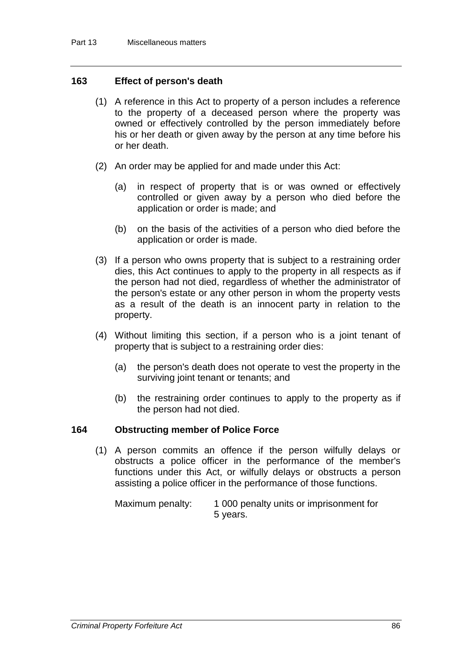## **163 Effect of person's death**

- (1) A reference in this Act to property of a person includes a reference to the property of a deceased person where the property was owned or effectively controlled by the person immediately before his or her death or given away by the person at any time before his or her death.
- (2) An order may be applied for and made under this Act:
	- (a) in respect of property that is or was owned or effectively controlled or given away by a person who died before the application or order is made; and
	- (b) on the basis of the activities of a person who died before the application or order is made.
- (3) If a person who owns property that is subject to a restraining order dies, this Act continues to apply to the property in all respects as if the person had not died, regardless of whether the administrator of the person's estate or any other person in whom the property vests as a result of the death is an innocent party in relation to the property.
- (4) Without limiting this section, if a person who is a joint tenant of property that is subject to a restraining order dies:
	- (a) the person's death does not operate to vest the property in the surviving joint tenant or tenants; and
	- (b) the restraining order continues to apply to the property as if the person had not died.

## **164 Obstructing member of Police Force**

(1) A person commits an offence if the person wilfully delays or obstructs a police officer in the performance of the member's functions under this Act, or wilfully delays or obstructs a person assisting a police officer in the performance of those functions.

Maximum penalty: 1 000 penalty units or imprisonment for 5 years.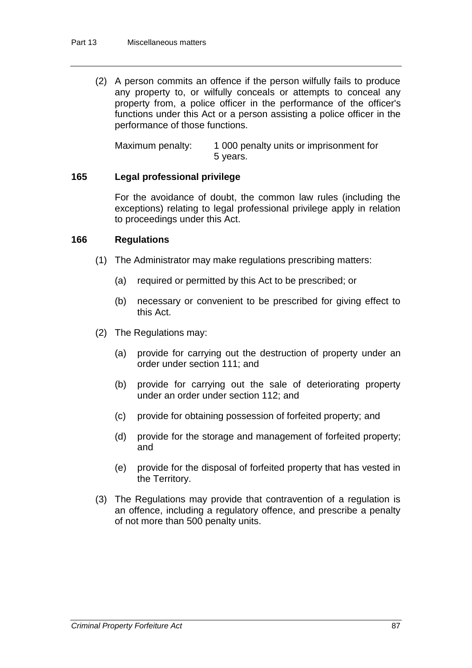(2) A person commits an offence if the person wilfully fails to produce any property to, or wilfully conceals or attempts to conceal any property from, a police officer in the performance of the officer's functions under this Act or a person assisting a police officer in the performance of those functions.

Maximum penalty: 1 000 penalty units or imprisonment for 5 years.

## **165 Legal professional privilege**

For the avoidance of doubt, the common law rules (including the exceptions) relating to legal professional privilege apply in relation to proceedings under this Act.

## **166 Regulations**

- (1) The Administrator may make regulations prescribing matters:
	- (a) required or permitted by this Act to be prescribed; or
	- (b) necessary or convenient to be prescribed for giving effect to this Act.
- (2) The Regulations may:
	- (a) provide for carrying out the destruction of property under an order under section 111; and
	- (b) provide for carrying out the sale of deteriorating property under an order under section 112; and
	- (c) provide for obtaining possession of forfeited property; and
	- (d) provide for the storage and management of forfeited property; and
	- (e) provide for the disposal of forfeited property that has vested in the Territory.
- (3) The Regulations may provide that contravention of a regulation is an offence, including a regulatory offence, and prescribe a penalty of not more than 500 penalty units.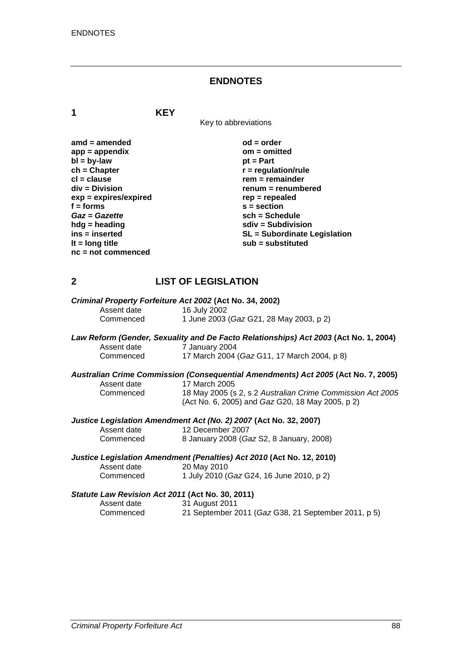### **ENDNOTES**

**1 KEY**

Key to abbreviations

| $amd = amended$         | $od = order$                        |
|-------------------------|-------------------------------------|
| $app = appendix$        | $om = omitted$                      |
| $bl = by-law$           | $pt = Part$                         |
| $ch = Chapter$          | $r =$ regulation/rule               |
| $cl = clause$           | $rem = remainder$                   |
| div = Division          | renum = renumbered                  |
| $exp = expires/expired$ | $rep = repeated$                    |
| $f =$ forms             | $s = section$                       |
| Gaz = Gazette           | $sch = Schedule$                    |
| $h dg =$ heading        | $sdiv = Subdivision$                |
| ins = inserted          | <b>SL = Subordinate Legislation</b> |
| It = $long$ title       | sub = substituted                   |
| $nc = not commenced$    |                                     |

## **2 LIST OF LEGISLATION**

| Criminal Property Forfeiture Act 2002 (Act No. 34, 2002) |                                         |  |
|----------------------------------------------------------|-----------------------------------------|--|
| Assent date                                              | 16 July 2002                            |  |
| Commenced                                                | 1 June 2003 (Gaz G21, 28 May 2003, p 2) |  |

#### *Law Reform (Gender, Sexuality and De Facto Relationships) Act 2003* **(Act No. 1, 2004)** Assent date 7 January 2004<br>Commenced 17 March 2004 17 March 2004 (*Gaz* G11, 17 March 2004, p 8)

# *Australian Crime Commission (Consequential Amendments) Act 2005* **(Act No. 7, 2005)** Assent date 17 March 2005<br>Commenced 18 May 2005 (s

18 May 2005 (s 2, s 2 Australian Crime Commission Act 2005 (Act No. 6, 2005) and *Gaz* G20, 18 May 2005, p 2)

#### *Justice Legislation Amendment Act (No. 2) 2007* **(Act No. 32, 2007)**

| Assent date | 12 December 2007                         |
|-------------|------------------------------------------|
| Commenced   | 8 January 2008 (Gaz S2, 8 January, 2008) |

*Justice Legislation Amendment (Penalties) Act 2010* **(Act No. 12, 2010)** Assent date 20 May 2010<br>Commenced 1 July 2010 ( Commenced 1 July 2010 (*Gaz* G24, 16 June 2010, p 2)

#### *Statute Law Revision Act 2011* **(Act No. 30, 2011)**

Assent date 31 August 2011<br>Commenced 21 September 2 21 September 2011 (*Gaz* G38, 21 September 2011, p 5)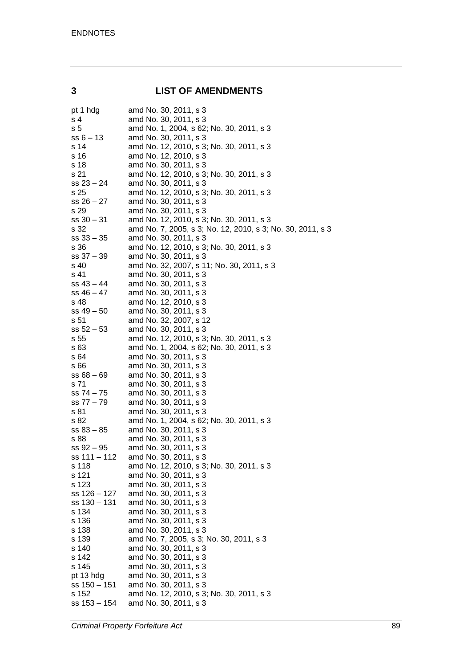### **3 LIST OF AMENDMENTS**

| pt 1 hdg              | amd No. 30, 2011, s 3                                      |
|-----------------------|------------------------------------------------------------|
| s <sub>4</sub>        | amd No. 30, 2011, s 3                                      |
| s 5                   | amd No. 1, 2004, s 62; No. 30, 2011, s 3                   |
| $ss 6 - 13$           | amd No. 30, 2011, s 3                                      |
| s 14                  | amd No. 12, 2010, s 3; No. 30, 2011, s 3                   |
| s 16                  | amd No. 12, 2010, s 3                                      |
| s 18                  | amd No. 30, 2011, s 3                                      |
| s 21                  | amd No. 12, 2010, s 3; No. 30, 2011, s 3                   |
| $ss 23 - 24$          | amd No. 30, 2011, s 3                                      |
| s 25                  | amd No. 12, 2010, s 3; No. 30, 2011, s 3                   |
| $ss 26 - 27$          | amd No. 30, 2011, s 3                                      |
| s 29                  | amd No. 30, 2011, s 3                                      |
| $ss 30 - 31$          | amd No. 12, 2010, s 3; No. 30, 2011, s 3                   |
| s 32                  | amd No. 7, 2005, s 3; No. 12, 2010, s 3; No. 30, 2011, s 3 |
| $ss 33 - 35$          | amd No. 30, 2011, s 3                                      |
| s 36                  | amd No. 12, 2010, s 3; No. 30, 2011, s 3                   |
| $ss 37 - 39$          | amd No. 30, 2011, s 3                                      |
| s 40                  | amd No. 32, 2007, s 11; No. 30, 2011, s 3                  |
| s 41                  | amd No. 30, 2011, s 3                                      |
| $ss 43 - 44$          | amd No. 30, 2011, s 3                                      |
| $ss 46 - 47$          | amd No. 30, 2011, s 3<br>amd No. 12, 2010, s 3             |
| s 48<br>$ss 49 - 50$  | amd No. 30, 2011, s 3                                      |
| s <sub>51</sub>       | amd No. 32, 2007, s 12                                     |
| $ss 52 - 53$          | amd No. 30, 2011, s 3                                      |
| s 55                  | amd No. 12, 2010, s 3; No. 30, 2011, s 3                   |
| s 63                  | amd No. 1, 2004, s 62; No. 30, 2011, s 3                   |
| s 64                  | amd No. 30, 2011, s 3                                      |
| s 66                  | amd No. 30, 2011, s 3                                      |
| $ss 68 - 69$          | amd No. 30, 2011, s 3                                      |
| s 71                  | amd No. 30, 2011, s 3                                      |
| $ss 74 - 75$          | amd No. 30, 2011, s 3                                      |
| ss 77 - 79            | amd No. 30, 2011, s 3                                      |
| s 81                  | amd No. 30, 2011, s 3                                      |
| s 82                  | amd No. 1, 2004, s 62; No. 30, 2011, s 3                   |
| $ss 83 - 85$          | amd No. 30, 2011, s 3                                      |
| s 88                  | amd No. 30, 2011, s 3                                      |
| $ss 92 - 95$          | amd No. 30, 2011, s 3                                      |
| ss 111 – 112          | amd No. 30, 2011, s 3                                      |
| s 118                 | amd No. 12, 2010, s 3; No. 30, 2011, s 3                   |
| s 121                 | amd No. 30, 2011, s 3                                      |
| s 123                 | amd No. 30, 2011, s 3                                      |
| ss 126 - 127          | amd No. 30, 2011, s 3                                      |
| ss 130 - 131          | amd No. 30, 2011, s 3                                      |
| s 134                 | amd No. 30, 2011, s 3                                      |
| s 136                 | amd No. 30, 2011, s 3                                      |
| s 138                 | amd No. 30, 2011, s 3                                      |
| s 139                 | amd No. 7, 2005, s 3; No. 30, 2011, s 3                    |
| s 140                 | amd No. 30, 2011, s 3                                      |
| s 142                 | amd No. 30, 2011, s 3                                      |
| s 145                 | amd No. 30, 2011, s 3                                      |
| pt 13 hdg             | amd No. 30, 2011, s 3<br>amd No. 30, 2011, s 3             |
| ss 150 – 151<br>s 152 | amd No. 12, 2010, s 3; No. 30, 2011, s 3                   |
| ss 153 - 154          | amd No. 30, 2011, s 3                                      |
|                       |                                                            |